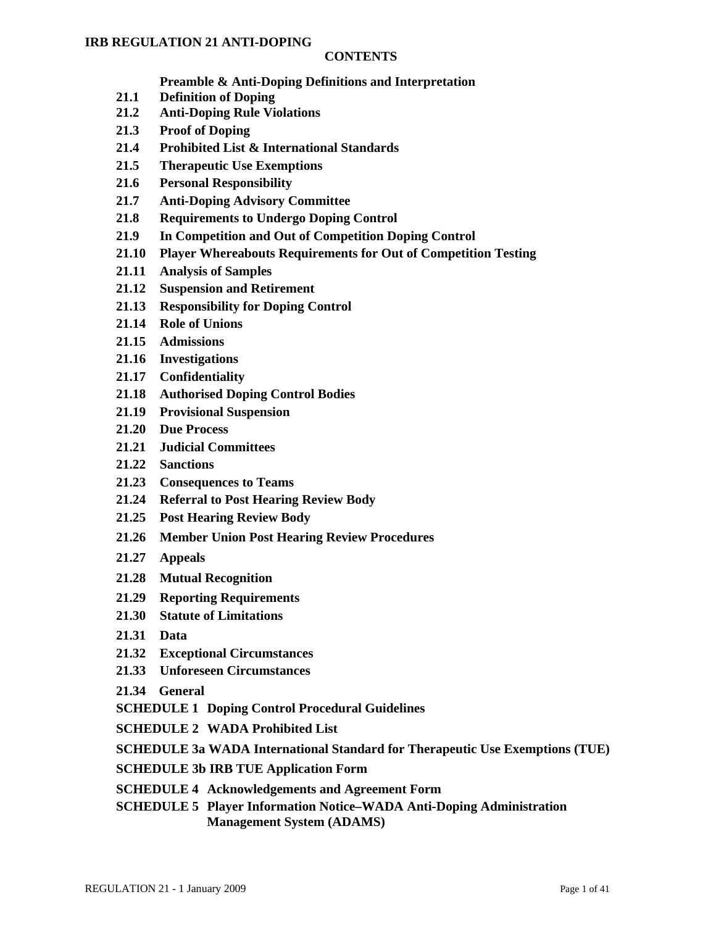# **CONTENTS**

# **Preamble & Anti-Doping Definitions and Interpretation**

- **21.1 Definition of Doping**
- **21.2 Anti-Doping Rule Violations**
- **21.3 Proof of Doping**
- **21.4 Prohibited List & International Standards**
- **21.5 Therapeutic Use Exemptions**
- **21.6 Personal Responsibility**
- **21.7 Anti-Doping Advisory Committee**
- **21.8 Requirements to Undergo Doping Control**
- **21.9 In Competition and Out of Competition Doping Control**
- **21.10 Player Whereabouts Requirements for Out of Competition Testing**
- **21.11 Analysis of Samples**
- **21.12 Suspension and Retirement**
- **21.13 Responsibility for Doping Control**
- **21.14 Role of Unions**
- **21.15 Admissions**
- **21.16 Investigations**
- **21.17 Confidentiality**
- **21.18 Authorised Doping Control Bodies**
- **21.19 Provisional Suspension**
- **21.20 Due Process**
- **21.21 Judicial Committees**
- **21.22 Sanctions**
- **21.23 Consequences to Teams**
- **21.24 Referral to Post Hearing Review Body**
- **21.25 Post Hearing Review Body**
- **21.26 Member Union Post Hearing Review Procedures**
- **21.27 Appeals**
- **21.28 Mutual Recognition**
- **21.29 Reporting Requirements**
- **21.30 Statute of Limitations**
- **21.31 Data**
- **21.32 Exceptional Circumstances**
- **21.33 Unforeseen Circumstances**
- **21.34 General**
- **SCHEDULE 1 Doping Control Procedural Guidelines**
- **SCHEDULE 2 WADA Prohibited List**
- **SCHEDULE 3a WADA International Standard for Therapeutic Use Exemptions (TUE)**
- **SCHEDULE 3b IRB TUE Application Form**
- **SCHEDULE 4 Acknowledgements and Agreement Form**
- **SCHEDULE 5 Player Information Notice–WADA Anti-Doping Administration Management System (ADAMS)**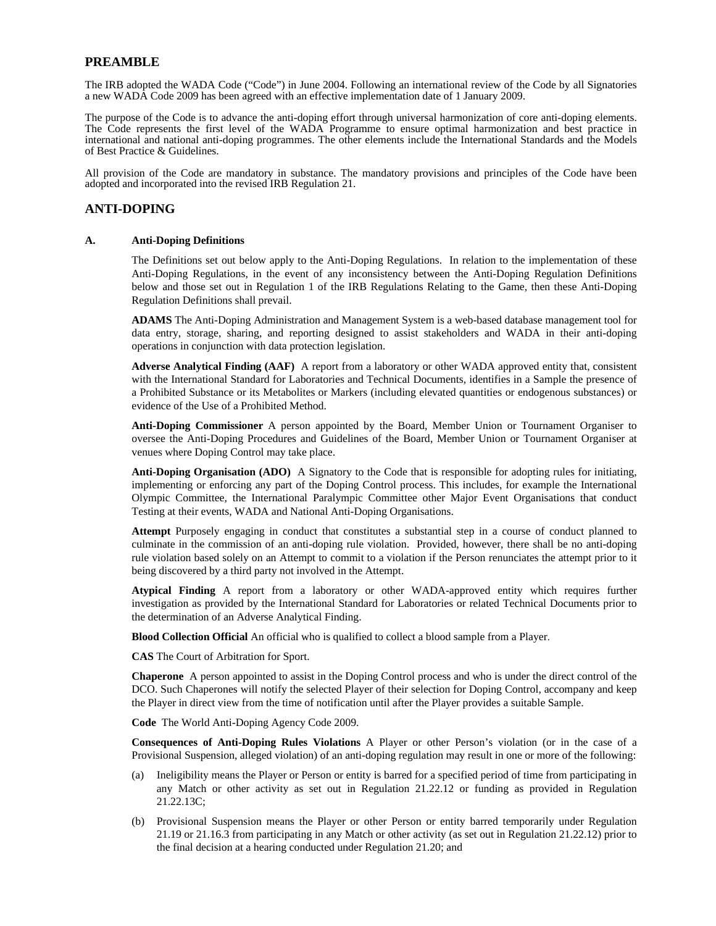# **PREAMBLE**

The IRB adopted the WADA Code ("Code") in June 2004. Following an international review of the Code by all Signatories a new WADA Code 2009 has been agreed with an effective implementation date of 1 January 2009.

The purpose of the Code is to advance the anti-doping effort through universal harmonization of core anti-doping elements. The Code represents the first level of the WADA Programme to ensure optimal harmonization and best practice in international and national anti-doping programmes. The other elements include the International Standards and the Models of Best Practice & Guidelines.

All provision of the Code are mandatory in substance. The mandatory provisions and principles of the Code have been adopted and incorporated into the revised IRB Regulation 21.

# **ANTI-DOPING**

### **A. Anti-Doping Definitions**

 The Definitions set out below apply to the Anti-Doping Regulations. In relation to the implementation of these Anti-Doping Regulations, in the event of any inconsistency between the Anti-Doping Regulation Definitions below and those set out in Regulation 1 of the IRB Regulations Relating to the Game, then these Anti-Doping Regulation Definitions shall prevail.

 **ADAMS** The Anti-Doping Administration and Management System is a web-based database management tool for data entry, storage, sharing, and reporting designed to assist stakeholders and WADA in their anti-doping operations in conjunction with data protection legislation.

**Adverse Analytical Finding (AAF)** A report from a laboratory or other WADA approved entity that, consistent with the International Standard for Laboratories and Technical Documents, identifies in a Sample the presence of a Prohibited Substance or its Metabolites or Markers (including elevated quantities or endogenous substances) or evidence of the Use of a Prohibited Method.

**Anti-Doping Commissioner** A person appointed by the Board, Member Union or Tournament Organiser to oversee the Anti-Doping Procedures and Guidelines of the Board, Member Union or Tournament Organiser at venues where Doping Control may take place.

 **Anti-Doping Organisation (ADO)** A Signatory to the Code that is responsible for adopting rules for initiating, implementing or enforcing any part of the Doping Control process. This includes, for example the International Olympic Committee, the International Paralympic Committee other Major Event Organisations that conduct Testing at their events, WADA and National Anti-Doping Organisations.

 **Attempt** Purposely engaging in conduct that constitutes a substantial step in a course of conduct planned to culminate in the commission of an anti-doping rule violation. Provided, however, there shall be no anti-doping rule violation based solely on an Attempt to commit to a violation if the Person renunciates the attempt prior to it being discovered by a third party not involved in the Attempt.

**Atypical Finding** A report from a laboratory or other WADA-approved entity which requires further investigation as provided by the International Standard for Laboratories or related Technical Documents prior to the determination of an Adverse Analytical Finding.

 **Blood Collection Official** An official who is qualified to collect a blood sample from a Player.

**CAS** The Court of Arbitration for Sport.

 **Chaperone** A person appointed to assist in the Doping Control process and who is under the direct control of the DCO. Such Chaperones will notify the selected Player of their selection for Doping Control, accompany and keep the Player in direct view from the time of notification until after the Player provides a suitable Sample.

 **Code** The World Anti-Doping Agency Code 2009.

 **Consequences of Anti-Doping Rules Violations** A Player or other Person's violation (or in the case of a Provisional Suspension, alleged violation) of an anti-doping regulation may result in one or more of the following:

- (a) Ineligibility means the Player or Person or entity is barred for a specified period of time from participating in any Match or other activity as set out in Regulation 21.22.12 or funding as provided in Regulation 21.22.13C;
- (b) Provisional Suspension means the Player or other Person or entity barred temporarily under Regulation 21.19 or 21.16.3 from participating in any Match or other activity (as set out in Regulation 21.22.12) prior to the final decision at a hearing conducted under Regulation 21.20; and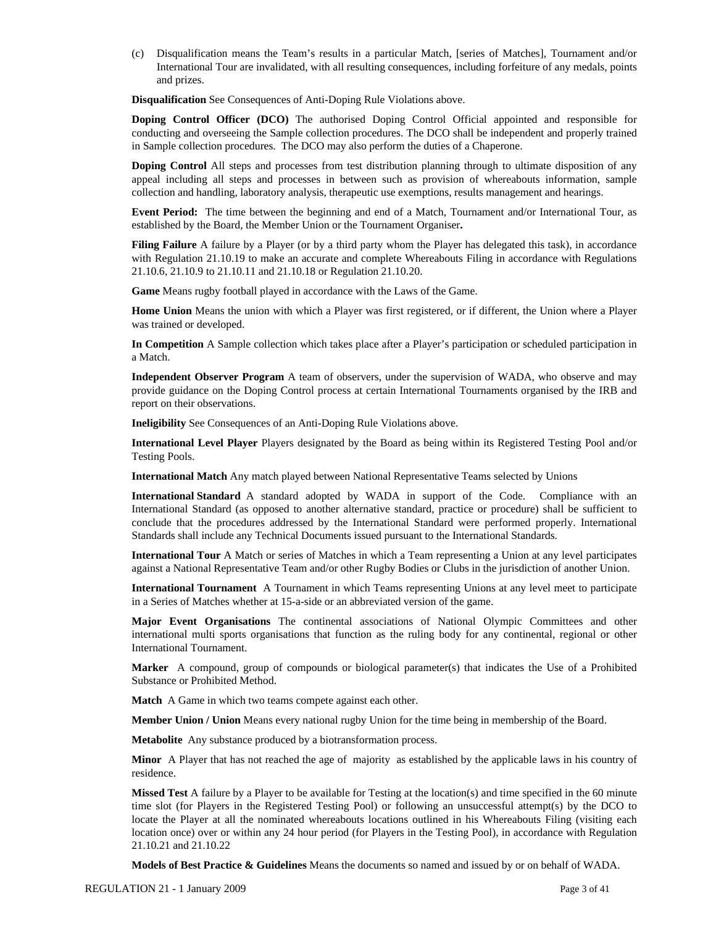(c) Disqualification means the Team's results in a particular Match, [series of Matches], Tournament and/or International Tour are invalidated, with all resulting consequences, including forfeiture of any medals, points and prizes.

 **Disqualification** See Consequences of Anti-Doping Rule Violations above.

 **Doping Control Officer (DCO)** The authorised Doping Control Official appointed and responsible for conducting and overseeing the Sample collection procedures. The DCO shall be independent and properly trained in Sample collection procedures. The DCO may also perform the duties of a Chaperone.

**Doping Control** All steps and processes from test distribution planning through to ultimate disposition of any appeal including all steps and processes in between such as provision of whereabouts information, sample collection and handling, laboratory analysis, therapeutic use exemptions, results management and hearings.

**Event Period:** The time between the beginning and end of a Match, Tournament and/or International Tour, as established by the Board, the Member Union or the Tournament Organiser**.**

**Filing Failure** A failure by a Player (or by a third party whom the Player has delegated this task), in accordance with Regulation 21.10.19 to make an accurate and complete Whereabouts Filing in accordance with Regulations 21.10.6, 21.10.9 to 21.10.11 and 21.10.18 or Regulation 21.10.20.

 **Game** Means rugby football played in accordance with the Laws of the Game.

**Home Union** Means the union with which a Player was first registered, or if different, the Union where a Player was trained or developed.

 **In Competition** A Sample collection which takes place after a Player's participation or scheduled participation in a Match.

 **Independent Observer Program** A team of observers, under the supervision of WADA, who observe and may provide guidance on the Doping Control process at certain International Tournaments organised by the IRB and report on their observations.

 **Ineligibility** See Consequences of an Anti-Doping Rule Violations above.

 **International Level Player** Players designated by the Board as being within its Registered Testing Pool and/or Testing Pools.

 **International Match** Any match played between National Representative Teams selected by Unions

 **International Standard** A standard adopted by WADA in support of the Code. Compliance with an International Standard (as opposed to another alternative standard, practice or procedure) shall be sufficient to conclude that the procedures addressed by the International Standard were performed properly. International Standards shall include any Technical Documents issued pursuant to the International Standards.

 **International Tour** A Match or series of Matches in which a Team representing a Union at any level participates against a National Representative Team and/or other Rugby Bodies or Clubs in the jurisdiction of another Union.

 **International Tournament** A Tournament in which Teams representing Unions at any level meet to participate in a Series of Matches whether at 15-a-side or an abbreviated version of the game.

 **Major Event Organisations** The continental associations of National Olympic Committees and other international multi sports organisations that function as the ruling body for any continental, regional or other International Tournament.

 **Marker** A compound, group of compounds or biological parameter(s) that indicates the Use of a Prohibited Substance or Prohibited Method.

 **Match** A Game in which two teams compete against each other.

 **Member Union / Union** Means every national rugby Union for the time being in membership of the Board.

 **Metabolite** Any substance produced by a biotransformation process.

 **Minor** A Player that has not reached the age of majority as established by the applicable laws in his country of residence.

**Missed Test** A failure by a Player to be available for Testing at the location(s) and time specified in the 60 minute time slot (for Players in the Registered Testing Pool) or following an unsuccessful attempt(s) by the DCO to locate the Player at all the nominated whereabouts locations outlined in his Whereabouts Filing (visiting each location once) over or within any 24 hour period (for Players in the Testing Pool), in accordance with Regulation 21.10.21 and 21.10.22

**Models of Best Practice & Guidelines** Means the documents so named and issued by or on behalf of WADA.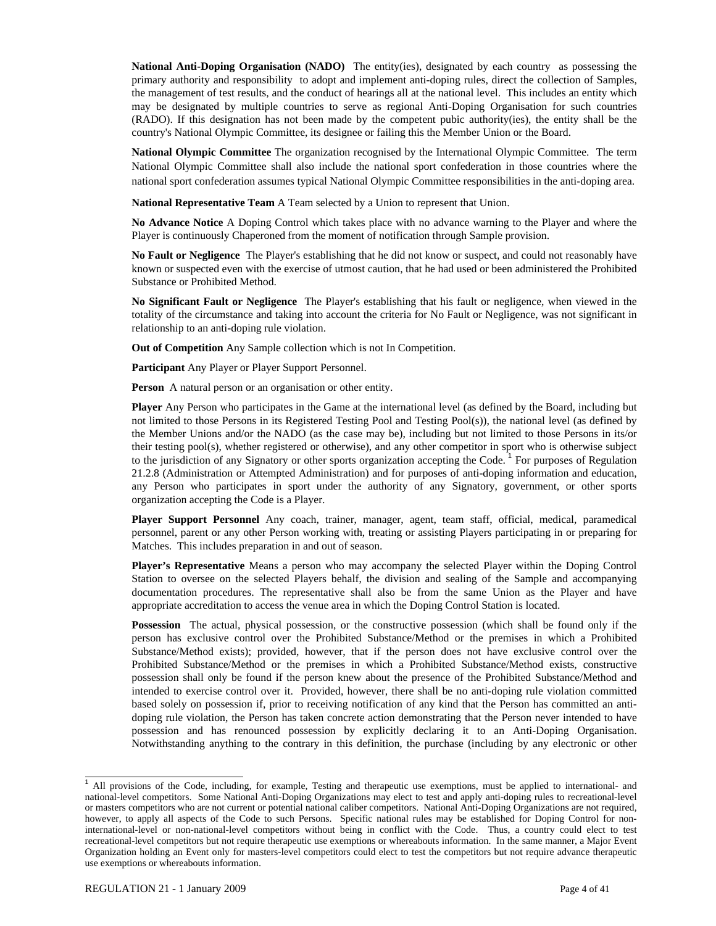**National Anti-Doping Organisation (NADO)** The entity(ies), designated by each country as possessing the primary authority and responsibility to adopt and implement anti-doping rules, direct the collection of Samples, the management of test results, and the conduct of hearings all at the national level. This includes an entity which may be designated by multiple countries to serve as regional Anti-Doping Organisation for such countries (RADO). If this designation has not been made by the competent pubic authority(ies), the entity shall be the country's National Olympic Committee, its designee or failing this the Member Union or the Board.

**National Olympic Committee** The organization recognised by the International Olympic Committee. The term National Olympic Committee shall also include the national sport confederation in those countries where the national sport confederation assumes typical National Olympic Committee responsibilities in the anti-doping area.

**National Representative Team** A Team selected by a Union to represent that Union.

 **No Advance Notice** A Doping Control which takes place with no advance warning to the Player and where the Player is continuously Chaperoned from the moment of notification through Sample provision.

 **No Fault or Negligence** The Player's establishing that he did not know or suspect, and could not reasonably have known or suspected even with the exercise of utmost caution, that he had used or been administered the Prohibited Substance or Prohibited Method.

 **No Significant Fault or Negligence** The Player's establishing that his fault or negligence, when viewed in the totality of the circumstance and taking into account the criteria for No Fault or Negligence, was not significant in relationship to an anti-doping rule violation.

 **Out of Competition** Any Sample collection which is not In Competition.

**Participant** Any Player or Player Support Personnel.

 **Person** A natural person or an organisation or other entity.

**Player** Any Person who participates in the Game at the international level (as defined by the Board, including but not limited to those Persons in its Registered Testing Pool and Testing Pool(s)), the national level (as defined by the Member Unions and/or the NADO (as the case may be), including but not limited to those Persons in its/or their testing pool(s), whether registered or otherwise), and any other competitor in sport who is otherwise subject to the jurisdiction of any Signatory or other sports organization accepting the Code.<sup>1</sup> For purposes of Regulation 21.2.8 (Administration or Attempted Administration) and for purposes of anti-doping information and education, any Person who participates in sport under the authority of any Signatory, government, or other sports organization accepting the Code is a Player.

 **Player Support Personnel** Any coach, trainer, manager, agent, team staff, official, medical, paramedical personnel, parent or any other Person working with, treating or assisting Players participating in or preparing for Matches. This includes preparation in and out of season.

 **Player's Representative** Means a person who may accompany the selected Player within the Doping Control Station to oversee on the selected Players behalf, the division and sealing of the Sample and accompanying documentation procedures. The representative shall also be from the same Union as the Player and have appropriate accreditation to access the venue area in which the Doping Control Station is located.

**Possession** The actual, physical possession, or the constructive possession (which shall be found only if the person has exclusive control over the Prohibited Substance/Method or the premises in which a Prohibited Substance/Method exists); provided, however, that if the person does not have exclusive control over the Prohibited Substance/Method or the premises in which a Prohibited Substance/Method exists, constructive possession shall only be found if the person knew about the presence of the Prohibited Substance/Method and intended to exercise control over it. Provided, however, there shall be no anti-doping rule violation committed based solely on possession if, prior to receiving notification of any kind that the Person has committed an antidoping rule violation, the Person has taken concrete action demonstrating that the Person never intended to have possession and has renounced possession by explicitly declaring it to an Anti-Doping Organisation. Notwithstanding anything to the contrary in this definition, the purchase (including by any electronic or other

<sup>&</sup>lt;sup>1</sup> All provisions of the Code, including, for example, Testing and therapeutic use exemptions, must be applied to international- and national-level competitors. Some National Anti-Doping Organizations may elect to test and apply anti-doping rules to recreational-level or masters competitors who are not current or potential national caliber competitors. National Anti-Doping Organizations are not required, however, to apply all aspects of the Code to such Persons. Specific national rules may be established for Doping Control for noninternational-level or non-national-level competitors without being in conflict with the Code. Thus, a country could elect to test recreational-level competitors but not require therapeutic use exemptions or whereabouts information. In the same manner, a Major Event Organization holding an Event only for masters-level competitors could elect to test the competitors but not require advance therapeutic use exemptions or whereabouts information.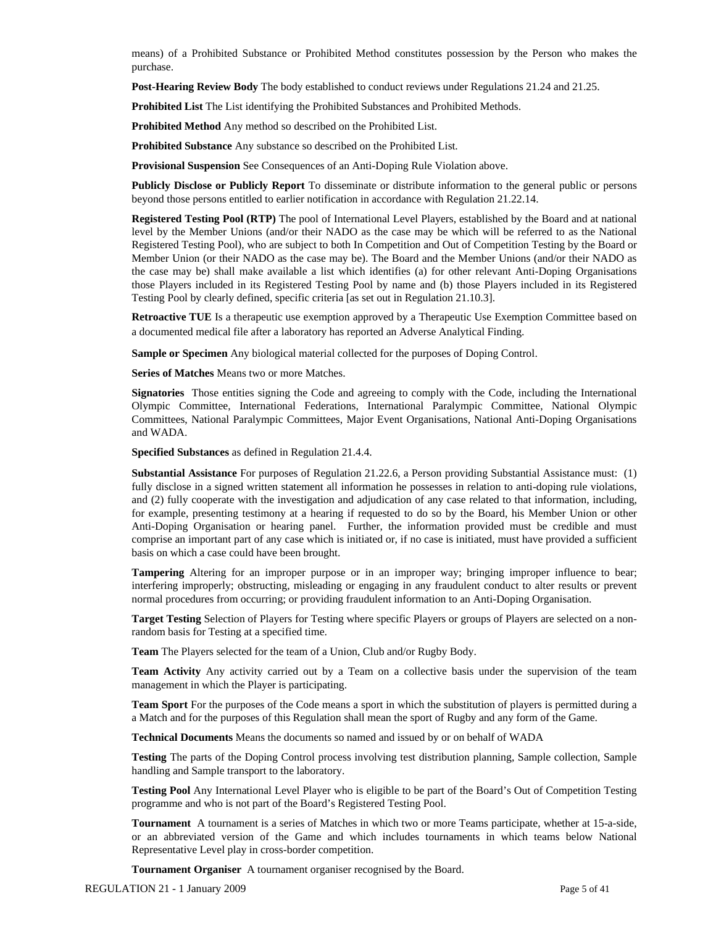means) of a Prohibited Substance or Prohibited Method constitutes possession by the Person who makes the purchase.

 **Post-Hearing Review Body** The body established to conduct reviews under Regulations 21.24 and 21.25.

 **Prohibited List** The List identifying the Prohibited Substances and Prohibited Methods.

 **Prohibited Method** Any method so described on the Prohibited List.

 **Prohibited Substance** Any substance so described on the Prohibited List.

 **Provisional Suspension** See Consequences of an Anti-Doping Rule Violation above.

 **Publicly Disclose or Publicly Report** To disseminate or distribute information to the general public or persons beyond those persons entitled to earlier notification in accordance with Regulation 21.22.14.

**Registered Testing Pool (RTP)** The pool of International Level Players, established by the Board and at national level by the Member Unions (and/or their NADO as the case may be which will be referred to as the National Registered Testing Pool), who are subject to both In Competition and Out of Competition Testing by the Board or Member Union (or their NADO as the case may be). The Board and the Member Unions (and/or their NADO as the case may be) shall make available a list which identifies (a) for other relevant Anti-Doping Organisations those Players included in its Registered Testing Pool by name and (b) those Players included in its Registered Testing Pool by clearly defined, specific criteria [as set out in Regulation 21.10.3].

**Retroactive TUE** Is a therapeutic use exemption approved by a Therapeutic Use Exemption Committee based on a documented medical file after a laboratory has reported an Adverse Analytical Finding.

 **Sample or Specimen** Any biological material collected for the purposes of Doping Control.

 **Series of Matches** Means two or more Matches.

 **Signatories** Those entities signing the Code and agreeing to comply with the Code, including the International Olympic Committee, International Federations, International Paralympic Committee, National Olympic Committees, National Paralympic Committees, Major Event Organisations, National Anti-Doping Organisations and WADA.

**Specified Substances** as defined in Regulation 21.4.4.

**Substantial Assistance** For purposes of Regulation 21.22.6, a Person providing Substantial Assistance must: (1) fully disclose in a signed written statement all information he possesses in relation to anti-doping rule violations, and (2) fully cooperate with the investigation and adjudication of any case related to that information, including, for example, presenting testimony at a hearing if requested to do so by the Board, his Member Union or other Anti-Doping Organisation or hearing panel. Further, the information provided must be credible and must comprise an important part of any case which is initiated or, if no case is initiated, must have provided a sufficient basis on which a case could have been brought.

 **Tampering** Altering for an improper purpose or in an improper way; bringing improper influence to bear; interfering improperly; obstructing, misleading or engaging in any fraudulent conduct to alter results or prevent normal procedures from occurring; or providing fraudulent information to an Anti-Doping Organisation.

 **Target Testing** Selection of Players for Testing where specific Players or groups of Players are selected on a nonrandom basis for Testing at a specified time.

 **Team** The Players selected for the team of a Union, Club and/or Rugby Body.

**Team Activity** Any activity carried out by a Team on a collective basis under the supervision of the team management in which the Player is participating.

**Team Sport** For the purposes of the Code means a sport in which the substitution of players is permitted during a a Match and for the purposes of this Regulation shall mean the sport of Rugby and any form of the Game.

**Technical Documents** Means the documents so named and issued by or on behalf of WADA

 **Testing** The parts of the Doping Control process involving test distribution planning, Sample collection, Sample handling and Sample transport to the laboratory.

 **Testing Pool** Any International Level Player who is eligible to be part of the Board's Out of Competition Testing programme and who is not part of the Board's Registered Testing Pool.

 **Tournament** A tournament is a series of Matches in which two or more Teams participate, whether at 15-a-side, or an abbreviated version of the Game and which includes tournaments in which teams below National Representative Level play in cross-border competition.

 **Tournament Organiser** A tournament organiser recognised by the Board.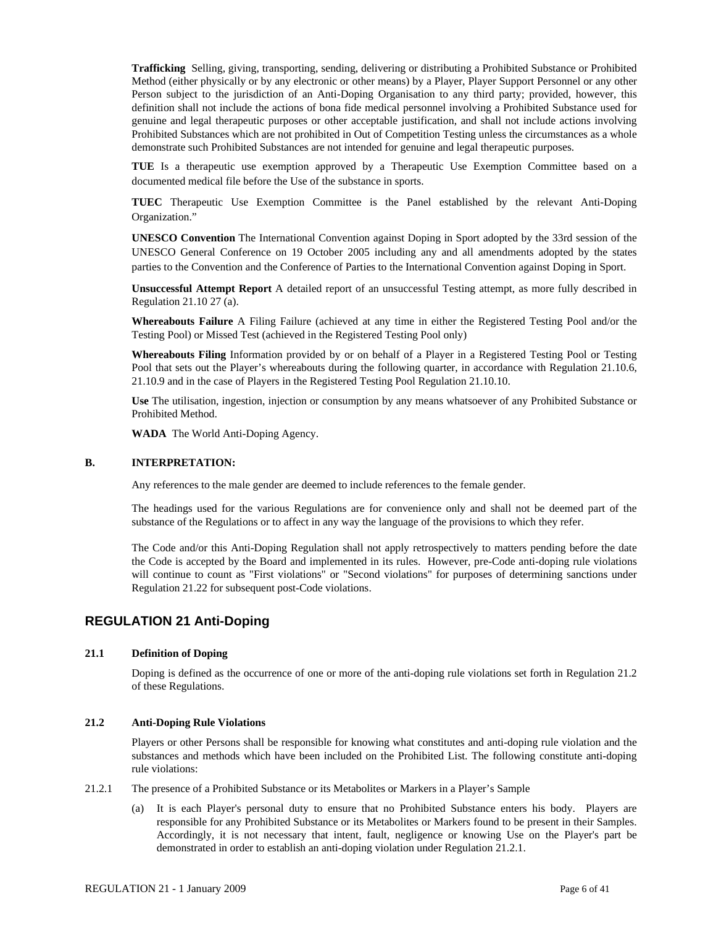**Trafficking** Selling, giving, transporting, sending, delivering or distributing a Prohibited Substance or Prohibited Method (either physically or by any electronic or other means) by a Player, Player Support Personnel or any other Person subject to the jurisdiction of an Anti-Doping Organisation to any third party; provided, however, this definition shall not include the actions of bona fide medical personnel involving a Prohibited Substance used for genuine and legal therapeutic purposes or other acceptable justification, and shall not include actions involving Prohibited Substances which are not prohibited in Out of Competition Testing unless the circumstances as a whole demonstrate such Prohibited Substances are not intended for genuine and legal therapeutic purposes.

**TUE** Is a therapeutic use exemption approved by a Therapeutic Use Exemption Committee based on a documented medical file before the Use of the substance in sports.

**TUEC** Therapeutic Use Exemption Committee is the Panel established by the relevant Anti-Doping Organization."

**UNESCO Convention** The International Convention against Doping in Sport adopted by the 33rd session of the UNESCO General Conference on 19 October 2005 including any and all amendments adopted by the states parties to the Convention and the Conference of Parties to the International Convention against Doping in Sport.

**Unsuccessful Attempt Report** A detailed report of an unsuccessful Testing attempt, as more fully described in Regulation 21.10 27 (a).

**Whereabouts Failure** A Filing Failure (achieved at any time in either the Registered Testing Pool and/or the Testing Pool) or Missed Test (achieved in the Registered Testing Pool only)

**Whereabouts Filing** Information provided by or on behalf of a Player in a Registered Testing Pool or Testing Pool that sets out the Player's whereabouts during the following quarter, in accordance with Regulation 21.10.6, 21.10.9 and in the case of Players in the Registered Testing Pool Regulation 21.10.10.

 **Use** The utilisation, ingestion, injection or consumption by any means whatsoever of any Prohibited Substance or Prohibited Method.

**WADA** The World Anti-Doping Agency.

### **B. INTERPRETATION:**

Any references to the male gender are deemed to include references to the female gender.

The headings used for the various Regulations are for convenience only and shall not be deemed part of the substance of the Regulations or to affect in any way the language of the provisions to which they refer.

 The Code and/or this Anti-Doping Regulation shall not apply retrospectively to matters pending before the date the Code is accepted by the Board and implemented in its rules. However, pre-Code anti-doping rule violations will continue to count as "First violations" or "Second violations" for purposes of determining sanctions under Regulation 21.22 for subsequent post-Code violations.

# **REGULATION 21 Anti-Doping**

# **21.1 Definition of Doping**

 Doping is defined as the occurrence of one or more of the anti-doping rule violations set forth in Regulation 21.2 of these Regulations.

### **21.2 Anti-Doping Rule Violations**

 Players or other Persons shall be responsible for knowing what constitutes and anti-doping rule violation and the substances and methods which have been included on the Prohibited List. The following constitute anti-doping rule violations:

- 21.2.1 The presence of a Prohibited Substance or its Metabolites or Markers in a Player's Sample
	- (a) It is each Player's personal duty to ensure that no Prohibited Substance enters his body. Players are responsible for any Prohibited Substance or its Metabolites or Markers found to be present in their Samples. Accordingly, it is not necessary that intent, fault, negligence or knowing Use on the Player's part be demonstrated in order to establish an anti-doping violation under Regulation 21.2.1.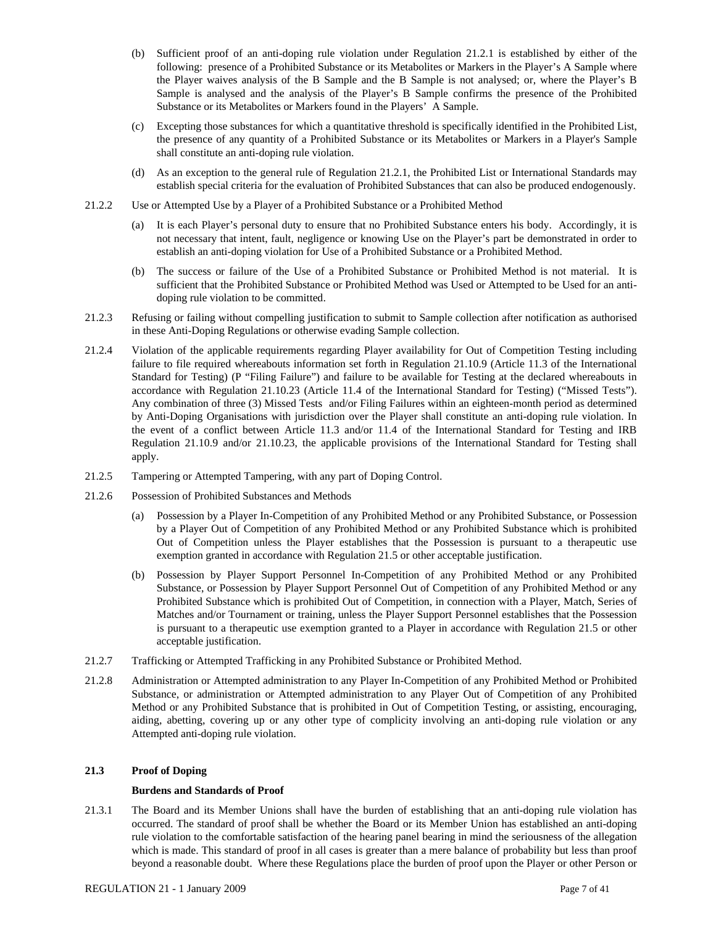- (b) Sufficient proof of an anti-doping rule violation under Regulation 21.2.1 is established by either of the following: presence of a Prohibited Substance or its Metabolites or Markers in the Player's A Sample where the Player waives analysis of the B Sample and the B Sample is not analysed; or, where the Player's B Sample is analysed and the analysis of the Player's B Sample confirms the presence of the Prohibited Substance or its Metabolites or Markers found in the Players' A Sample.
- (c) Excepting those substances for which a quantitative threshold is specifically identified in the Prohibited List, the presence of any quantity of a Prohibited Substance or its Metabolites or Markers in a Player's Sample shall constitute an anti-doping rule violation.
- (d) As an exception to the general rule of Regulation 21.2.1, the Prohibited List or International Standards may establish special criteria for the evaluation of Prohibited Substances that can also be produced endogenously.
- 21.2.2 Use or Attempted Use by a Player of a Prohibited Substance or a Prohibited Method
	- (a) It is each Player's personal duty to ensure that no Prohibited Substance enters his body. Accordingly, it is not necessary that intent, fault, negligence or knowing Use on the Player's part be demonstrated in order to establish an anti-doping violation for Use of a Prohibited Substance or a Prohibited Method.
	- (b) The success or failure of the Use of a Prohibited Substance or Prohibited Method is not material. It is sufficient that the Prohibited Substance or Prohibited Method was Used or Attempted to be Used for an antidoping rule violation to be committed.
- 21.2.3 Refusing or failing without compelling justification to submit to Sample collection after notification as authorised in these Anti-Doping Regulations or otherwise evading Sample collection.
- 21.2.4 Violation of the applicable requirements regarding Player availability for Out of Competition Testing including failure to file required whereabouts information set forth in Regulation 21.10.9 (Article 11.3 of the International Standard for Testing) (P "Filing Failure") and failure to be available for Testing at the declared whereabouts in accordance with Regulation 21.10.23 (Article 11.4 of the International Standard for Testing) ("Missed Tests"). Any combination of three (3) Missed Tests and/or Filing Failures within an eighteen-month period as determined by Anti-Doping Organisations with jurisdiction over the Player shall constitute an anti-doping rule violation. In the event of a conflict between Article 11.3 and/or 11.4 of the International Standard for Testing and IRB Regulation 21.10.9 and/or 21.10.23, the applicable provisions of the International Standard for Testing shall apply.
- 21.2.5 Tampering or Attempted Tampering, with any part of Doping Control.
- 21.2.6 Possession of Prohibited Substances and Methods
	- (a) Possession by a Player In-Competition of any Prohibited Method or any Prohibited Substance, or Possession by a Player Out of Competition of any Prohibited Method or any Prohibited Substance which is prohibited Out of Competition unless the Player establishes that the Possession is pursuant to a therapeutic use exemption granted in accordance with Regulation 21.5 or other acceptable justification.
	- (b) Possession by Player Support Personnel In-Competition of any Prohibited Method or any Prohibited Substance, or Possession by Player Support Personnel Out of Competition of any Prohibited Method or any Prohibited Substance which is prohibited Out of Competition, in connection with a Player, Match, Series of Matches and/or Tournament or training, unless the Player Support Personnel establishes that the Possession is pursuant to a therapeutic use exemption granted to a Player in accordance with Regulation 21.5 or other acceptable justification.
- 21.2.7 Trafficking or Attempted Trafficking in any Prohibited Substance or Prohibited Method.
- 21.2.8 Administration or Attempted administration to any Player In-Competition of any Prohibited Method or Prohibited Substance, or administration or Attempted administration to any Player Out of Competition of any Prohibited Method or any Prohibited Substance that is prohibited in Out of Competition Testing, or assisting, encouraging, aiding, abetting, covering up or any other type of complicity involving an anti-doping rule violation or any Attempted anti-doping rule violation.

# **21.3 Proof of Doping**

# **Burdens and Standards of Proof**

21.3.1 The Board and its Member Unions shall have the burden of establishing that an anti-doping rule violation has occurred. The standard of proof shall be whether the Board or its Member Union has established an anti-doping rule violation to the comfortable satisfaction of the hearing panel bearing in mind the seriousness of the allegation which is made. This standard of proof in all cases is greater than a mere balance of probability but less than proof beyond a reasonable doubt. Where these Regulations place the burden of proof upon the Player or other Person or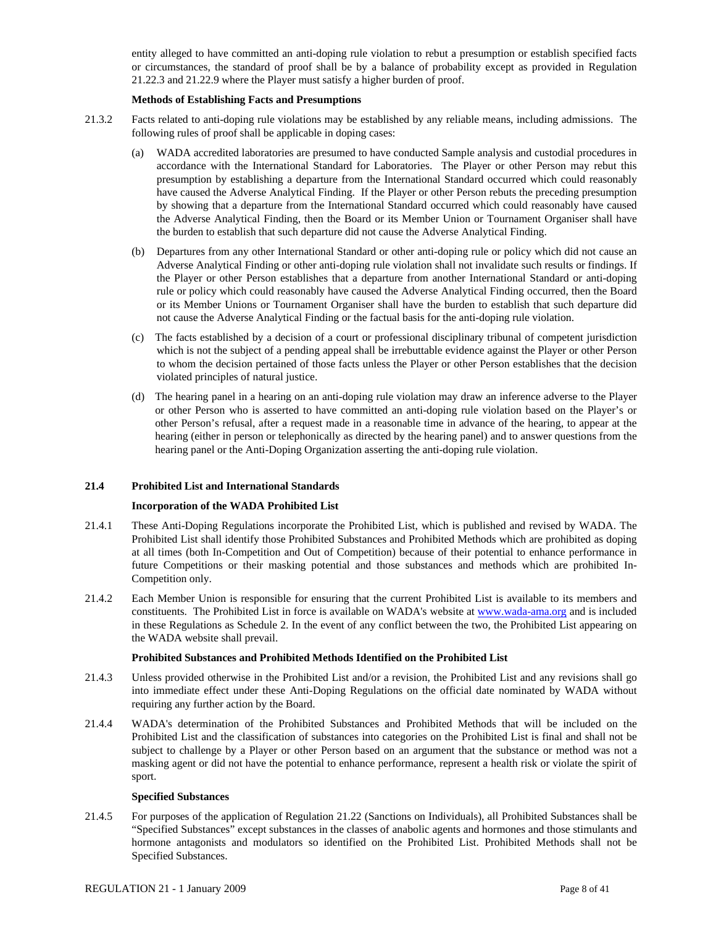entity alleged to have committed an anti-doping rule violation to rebut a presumption or establish specified facts or circumstances, the standard of proof shall be by a balance of probability except as provided in Regulation 21.22.3 and 21.22.9 where the Player must satisfy a higher burden of proof.

### **Methods of Establishing Facts and Presumptions**

- 21.3.2 Facts related to anti-doping rule violations may be established by any reliable means, including admissions. The following rules of proof shall be applicable in doping cases:
	- (a) WADA accredited laboratories are presumed to have conducted Sample analysis and custodial procedures in accordance with the International Standard for Laboratories. The Player or other Person may rebut this presumption by establishing a departure from the International Standard occurred which could reasonably have caused the Adverse Analytical Finding. If the Player or other Person rebuts the preceding presumption by showing that a departure from the International Standard occurred which could reasonably have caused the Adverse Analytical Finding, then the Board or its Member Union or Tournament Organiser shall have the burden to establish that such departure did not cause the Adverse Analytical Finding.
	- (b) Departures from any other International Standard or other anti-doping rule or policy which did not cause an Adverse Analytical Finding or other anti-doping rule violation shall not invalidate such results or findings. If the Player or other Person establishes that a departure from another International Standard or anti-doping rule or policy which could reasonably have caused the Adverse Analytical Finding occurred, then the Board or its Member Unions or Tournament Organiser shall have the burden to establish that such departure did not cause the Adverse Analytical Finding or the factual basis for the anti-doping rule violation.
	- (c) The facts established by a decision of a court or professional disciplinary tribunal of competent jurisdiction which is not the subject of a pending appeal shall be irrebuttable evidence against the Player or other Person to whom the decision pertained of those facts unless the Player or other Person establishes that the decision violated principles of natural justice.
	- (d) The hearing panel in a hearing on an anti-doping rule violation may draw an inference adverse to the Player or other Person who is asserted to have committed an anti-doping rule violation based on the Player's or other Person's refusal, after a request made in a reasonable time in advance of the hearing, to appear at the hearing (either in person or telephonically as directed by the hearing panel) and to answer questions from the hearing panel or the Anti-Doping Organization asserting the anti-doping rule violation.

# **21.4 Prohibited List and International Standards**

### **Incorporation of the WADA Prohibited List**

- 21.4.1 These Anti-Doping Regulations incorporate the Prohibited List, which is published and revised by WADA. The Prohibited List shall identify those Prohibited Substances and Prohibited Methods which are prohibited as doping at all times (both In-Competition and Out of Competition) because of their potential to enhance performance in future Competitions or their masking potential and those substances and methods which are prohibited In-Competition only.
- 21.4.2 Each Member Union is responsible for ensuring that the current Prohibited List is available to its members and constituents. The Prohibited List in force is available on WADA's website at www.wada-ama.org and is included in these Regulations as Schedule 2. In the event of any conflict between the two, the Prohibited List appearing on the WADA website shall prevail.

#### **Prohibited Substances and Prohibited Methods Identified on the Prohibited List**

- 21.4.3 Unless provided otherwise in the Prohibited List and/or a revision, the Prohibited List and any revisions shall go into immediate effect under these Anti-Doping Regulations on the official date nominated by WADA without requiring any further action by the Board.
- 21.4.4 WADA's determination of the Prohibited Substances and Prohibited Methods that will be included on the Prohibited List and the classification of substances into categories on the Prohibited List is final and shall not be subject to challenge by a Player or other Person based on an argument that the substance or method was not a masking agent or did not have the potential to enhance performance, represent a health risk or violate the spirit of sport.

### **Specified Substances**

21.4.5 For purposes of the application of Regulation 21.22 (Sanctions on Individuals), all Prohibited Substances shall be "Specified Substances" except substances in the classes of anabolic agents and hormones and those stimulants and hormone antagonists and modulators so identified on the Prohibited List. Prohibited Methods shall not be Specified Substances.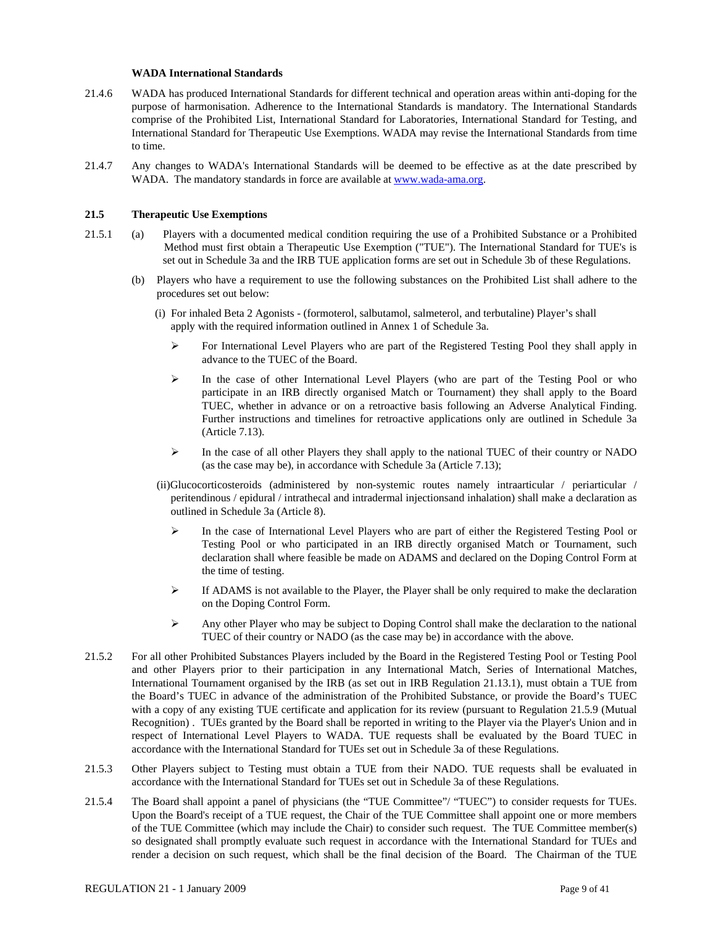### **WADA International Standards**

- 21.4.6 WADA has produced International Standards for different technical and operation areas within anti-doping for the purpose of harmonisation. Adherence to the International Standards is mandatory. The International Standards comprise of the Prohibited List, International Standard for Laboratories, International Standard for Testing, and International Standard for Therapeutic Use Exemptions. WADA may revise the International Standards from time to time.
- 21.4.7 Any changes to WADA's International Standards will be deemed to be effective as at the date prescribed by WADA. The mandatory standards in force are available at www.wada-ama.org.

## **21.5 Therapeutic Use Exemptions**

- 21.5.1 (a) Players with a documented medical condition requiring the use of a Prohibited Substance or a Prohibited Method must first obtain a Therapeutic Use Exemption ("TUE"). The International Standard for TUE's is set out in Schedule 3a and the IRB TUE application forms are set out in Schedule 3b of these Regulations.
	- (b) Players who have a requirement to use the following substances on the Prohibited List shall adhere to the procedures set out below:
		- (i) For inhaled Beta 2 Agonists (formoterol, salbutamol, salmeterol, and terbutaline) Player's shall apply with the required information outlined in Annex 1 of Schedule 3a.
			- ¾ For International Level Players who are part of the Registered Testing Pool they shall apply in advance to the TUEC of the Board.
			- $\triangleright$  In the case of other International Level Players (who are part of the Testing Pool or who participate in an IRB directly organised Match or Tournament) they shall apply to the Board TUEC, whether in advance or on a retroactive basis following an Adverse Analytical Finding. Further instructions and timelines for retroactive applications only are outlined in Schedule 3a (Article 7.13).
			- ¾ In the case of all other Players they shall apply to the national TUEC of their country or NADO (as the case may be), in accordance with Schedule 3a (Article 7.13);
		- (ii)Glucocorticosteroids (administered by non-systemic routes namely intraarticular / periarticular / peritendinous / epidural / intrathecal and intradermal injectionsand inhalation) shall make a declaration as outlined in Schedule 3a (Article 8).
			- $\triangleright$  In the case of International Level Players who are part of either the Registered Testing Pool or Testing Pool or who participated in an IRB directly organised Match or Tournament, such declaration shall where feasible be made on ADAMS and declared on the Doping Control Form at the time of testing.
			- $\triangleright$  If ADAMS is not available to the Player, the Player shall be only required to make the declaration on the Doping Control Form.
			- $\triangleright$  Any other Player who may be subject to Doping Control shall make the declaration to the national TUEC of their country or NADO (as the case may be) in accordance with the above.
- 21.5.2 For all other Prohibited Substances Players included by the Board in the Registered Testing Pool or Testing Pool and other Players prior to their participation in any International Match, Series of International Matches, International Tournament organised by the IRB (as set out in IRB Regulation 21.13.1), must obtain a TUE from the Board's TUEC in advance of the administration of the Prohibited Substance, or provide the Board's TUEC with a copy of any existing TUE certificate and application for its review (pursuant to Regulation 21.5.9 (Mutual Recognition) . TUEs granted by the Board shall be reported in writing to the Player via the Player's Union and in respect of International Level Players to WADA. TUE requests shall be evaluated by the Board TUEC in accordance with the International Standard for TUEs set out in Schedule 3a of these Regulations.
- 21.5.3 Other Players subject to Testing must obtain a TUE from their NADO. TUE requests shall be evaluated in accordance with the International Standard for TUEs set out in Schedule 3a of these Regulations.
- 21.5.4 The Board shall appoint a panel of physicians (the "TUE Committee"/ "TUEC") to consider requests for TUEs. Upon the Board's receipt of a TUE request, the Chair of the TUE Committee shall appoint one or more members of the TUE Committee (which may include the Chair) to consider such request. The TUE Committee member(s) so designated shall promptly evaluate such request in accordance with the International Standard for TUEs and render a decision on such request, which shall be the final decision of the Board. The Chairman of the TUE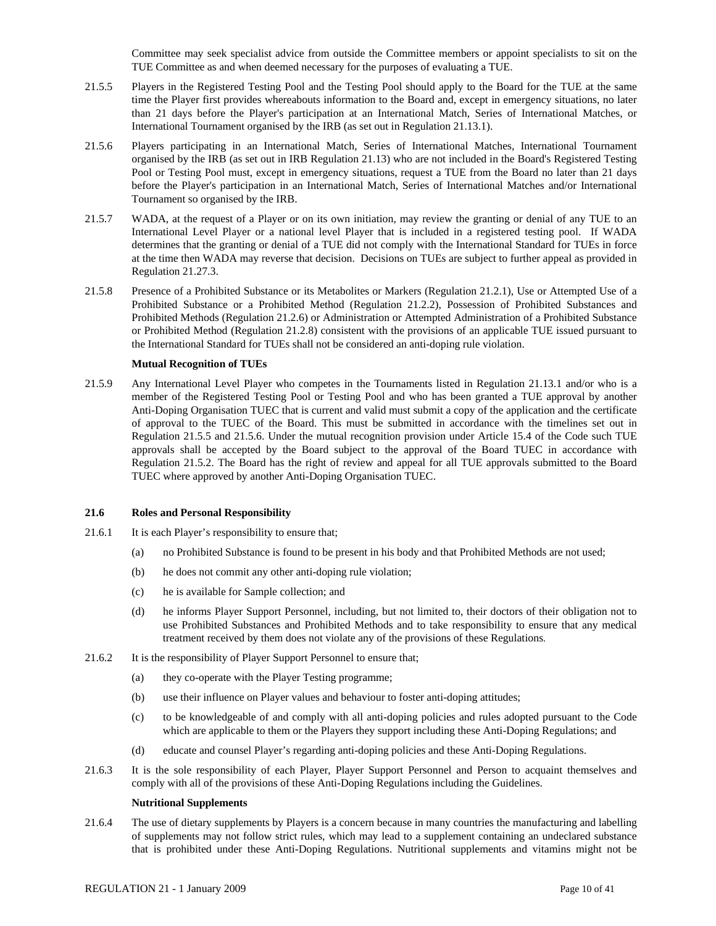Committee may seek specialist advice from outside the Committee members or appoint specialists to sit on the TUE Committee as and when deemed necessary for the purposes of evaluating a TUE.

- 21.5.5 Players in the Registered Testing Pool and the Testing Pool should apply to the Board for the TUE at the same time the Player first provides whereabouts information to the Board and, except in emergency situations, no later than 21 days before the Player's participation at an International Match, Series of International Matches, or International Tournament organised by the IRB (as set out in Regulation 21.13.1).
- 21.5.6 Players participating in an International Match, Series of International Matches, International Tournament organised by the IRB (as set out in IRB Regulation 21.13) who are not included in the Board's Registered Testing Pool or Testing Pool must, except in emergency situations, request a TUE from the Board no later than 21 days before the Player's participation in an International Match, Series of International Matches and/or International Tournament so organised by the IRB.
- 21.5.7 WADA, at the request of a Player or on its own initiation, may review the granting or denial of any TUE to an International Level Player or a national level Player that is included in a registered testing pool. If WADA determines that the granting or denial of a TUE did not comply with the International Standard for TUEs in force at the time then WADA may reverse that decision. Decisions on TUEs are subject to further appeal as provided in Regulation 21.27.3.
- 21.5.8 Presence of a Prohibited Substance or its Metabolites or Markers (Regulation 21.2.1), Use or Attempted Use of a Prohibited Substance or a Prohibited Method (Regulation 21.2.2), Possession of Prohibited Substances and Prohibited Methods (Regulation 21.2.6) or Administration or Attempted Administration of a Prohibited Substance or Prohibited Method (Regulation 21.2.8) consistent with the provisions of an applicable TUE issued pursuant to the International Standard for TUEs shall not be considered an anti-doping rule violation.

### **Mutual Recognition of TUEs**

21.5.9 Any International Level Player who competes in the Tournaments listed in Regulation 21.13.1 and/or who is a member of the Registered Testing Pool or Testing Pool and who has been granted a TUE approval by another Anti-Doping Organisation TUEC that is current and valid must submit a copy of the application and the certificate of approval to the TUEC of the Board. This must be submitted in accordance with the timelines set out in Regulation 21.5.5 and 21.5.6. Under the mutual recognition provision under Article 15.4 of the Code such TUE approvals shall be accepted by the Board subject to the approval of the Board TUEC in accordance with Regulation 21.5.2. The Board has the right of review and appeal for all TUE approvals submitted to the Board TUEC where approved by another Anti-Doping Organisation TUEC.

#### **21.6 Roles and Personal Responsibility**

- 21.6.1 It is each Player's responsibility to ensure that;
	- (a) no Prohibited Substance is found to be present in his body and that Prohibited Methods are not used;
	- (b) he does not commit any other anti-doping rule violation;
	- (c) he is available for Sample collection; and
	- (d) he informs Player Support Personnel, including, but not limited to, their doctors of their obligation not to use Prohibited Substances and Prohibited Methods and to take responsibility to ensure that any medical treatment received by them does not violate any of the provisions of these Regulations.
- 21.6.2 It is the responsibility of Player Support Personnel to ensure that;
	- (a) they co-operate with the Player Testing programme;
	- (b) use their influence on Player values and behaviour to foster anti-doping attitudes;
	- (c) to be knowledgeable of and comply with all anti-doping policies and rules adopted pursuant to the Code which are applicable to them or the Players they support including these Anti-Doping Regulations; and
	- (d) educate and counsel Player's regarding anti-doping policies and these Anti-Doping Regulations.
- 21.6.3 It is the sole responsibility of each Player, Player Support Personnel and Person to acquaint themselves and comply with all of the provisions of these Anti-Doping Regulations including the Guidelines.

### **Nutritional Supplements**

21.6.4 The use of dietary supplements by Players is a concern because in many countries the manufacturing and labelling of supplements may not follow strict rules, which may lead to a supplement containing an undeclared substance that is prohibited under these Anti-Doping Regulations. Nutritional supplements and vitamins might not be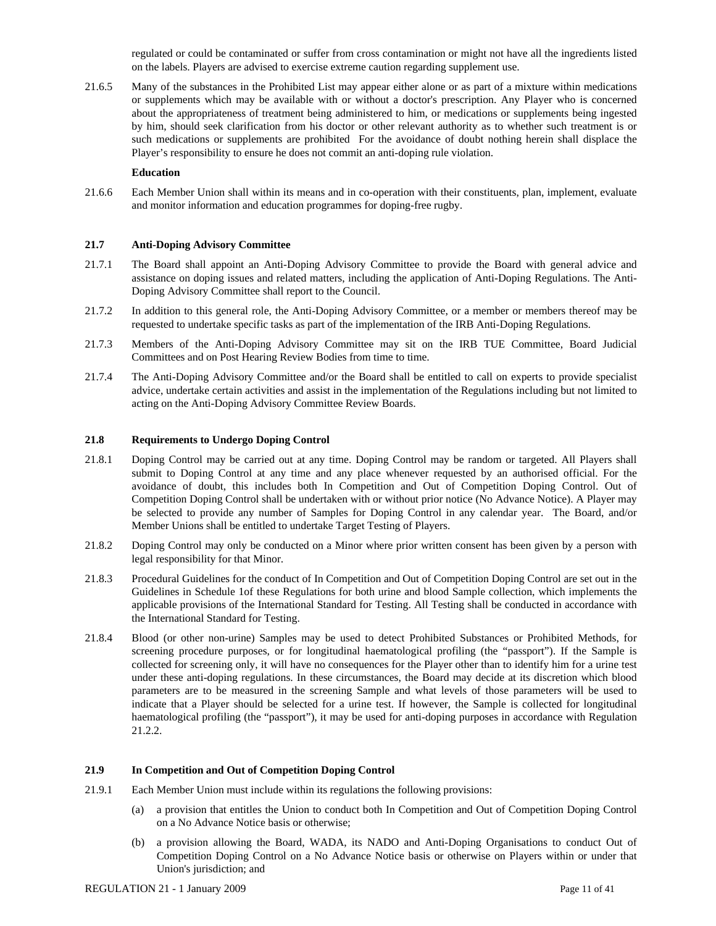regulated or could be contaminated or suffer from cross contamination or might not have all the ingredients listed on the labels. Players are advised to exercise extreme caution regarding supplement use.

21.6.5 Many of the substances in the Prohibited List may appear either alone or as part of a mixture within medications or supplements which may be available with or without a doctor's prescription. Any Player who is concerned about the appropriateness of treatment being administered to him, or medications or supplements being ingested by him, should seek clarification from his doctor or other relevant authority as to whether such treatment is or such medications or supplements are prohibited For the avoidance of doubt nothing herein shall displace the Player's responsibility to ensure he does not commit an anti-doping rule violation.

### **Education**

21.6.6 Each Member Union shall within its means and in co-operation with their constituents, plan, implement, evaluate and monitor information and education programmes for doping-free rugby.

# **21.7 Anti-Doping Advisory Committee**

- 21.7.1 The Board shall appoint an Anti-Doping Advisory Committee to provide the Board with general advice and assistance on doping issues and related matters, including the application of Anti-Doping Regulations. The Anti-Doping Advisory Committee shall report to the Council.
- 21.7.2 In addition to this general role, the Anti-Doping Advisory Committee, or a member or members thereof may be requested to undertake specific tasks as part of the implementation of the IRB Anti-Doping Regulations.
- 21.7.3 Members of the Anti-Doping Advisory Committee may sit on the IRB TUE Committee, Board Judicial Committees and on Post Hearing Review Bodies from time to time.
- 21.7.4 The Anti-Doping Advisory Committee and/or the Board shall be entitled to call on experts to provide specialist advice, undertake certain activities and assist in the implementation of the Regulations including but not limited to acting on the Anti-Doping Advisory Committee Review Boards.

# **21.8 Requirements to Undergo Doping Control**

- 21.8.1 Doping Control may be carried out at any time. Doping Control may be random or targeted. All Players shall submit to Doping Control at any time and any place whenever requested by an authorised official. For the avoidance of doubt, this includes both In Competition and Out of Competition Doping Control. Out of Competition Doping Control shall be undertaken with or without prior notice (No Advance Notice). A Player may be selected to provide any number of Samples for Doping Control in any calendar year. The Board, and/or Member Unions shall be entitled to undertake Target Testing of Players.
- 21.8.2 Doping Control may only be conducted on a Minor where prior written consent has been given by a person with legal responsibility for that Minor.
- 21.8.3 Procedural Guidelines for the conduct of In Competition and Out of Competition Doping Control are set out in the Guidelines in Schedule 1of these Regulations for both urine and blood Sample collection, which implements the applicable provisions of the International Standard for Testing. All Testing shall be conducted in accordance with the International Standard for Testing.
- 21.8.4 Blood (or other non-urine) Samples may be used to detect Prohibited Substances or Prohibited Methods, for screening procedure purposes, or for longitudinal haematological profiling (the "passport"). If the Sample is collected for screening only, it will have no consequences for the Player other than to identify him for a urine test under these anti-doping regulations. In these circumstances, the Board may decide at its discretion which blood parameters are to be measured in the screening Sample and what levels of those parameters will be used to indicate that a Player should be selected for a urine test. If however, the Sample is collected for longitudinal haematological profiling (the "passport"), it may be used for anti-doping purposes in accordance with Regulation 21.2.2.

#### **21.9 In Competition and Out of Competition Doping Control**

- 21.9.1 Each Member Union must include within its regulations the following provisions:
	- (a) a provision that entitles the Union to conduct both In Competition and Out of Competition Doping Control on a No Advance Notice basis or otherwise;
	- (b) a provision allowing the Board, WADA, its NADO and Anti-Doping Organisations to conduct Out of Competition Doping Control on a No Advance Notice basis or otherwise on Players within or under that Union's jurisdiction; and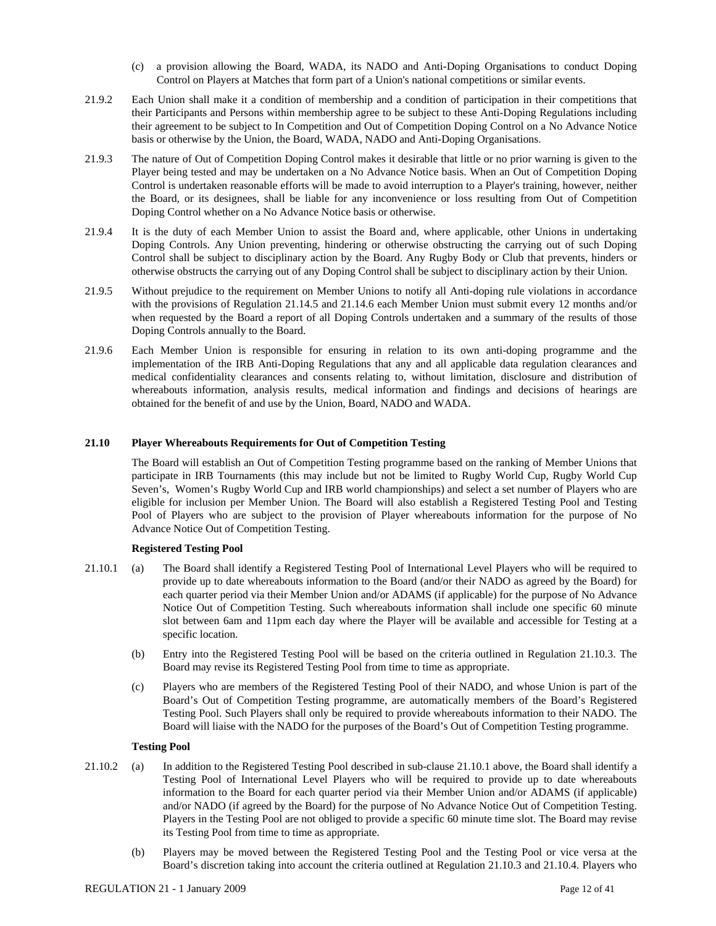- (c) a provision allowing the Board, WADA, its NADO and Anti-Doping Organisations to conduct Doping Control on Players at Matches that form part of a Union's national competitions or similar events.
- 21.9.2 Each Union shall make it a condition of membership and a condition of participation in their competitions that their Participants and Persons within membership agree to be subject to these Anti-Doping Regulations including their agreement to be subject to In Competition and Out of Competition Doping Control on a No Advance Notice basis or otherwise by the Union, the Board, WADA, NADO and Anti-Doping Organisations.
- 21.9.3 The nature of Out of Competition Doping Control makes it desirable that little or no prior warning is given to the Player being tested and may be undertaken on a No Advance Notice basis. When an Out of Competition Doping Control is undertaken reasonable efforts will be made to avoid interruption to a Player's training, however, neither the Board, or its designees, shall be liable for any inconvenience or loss resulting from Out of Competition Doping Control whether on a No Advance Notice basis or otherwise.
- 21.9.4 It is the duty of each Member Union to assist the Board and, where applicable, other Unions in undertaking Doping Controls. Any Union preventing, hindering or otherwise obstructing the carrying out of such Doping Control shall be subject to disciplinary action by the Board. Any Rugby Body or Club that prevents, hinders or otherwise obstructs the carrying out of any Doping Control shall be subject to disciplinary action by their Union.
- 21.9.5 Without prejudice to the requirement on Member Unions to notify all Anti-doping rule violations in accordance with the provisions of Regulation 21.14.5 and 21.14.6 each Member Union must submit every 12 months and/or when requested by the Board a report of all Doping Controls undertaken and a summary of the results of those Doping Controls annually to the Board.
- 21.9.6 Each Member Union is responsible for ensuring in relation to its own anti-doping programme and the implementation of the IRB Anti-Doping Regulations that any and all applicable data regulation clearances and medical confidentiality clearances and consents relating to, without limitation, disclosure and distribution of whereabouts information, analysis results, medical information and findings and decisions of hearings are obtained for the benefit of and use by the Union, Board, NADO and WADA.

# **21.10 Player Whereabouts Requirements for Out of Competition Testing**

The Board will establish an Out of Competition Testing programme based on the ranking of Member Unions that participate in IRB Tournaments (this may include but not be limited to Rugby World Cup, Rugby World Cup Seven's, Women's Rugby World Cup and IRB world championships) and select a set number of Players who are eligible for inclusion per Member Union. The Board will also establish a Registered Testing Pool and Testing Pool of Players who are subject to the provision of Player whereabouts information for the purpose of No Advance Notice Out of Competition Testing.

# **Registered Testing Pool**

- 21.10.1 (a) The Board shall identify a Registered Testing Pool of International Level Players who will be required to provide up to date whereabouts information to the Board (and/or their NADO as agreed by the Board) for each quarter period via their Member Union and/or ADAMS (if applicable) for the purpose of No Advance Notice Out of Competition Testing. Such whereabouts information shall include one specific 60 minute slot between 6am and 11pm each day where the Player will be available and accessible for Testing at a specific location.
	- (b) Entry into the Registered Testing Pool will be based on the criteria outlined in Regulation 21.10.3. The Board may revise its Registered Testing Pool from time to time as appropriate.
	- (c) Players who are members of the Registered Testing Pool of their NADO, and whose Union is part of the Board's Out of Competition Testing programme, are automatically members of the Board's Registered Testing Pool. Such Players shall only be required to provide whereabouts information to their NADO. The Board will liaise with the NADO for the purposes of the Board's Out of Competition Testing programme.

# **Testing Pool**

- 21.10.2 (a) In addition to the Registered Testing Pool described in sub-clause 21.10.1 above, the Board shall identify a Testing Pool of International Level Players who will be required to provide up to date whereabouts information to the Board for each quarter period via their Member Union and/or ADAMS (if applicable) and/or NADO (if agreed by the Board) for the purpose of No Advance Notice Out of Competition Testing. Players in the Testing Pool are not obliged to provide a specific 60 minute time slot. The Board may revise its Testing Pool from time to time as appropriate.
	- (b) Players may be moved between the Registered Testing Pool and the Testing Pool or vice versa at the Board's discretion taking into account the criteria outlined at Regulation 21.10.3 and 21.10.4. Players who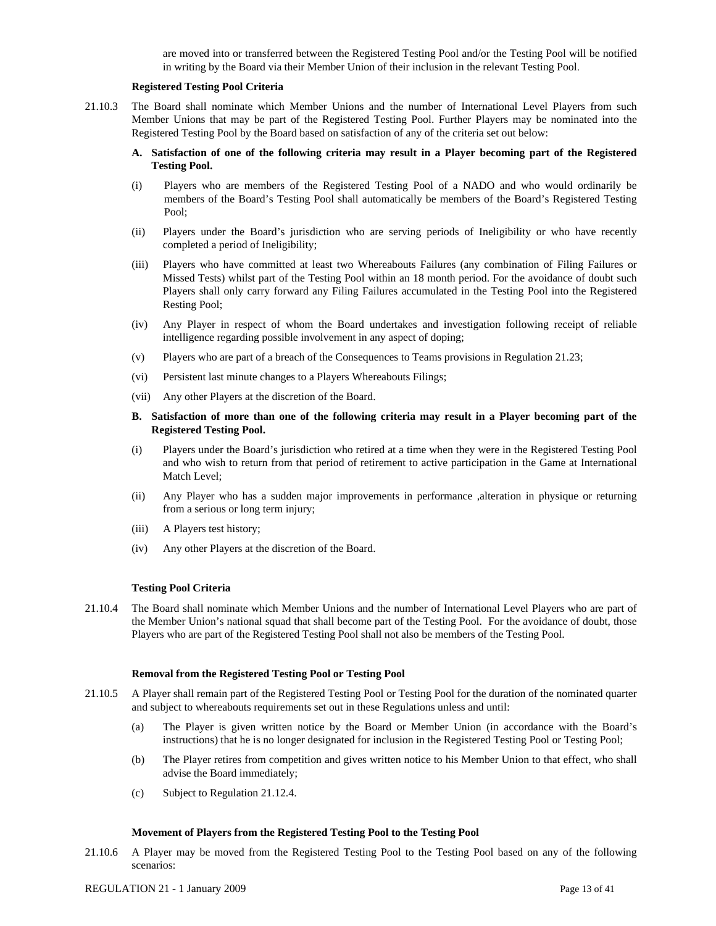are moved into or transferred between the Registered Testing Pool and/or the Testing Pool will be notified in writing by the Board via their Member Union of their inclusion in the relevant Testing Pool.

### **Registered Testing Pool Criteria**

- 21.10.3 The Board shall nominate which Member Unions and the number of International Level Players from such Member Unions that may be part of the Registered Testing Pool. Further Players may be nominated into the Registered Testing Pool by the Board based on satisfaction of any of the criteria set out below:
	- **A. Satisfaction of one of the following criteria may result in a Player becoming part of the Registered Testing Pool.**
	- (i) Players who are members of the Registered Testing Pool of a NADO and who would ordinarily be members of the Board's Testing Pool shall automatically be members of the Board's Registered Testing Pool;
	- (ii) Players under the Board's jurisdiction who are serving periods of Ineligibility or who have recently completed a period of Ineligibility;
	- (iii) Players who have committed at least two Whereabouts Failures (any combination of Filing Failures or Missed Tests) whilst part of the Testing Pool within an 18 month period. For the avoidance of doubt such Players shall only carry forward any Filing Failures accumulated in the Testing Pool into the Registered Resting Pool;
	- (iv) Any Player in respect of whom the Board undertakes and investigation following receipt of reliable intelligence regarding possible involvement in any aspect of doping;
	- (v) Players who are part of a breach of the Consequences to Teams provisions in Regulation 21.23;
	- (vi) Persistent last minute changes to a Players Whereabouts Filings;
	- (vii) Any other Players at the discretion of the Board.

### **B. Satisfaction of more than one of the following criteria may result in a Player becoming part of the Registered Testing Pool.**

- (i) Players under the Board's jurisdiction who retired at a time when they were in the Registered Testing Pool and who wish to return from that period of retirement to active participation in the Game at International Match Level;
- (ii) Any Player who has a sudden major improvements in performance ,alteration in physique or returning from a serious or long term injury;
- (iii) A Players test history;
- (iv) Any other Players at the discretion of the Board.

# **Testing Pool Criteria**

21.10.4 The Board shall nominate which Member Unions and the number of International Level Players who are part of the Member Union's national squad that shall become part of the Testing Pool. For the avoidance of doubt, those Players who are part of the Registered Testing Pool shall not also be members of the Testing Pool.

#### **Removal from the Registered Testing Pool or Testing Pool**

- 21.10.5 A Player shall remain part of the Registered Testing Pool or Testing Pool for the duration of the nominated quarter and subject to whereabouts requirements set out in these Regulations unless and until:
	- (a) The Player is given written notice by the Board or Member Union (in accordance with the Board's instructions) that he is no longer designated for inclusion in the Registered Testing Pool or Testing Pool;
	- (b) The Player retires from competition and gives written notice to his Member Union to that effect, who shall advise the Board immediately;
	- (c) Subject to Regulation 21.12.4.

#### **Movement of Players from the Registered Testing Pool to the Testing Pool**

21.10.6 A Player may be moved from the Registered Testing Pool to the Testing Pool based on any of the following scenarios: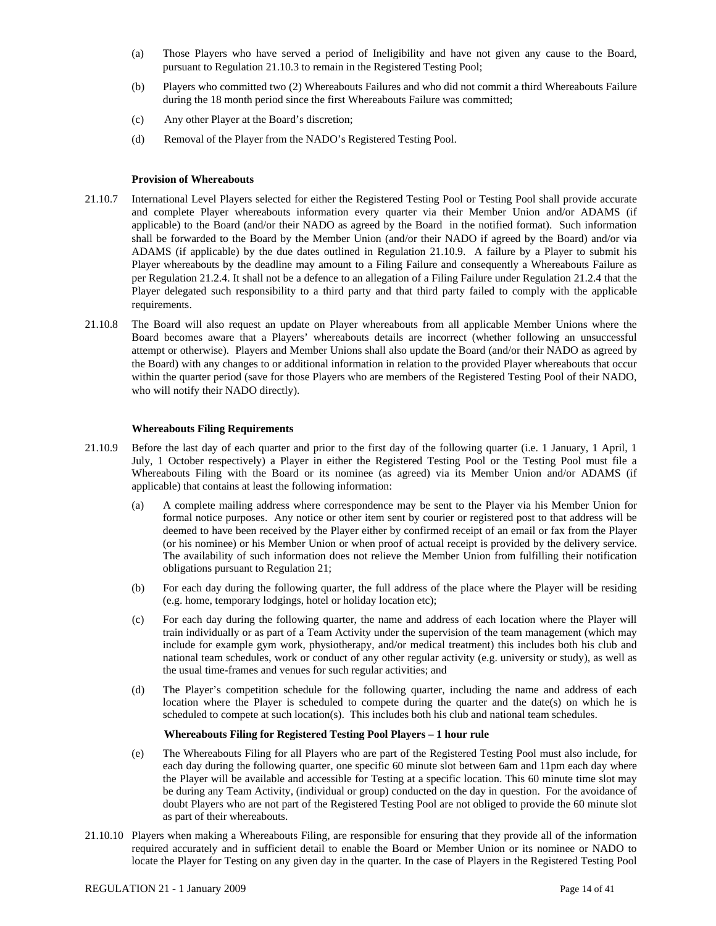- (a) Those Players who have served a period of Ineligibility and have not given any cause to the Board, pursuant to Regulation 21.10.3 to remain in the Registered Testing Pool;
- (b) Players who committed two (2) Whereabouts Failures and who did not commit a third Whereabouts Failure during the 18 month period since the first Whereabouts Failure was committed;
- (c) Any other Player at the Board's discretion;
- (d) Removal of the Player from the NADO's Registered Testing Pool.

# **Provision of Whereabouts**

- 21.10.7 International Level Players selected for either the Registered Testing Pool or Testing Pool shall provide accurate and complete Player whereabouts information every quarter via their Member Union and/or ADAMS (if applicable) to the Board (and/or their NADO as agreed by the Board in the notified format). Such information shall be forwarded to the Board by the Member Union (and/or their NADO if agreed by the Board) and/or via ADAMS (if applicable) by the due dates outlined in Regulation 21.10.9. A failure by a Player to submit his Player whereabouts by the deadline may amount to a Filing Failure and consequently a Whereabouts Failure as per Regulation 21.2.4. It shall not be a defence to an allegation of a Filing Failure under Regulation 21.2.4 that the Player delegated such responsibility to a third party and that third party failed to comply with the applicable requirements.
- 21.10.8 The Board will also request an update on Player whereabouts from all applicable Member Unions where the Board becomes aware that a Players' whereabouts details are incorrect (whether following an unsuccessful attempt or otherwise). Players and Member Unions shall also update the Board (and/or their NADO as agreed by the Board) with any changes to or additional information in relation to the provided Player whereabouts that occur within the quarter period (save for those Players who are members of the Registered Testing Pool of their NADO, who will notify their NADO directly).

### **Whereabouts Filing Requirements**

- 21.10.9 Before the last day of each quarter and prior to the first day of the following quarter (i.e. 1 January, 1 April, 1 July, 1 October respectively) a Player in either the Registered Testing Pool or the Testing Pool must file a Whereabouts Filing with the Board or its nominee (as agreed) via its Member Union and/or ADAMS (if applicable) that contains at least the following information:
	- (a) A complete mailing address where correspondence may be sent to the Player via his Member Union for formal notice purposes. Any notice or other item sent by courier or registered post to that address will be deemed to have been received by the Player either by confirmed receipt of an email or fax from the Player (or his nominee) or his Member Union or when proof of actual receipt is provided by the delivery service. The availability of such information does not relieve the Member Union from fulfilling their notification obligations pursuant to Regulation 21;
	- (b) For each day during the following quarter, the full address of the place where the Player will be residing (e.g. home, temporary lodgings, hotel or holiday location etc);
	- (c) For each day during the following quarter, the name and address of each location where the Player will train individually or as part of a Team Activity under the supervision of the team management (which may include for example gym work, physiotherapy, and/or medical treatment) this includes both his club and national team schedules, work or conduct of any other regular activity (e.g. university or study), as well as the usual time-frames and venues for such regular activities; and
	- (d) The Player's competition schedule for the following quarter, including the name and address of each location where the Player is scheduled to compete during the quarter and the date(s) on which he is scheduled to compete at such location(s). This includes both his club and national team schedules.

### **Whereabouts Filing for Registered Testing Pool Players – 1 hour rule**

- (e) The Whereabouts Filing for all Players who are part of the Registered Testing Pool must also include, for each day during the following quarter, one specific 60 minute slot between 6am and 11pm each day where the Player will be available and accessible for Testing at a specific location. This 60 minute time slot may be during any Team Activity, (individual or group) conducted on the day in question. For the avoidance of doubt Players who are not part of the Registered Testing Pool are not obliged to provide the 60 minute slot as part of their whereabouts.
- 21.10.10 Players when making a Whereabouts Filing, are responsible for ensuring that they provide all of the information required accurately and in sufficient detail to enable the Board or Member Union or its nominee or NADO to locate the Player for Testing on any given day in the quarter. In the case of Players in the Registered Testing Pool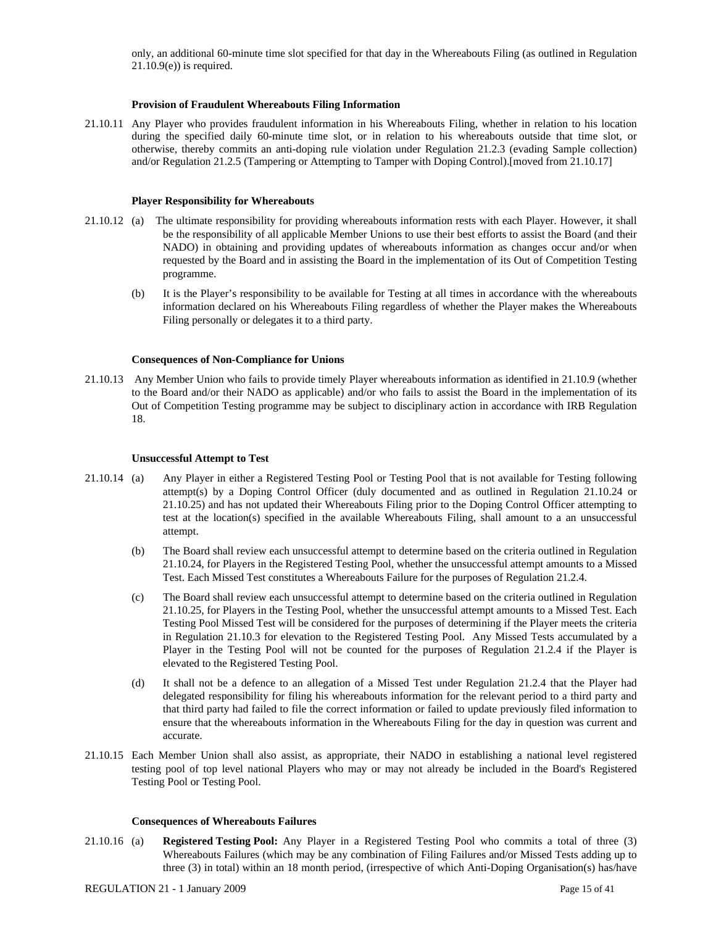only, an additional 60-minute time slot specified for that day in the Whereabouts Filing (as outlined in Regulation  $21.10.9(e)$ ) is required.

### **Provision of Fraudulent Whereabouts Filing Information**

21.10.11 Any Player who provides fraudulent information in his Whereabouts Filing, whether in relation to his location during the specified daily 60-minute time slot, or in relation to his whereabouts outside that time slot, or otherwise, thereby commits an anti-doping rule violation under Regulation 21.2.3 (evading Sample collection) and/or Regulation 21.2.5 (Tampering or Attempting to Tamper with Doping Control).[moved from 21.10.17]

### **Player Responsibility for Whereabouts**

- 21.10.12 (a) The ultimate responsibility for providing whereabouts information rests with each Player. However, it shall be the responsibility of all applicable Member Unions to use their best efforts to assist the Board (and their NADO) in obtaining and providing updates of whereabouts information as changes occur and/or when requested by the Board and in assisting the Board in the implementation of its Out of Competition Testing programme.
	- (b) It is the Player's responsibility to be available for Testing at all times in accordance with the whereabouts information declared on his Whereabouts Filing regardless of whether the Player makes the Whereabouts Filing personally or delegates it to a third party.

#### **Consequences of Non-Compliance for Unions**

21.10.13 Any Member Union who fails to provide timely Player whereabouts information as identified in 21.10.9 (whether to the Board and/or their NADO as applicable) and/or who fails to assist the Board in the implementation of its Out of Competition Testing programme may be subject to disciplinary action in accordance with IRB Regulation 18.

### **Unsuccessful Attempt to Test**

- 21.10.14 (a) Any Player in either a Registered Testing Pool or Testing Pool that is not available for Testing following attempt(s) by a Doping Control Officer (duly documented and as outlined in Regulation 21.10.24 or 21.10.25) and has not updated their Whereabouts Filing prior to the Doping Control Officer attempting to test at the location(s) specified in the available Whereabouts Filing, shall amount to a an unsuccessful attempt.
	- (b) The Board shall review each unsuccessful attempt to determine based on the criteria outlined in Regulation 21.10.24, for Players in the Registered Testing Pool, whether the unsuccessful attempt amounts to a Missed Test. Each Missed Test constitutes a Whereabouts Failure for the purposes of Regulation 21.2.4.
	- (c) The Board shall review each unsuccessful attempt to determine based on the criteria outlined in Regulation 21.10.25, for Players in the Testing Pool, whether the unsuccessful attempt amounts to a Missed Test. Each Testing Pool Missed Test will be considered for the purposes of determining if the Player meets the criteria in Regulation 21.10.3 for elevation to the Registered Testing Pool. Any Missed Tests accumulated by a Player in the Testing Pool will not be counted for the purposes of Regulation 21.2.4 if the Player is elevated to the Registered Testing Pool.
	- (d) It shall not be a defence to an allegation of a Missed Test under Regulation 21.2.4 that the Player had delegated responsibility for filing his whereabouts information for the relevant period to a third party and that third party had failed to file the correct information or failed to update previously filed information to ensure that the whereabouts information in the Whereabouts Filing for the day in question was current and accurate.
- 21.10.15 Each Member Union shall also assist, as appropriate, their NADO in establishing a national level registered testing pool of top level national Players who may or may not already be included in the Board's Registered Testing Pool or Testing Pool.

### **Consequences of Whereabouts Failures**

21.10.16 (a) **Registered Testing Pool:** Any Player in a Registered Testing Pool who commits a total of three (3) Whereabouts Failures (which may be any combination of Filing Failures and/or Missed Tests adding up to three (3) in total) within an 18 month period, (irrespective of which Anti-Doping Organisation(s) has/have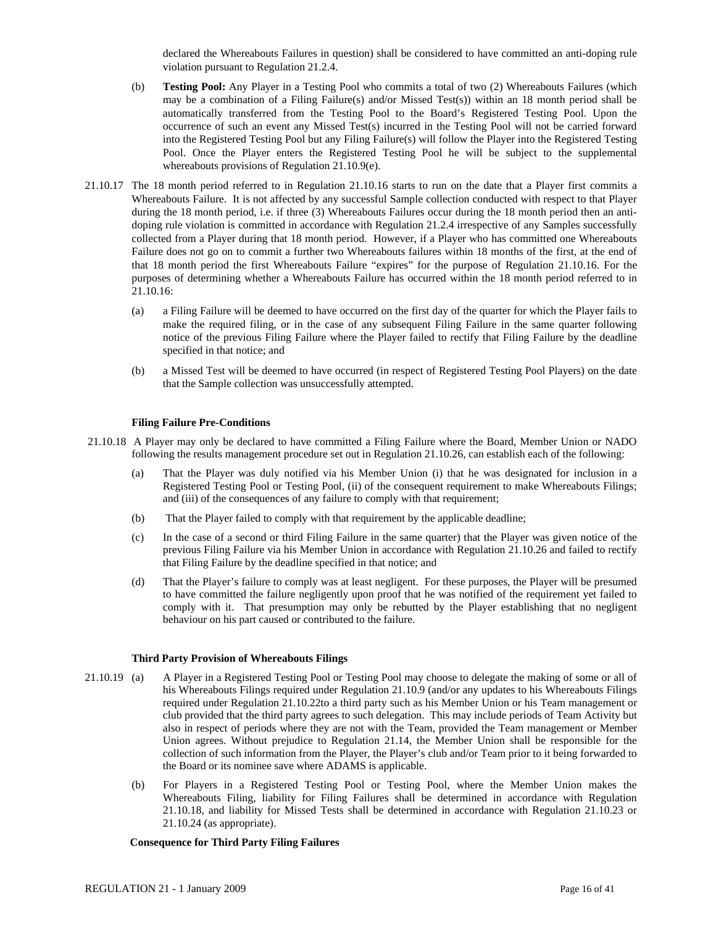declared the Whereabouts Failures in question) shall be considered to have committed an anti-doping rule violation pursuant to Regulation 21.2.4.

- (b) **Testing Pool:** Any Player in a Testing Pool who commits a total of two (2) Whereabouts Failures (which may be a combination of a Filing Failure(s) and/or Missed Test(s)) within an 18 month period shall be automatically transferred from the Testing Pool to the Board's Registered Testing Pool. Upon the occurrence of such an event any Missed Test(s) incurred in the Testing Pool will not be carried forward into the Registered Testing Pool but any Filing Failure(s) will follow the Player into the Registered Testing Pool. Once the Player enters the Registered Testing Pool he will be subject to the supplemental whereabouts provisions of Regulation 21.10.9(e).
- 21.10.17 The 18 month period referred to in Regulation 21.10.16 starts to run on the date that a Player first commits a Whereabouts Failure. It is not affected by any successful Sample collection conducted with respect to that Player during the 18 month period, i.e. if three (3) Whereabouts Failures occur during the 18 month period then an antidoping rule violation is committed in accordance with Regulation 21.2.4 irrespective of any Samples successfully collected from a Player during that 18 month period. However, if a Player who has committed one Whereabouts Failure does not go on to commit a further two Whereabouts failures within 18 months of the first, at the end of that 18 month period the first Whereabouts Failure "expires" for the purpose of Regulation 21.10.16. For the purposes of determining whether a Whereabouts Failure has occurred within the 18 month period referred to in 21.10.16:
	- (a) a Filing Failure will be deemed to have occurred on the first day of the quarter for which the Player fails to make the required filing, or in the case of any subsequent Filing Failure in the same quarter following notice of the previous Filing Failure where the Player failed to rectify that Filing Failure by the deadline specified in that notice; and
	- (b) a Missed Test will be deemed to have occurred (in respect of Registered Testing Pool Players) on the date that the Sample collection was unsuccessfully attempted.

# **Filing Failure Pre-Conditions**

- 21.10.18 A Player may only be declared to have committed a Filing Failure where the Board, Member Union or NADO following the results management procedure set out in Regulation 21.10.26, can establish each of the following:
	- (a) That the Player was duly notified via his Member Union (i) that he was designated for inclusion in a Registered Testing Pool or Testing Pool, (ii) of the consequent requirement to make Whereabouts Filings; and (iii) of the consequences of any failure to comply with that requirement;
	- (b) That the Player failed to comply with that requirement by the applicable deadline;
	- (c) In the case of a second or third Filing Failure in the same quarter) that the Player was given notice of the previous Filing Failure via his Member Union in accordance with Regulation 21.10.26 and failed to rectify that Filing Failure by the deadline specified in that notice; and
	- (d) That the Player's failure to comply was at least negligent. For these purposes, the Player will be presumed to have committed the failure negligently upon proof that he was notified of the requirement yet failed to comply with it. That presumption may only be rebutted by the Player establishing that no negligent behaviour on his part caused or contributed to the failure.

#### **Third Party Provision of Whereabouts Filings**

- 21.10.19 (a) A Player in a Registered Testing Pool or Testing Pool may choose to delegate the making of some or all of his Whereabouts Filings required under Regulation 21.10.9 (and/or any updates to his Whereabouts Filings required under Regulation 21.10.22to a third party such as his Member Union or his Team management or club provided that the third party agrees to such delegation. This may include periods of Team Activity but also in respect of periods where they are not with the Team, provided the Team management or Member Union agrees. Without prejudice to Regulation 21.14, the Member Union shall be responsible for the collection of such information from the Player, the Player's club and/or Team prior to it being forwarded to the Board or its nominee save where ADAMS is applicable.
	- (b) For Players in a Registered Testing Pool or Testing Pool, where the Member Union makes the Whereabouts Filing, liability for Filing Failures shall be determined in accordance with Regulation 21.10.18, and liability for Missed Tests shall be determined in accordance with Regulation 21.10.23 or 21.10.24 (as appropriate).

# **Consequence for Third Party Filing Failures**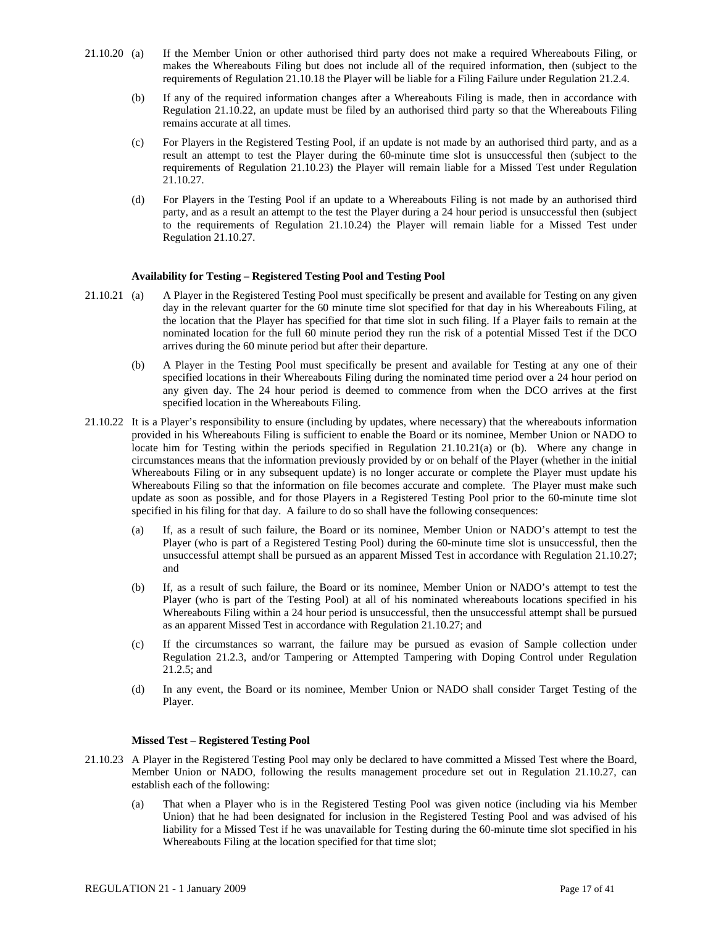- 21.10.20 (a) If the Member Union or other authorised third party does not make a required Whereabouts Filing, or makes the Whereabouts Filing but does not include all of the required information, then (subject to the requirements of Regulation 21.10.18 the Player will be liable for a Filing Failure under Regulation 21.2.4.
	- (b) If any of the required information changes after a Whereabouts Filing is made, then in accordance with Regulation 21.10.22, an update must be filed by an authorised third party so that the Whereabouts Filing remains accurate at all times.
	- (c) For Players in the Registered Testing Pool, if an update is not made by an authorised third party, and as a result an attempt to test the Player during the 60-minute time slot is unsuccessful then (subject to the requirements of Regulation 21.10.23) the Player will remain liable for a Missed Test under Regulation 21.10.27.
	- (d) For Players in the Testing Pool if an update to a Whereabouts Filing is not made by an authorised third party, and as a result an attempt to the test the Player during a 24 hour period is unsuccessful then (subject to the requirements of Regulation 21.10.24) the Player will remain liable for a Missed Test under Regulation 21.10.27.

# **Availability for Testing – Registered Testing Pool and Testing Pool**

- 21.10.21 (a) A Player in the Registered Testing Pool must specifically be present and available for Testing on any given day in the relevant quarter for the 60 minute time slot specified for that day in his Whereabouts Filing, at the location that the Player has specified for that time slot in such filing. If a Player fails to remain at the nominated location for the full 60 minute period they run the risk of a potential Missed Test if the DCO arrives during the 60 minute period but after their departure.
	- (b) A Player in the Testing Pool must specifically be present and available for Testing at any one of their specified locations in their Whereabouts Filing during the nominated time period over a 24 hour period on any given day. The 24 hour period is deemed to commence from when the DCO arrives at the first specified location in the Whereabouts Filing.
- 21.10.22 It is a Player's responsibility to ensure (including by updates, where necessary) that the whereabouts information provided in his Whereabouts Filing is sufficient to enable the Board or its nominee, Member Union or NADO to locate him for Testing within the periods specified in Regulation 21.10.21(a) or (b). Where any change in circumstances means that the information previously provided by or on behalf of the Player (whether in the initial Whereabouts Filing or in any subsequent update) is no longer accurate or complete the Player must update his Whereabouts Filing so that the information on file becomes accurate and complete. The Player must make such update as soon as possible, and for those Players in a Registered Testing Pool prior to the 60-minute time slot specified in his filing for that day. A failure to do so shall have the following consequences:
	- (a) If, as a result of such failure, the Board or its nominee, Member Union or NADO's attempt to test the Player (who is part of a Registered Testing Pool) during the 60-minute time slot is unsuccessful, then the unsuccessful attempt shall be pursued as an apparent Missed Test in accordance with Regulation 21.10.27; and
	- (b) If, as a result of such failure, the Board or its nominee, Member Union or NADO's attempt to test the Player (who is part of the Testing Pool) at all of his nominated whereabouts locations specified in his Whereabouts Filing within a 24 hour period is unsuccessful, then the unsuccessful attempt shall be pursued as an apparent Missed Test in accordance with Regulation 21.10.27; and
	- (c) If the circumstances so warrant, the failure may be pursued as evasion of Sample collection under Regulation 21.2.3, and/or Tampering or Attempted Tampering with Doping Control under Regulation 21.2.5; and
	- (d) In any event, the Board or its nominee, Member Union or NADO shall consider Target Testing of the Player.

### **Missed Test – Registered Testing Pool**

- 21.10.23 A Player in the Registered Testing Pool may only be declared to have committed a Missed Test where the Board, Member Union or NADO, following the results management procedure set out in Regulation 21.10.27, can establish each of the following:
	- (a) That when a Player who is in the Registered Testing Pool was given notice (including via his Member Union) that he had been designated for inclusion in the Registered Testing Pool and was advised of his liability for a Missed Test if he was unavailable for Testing during the 60-minute time slot specified in his Whereabouts Filing at the location specified for that time slot;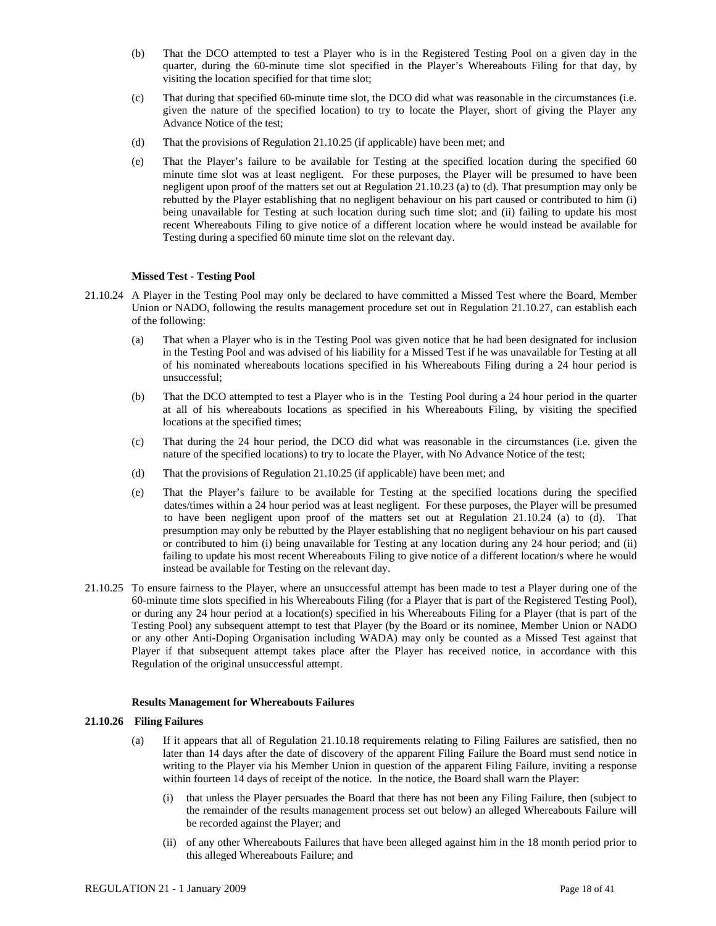- (b) That the DCO attempted to test a Player who is in the Registered Testing Pool on a given day in the quarter, during the 60-minute time slot specified in the Player's Whereabouts Filing for that day, by visiting the location specified for that time slot;
- (c) That during that specified 60-minute time slot, the DCO did what was reasonable in the circumstances (i.e. given the nature of the specified location) to try to locate the Player, short of giving the Player any Advance Notice of the test;
- (d) That the provisions of Regulation 21.10.25 (if applicable) have been met; and
- (e) That the Player's failure to be available for Testing at the specified location during the specified 60 minute time slot was at least negligent. For these purposes, the Player will be presumed to have been negligent upon proof of the matters set out at Regulation 21.10.23 (a) to (d). That presumption may only be rebutted by the Player establishing that no negligent behaviour on his part caused or contributed to him (i) being unavailable for Testing at such location during such time slot; and (ii) failing to update his most recent Whereabouts Filing to give notice of a different location where he would instead be available for Testing during a specified 60 minute time slot on the relevant day.

# **Missed Test - Testing Pool**

- 21.10.24 A Player in the Testing Pool may only be declared to have committed a Missed Test where the Board, Member Union or NADO, following the results management procedure set out in Regulation 21.10.27, can establish each of the following:
	- (a) That when a Player who is in the Testing Pool was given notice that he had been designated for inclusion in the Testing Pool and was advised of his liability for a Missed Test if he was unavailable for Testing at all of his nominated whereabouts locations specified in his Whereabouts Filing during a 24 hour period is unsuccessful;
	- (b) That the DCO attempted to test a Player who is in the Testing Pool during a 24 hour period in the quarter at all of his whereabouts locations as specified in his Whereabouts Filing, by visiting the specified locations at the specified times;
	- (c) That during the 24 hour period, the DCO did what was reasonable in the circumstances (i.e. given the nature of the specified locations) to try to locate the Player, with No Advance Notice of the test;
	- (d) That the provisions of Regulation 21.10.25 (if applicable) have been met; and
	- (e) That the Player's failure to be available for Testing at the specified locations during the specified dates/times within a 24 hour period was at least negligent. For these purposes, the Player will be presumed to have been negligent upon proof of the matters set out at Regulation 21.10.24 (a) to (d). That presumption may only be rebutted by the Player establishing that no negligent behaviour on his part caused or contributed to him (i) being unavailable for Testing at any location during any 24 hour period; and (ii) failing to update his most recent Whereabouts Filing to give notice of a different location/s where he would instead be available for Testing on the relevant day.
- 21.10.25 To ensure fairness to the Player, where an unsuccessful attempt has been made to test a Player during one of the 60-minute time slots specified in his Whereabouts Filing (for a Player that is part of the Registered Testing Pool), or during any 24 hour period at a location(s) specified in his Whereabouts Filing for a Player (that is part of the Testing Pool) any subsequent attempt to test that Player (by the Board or its nominee, Member Union or NADO or any other Anti-Doping Organisation including WADA) may only be counted as a Missed Test against that Player if that subsequent attempt takes place after the Player has received notice, in accordance with this Regulation of the original unsuccessful attempt.

#### **Results Management for Whereabouts Failures**

### **21.10.26 Filing Failures**

- (a) If it appears that all of Regulation 21.10.18 requirements relating to Filing Failures are satisfied, then no later than 14 days after the date of discovery of the apparent Filing Failure the Board must send notice in writing to the Player via his Member Union in question of the apparent Filing Failure, inviting a response within fourteen 14 days of receipt of the notice. In the notice, the Board shall warn the Player:
	- (i) that unless the Player persuades the Board that there has not been any Filing Failure, then (subject to the remainder of the results management process set out below) an alleged Whereabouts Failure will be recorded against the Player; and
	- (ii) of any other Whereabouts Failures that have been alleged against him in the 18 month period prior to this alleged Whereabouts Failure; and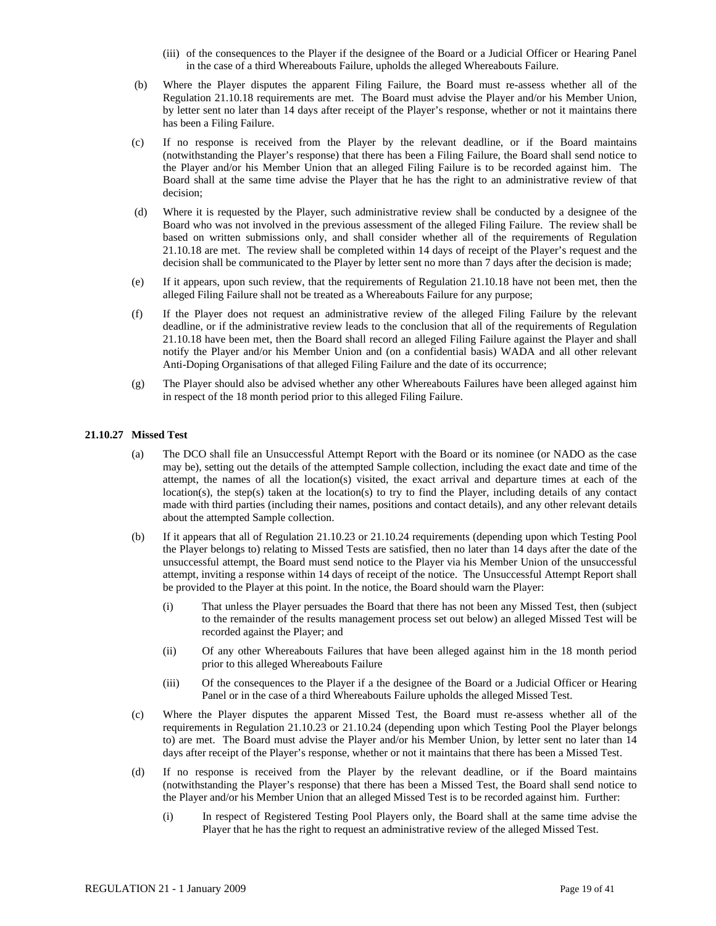- (iii) of the consequences to the Player if the designee of the Board or a Judicial Officer or Hearing Panel in the case of a third Whereabouts Failure, upholds the alleged Whereabouts Failure.
- (b) Where the Player disputes the apparent Filing Failure, the Board must re-assess whether all of the Regulation 21.10.18 requirements are met. The Board must advise the Player and/or his Member Union, by letter sent no later than 14 days after receipt of the Player's response, whether or not it maintains there has been a Filing Failure.
- (c) If no response is received from the Player by the relevant deadline, or if the Board maintains (notwithstanding the Player's response) that there has been a Filing Failure, the Board shall send notice to the Player and/or his Member Union that an alleged Filing Failure is to be recorded against him. The Board shall at the same time advise the Player that he has the right to an administrative review of that decision;
- (d) Where it is requested by the Player, such administrative review shall be conducted by a designee of the Board who was not involved in the previous assessment of the alleged Filing Failure. The review shall be based on written submissions only, and shall consider whether all of the requirements of Regulation 21.10.18 are met. The review shall be completed within 14 days of receipt of the Player's request and the decision shall be communicated to the Player by letter sent no more than 7 days after the decision is made;
- (e) If it appears, upon such review, that the requirements of Regulation 21.10.18 have not been met, then the alleged Filing Failure shall not be treated as a Whereabouts Failure for any purpose;
- (f) If the Player does not request an administrative review of the alleged Filing Failure by the relevant deadline, or if the administrative review leads to the conclusion that all of the requirements of Regulation 21.10.18 have been met, then the Board shall record an alleged Filing Failure against the Player and shall notify the Player and/or his Member Union and (on a confidential basis) WADA and all other relevant Anti-Doping Organisations of that alleged Filing Failure and the date of its occurrence;
- (g) The Player should also be advised whether any other Whereabouts Failures have been alleged against him in respect of the 18 month period prior to this alleged Filing Failure.

# **21.10.27 Missed Test**

- (a) The DCO shall file an Unsuccessful Attempt Report with the Board or its nominee (or NADO as the case may be), setting out the details of the attempted Sample collection, including the exact date and time of the attempt, the names of all the location(s) visited, the exact arrival and departure times at each of the location(s), the step(s) taken at the location(s) to try to find the Player, including details of any contact made with third parties (including their names, positions and contact details), and any other relevant details about the attempted Sample collection.
- (b) If it appears that all of Regulation 21.10.23 or 21.10.24 requirements (depending upon which Testing Pool the Player belongs to) relating to Missed Tests are satisfied, then no later than 14 days after the date of the unsuccessful attempt, the Board must send notice to the Player via his Member Union of the unsuccessful attempt, inviting a response within 14 days of receipt of the notice. The Unsuccessful Attempt Report shall be provided to the Player at this point. In the notice, the Board should warn the Player:
	- (i) That unless the Player persuades the Board that there has not been any Missed Test, then (subject to the remainder of the results management process set out below) an alleged Missed Test will be recorded against the Player; and
	- (ii) Of any other Whereabouts Failures that have been alleged against him in the 18 month period prior to this alleged Whereabouts Failure
	- (iii) Of the consequences to the Player if a the designee of the Board or a Judicial Officer or Hearing Panel or in the case of a third Whereabouts Failure upholds the alleged Missed Test.
- (c) Where the Player disputes the apparent Missed Test, the Board must re-assess whether all of the requirements in Regulation 21.10.23 or 21.10.24 (depending upon which Testing Pool the Player belongs to) are met. The Board must advise the Player and/or his Member Union, by letter sent no later than 14 days after receipt of the Player's response, whether or not it maintains that there has been a Missed Test.
- (d) If no response is received from the Player by the relevant deadline, or if the Board maintains (notwithstanding the Player's response) that there has been a Missed Test, the Board shall send notice to the Player and/or his Member Union that an alleged Missed Test is to be recorded against him. Further:
	- (i) In respect of Registered Testing Pool Players only, the Board shall at the same time advise the Player that he has the right to request an administrative review of the alleged Missed Test.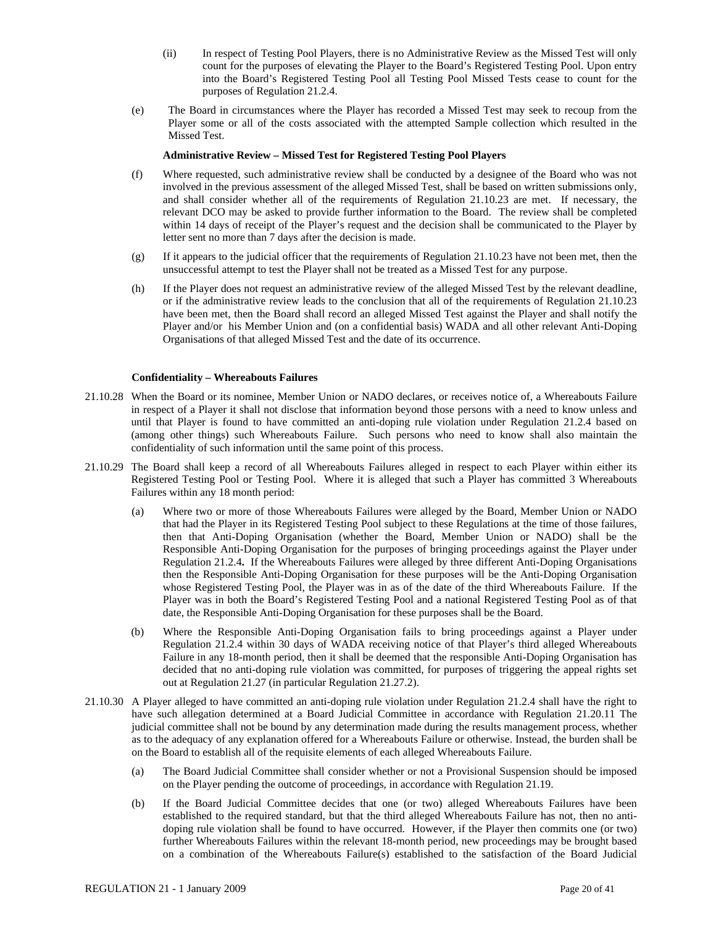- (ii) In respect of Testing Pool Players, there is no Administrative Review as the Missed Test will only count for the purposes of elevating the Player to the Board's Registered Testing Pool. Upon entry into the Board's Registered Testing Pool all Testing Pool Missed Tests cease to count for the purposes of Regulation 21.2.4.
- (e) The Board in circumstances where the Player has recorded a Missed Test may seek to recoup from the Player some or all of the costs associated with the attempted Sample collection which resulted in the Missed Test.

# **Administrative Review – Missed Test for Registered Testing Pool Players**

- (f) Where requested, such administrative review shall be conducted by a designee of the Board who was not involved in the previous assessment of the alleged Missed Test, shall be based on written submissions only, and shall consider whether all of the requirements of Regulation 21.10.23 are met. If necessary, the relevant DCO may be asked to provide further information to the Board. The review shall be completed within 14 days of receipt of the Player's request and the decision shall be communicated to the Player by letter sent no more than 7 days after the decision is made.
- (g) If it appears to the judicial officer that the requirements of Regulation 21.10.23 have not been met, then the unsuccessful attempt to test the Player shall not be treated as a Missed Test for any purpose.
- (h) If the Player does not request an administrative review of the alleged Missed Test by the relevant deadline, or if the administrative review leads to the conclusion that all of the requirements of Regulation 21.10.23 have been met, then the Board shall record an alleged Missed Test against the Player and shall notify the Player and/or his Member Union and (on a confidential basis) WADA and all other relevant Anti-Doping Organisations of that alleged Missed Test and the date of its occurrence.

### **Confidentiality – Whereabouts Failures**

- 21.10.28 When the Board or its nominee, Member Union or NADO declares, or receives notice of, a Whereabouts Failure in respect of a Player it shall not disclose that information beyond those persons with a need to know unless and until that Player is found to have committed an anti-doping rule violation under Regulation 21.2.4 based on (among other things) such Whereabouts Failure. Such persons who need to know shall also maintain the confidentiality of such information until the same point of this process.
- 21.10.29 The Board shall keep a record of all Whereabouts Failures alleged in respect to each Player within either its Registered Testing Pool or Testing Pool. Where it is alleged that such a Player has committed 3 Whereabouts Failures within any 18 month period:
	- (a) Where two or more of those Whereabouts Failures were alleged by the Board, Member Union or NADO that had the Player in its Registered Testing Pool subject to these Regulations at the time of those failures, then that Anti-Doping Organisation (whether the Board, Member Union or NADO) shall be the Responsible Anti-Doping Organisation for the purposes of bringing proceedings against the Player under Regulation 21.2.4**.** If the Whereabouts Failures were alleged by three different Anti-Doping Organisations then the Responsible Anti-Doping Organisation for these purposes will be the Anti-Doping Organisation whose Registered Testing Pool, the Player was in as of the date of the third Whereabouts Failure. If the Player was in both the Board's Registered Testing Pool and a national Registered Testing Pool as of that date, the Responsible Anti-Doping Organisation for these purposes shall be the Board.
	- (b) Where the Responsible Anti-Doping Organisation fails to bring proceedings against a Player under Regulation 21.2.4 within 30 days of WADA receiving notice of that Player's third alleged Whereabouts Failure in any 18-month period, then it shall be deemed that the responsible Anti-Doping Organisation has decided that no anti-doping rule violation was committed, for purposes of triggering the appeal rights set out at Regulation 21.27 (in particular Regulation 21.27.2).
- 21.10.30 A Player alleged to have committed an anti-doping rule violation under Regulation 21.2.4 shall have the right to have such allegation determined at a Board Judicial Committee in accordance with Regulation 21.20.11 The judicial committee shall not be bound by any determination made during the results management process, whether as to the adequacy of any explanation offered for a Whereabouts Failure or otherwise. Instead, the burden shall be on the Board to establish all of the requisite elements of each alleged Whereabouts Failure.
	- (a) The Board Judicial Committee shall consider whether or not a Provisional Suspension should be imposed on the Player pending the outcome of proceedings, in accordance with Regulation 21.19.
	- (b) If the Board Judicial Committee decides that one (or two) alleged Whereabouts Failures have been established to the required standard, but that the third alleged Whereabouts Failure has not, then no antidoping rule violation shall be found to have occurred. However, if the Player then commits one (or two) further Whereabouts Failures within the relevant 18-month period, new proceedings may be brought based on a combination of the Whereabouts Failure(s) established to the satisfaction of the Board Judicial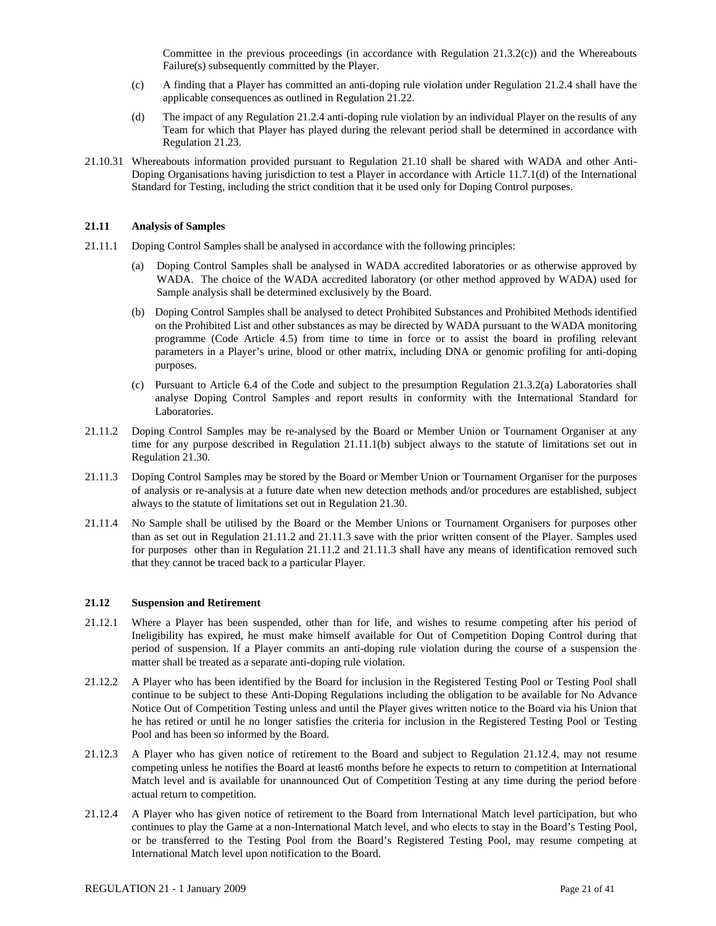Committee in the previous proceedings (in accordance with Regulation 21.3.2(c)) and the Whereabouts Failure(s) subsequently committed by the Player.

- (c) A finding that a Player has committed an anti-doping rule violation under Regulation 21.2.4 shall have the applicable consequences as outlined in Regulation 21.22.
- (d) The impact of any Regulation 21.2.4 anti-doping rule violation by an individual Player on the results of any Team for which that Player has played during the relevant period shall be determined in accordance with Regulation 21.23.
- 21.10.31 Whereabouts information provided pursuant to Regulation 21.10 shall be shared with WADA and other Anti-Doping Organisations having jurisdiction to test a Player in accordance with Article 11.7.1(d) of the International Standard for Testing, including the strict condition that it be used only for Doping Control purposes.

# **21.11 Analysis of Samples**

- 21.11.1 Doping Control Samples shall be analysed in accordance with the following principles:
	- (a) Doping Control Samples shall be analysed in WADA accredited laboratories or as otherwise approved by WADA. The choice of the WADA accredited laboratory (or other method approved by WADA) used for Sample analysis shall be determined exclusively by the Board.
	- (b) Doping Control Samples shall be analysed to detect Prohibited Substances and Prohibited Methods identified on the Prohibited List and other substances as may be directed by WADA pursuant to the WADA monitoring programme (Code Article 4.5) from time to time in force or to assist the board in profiling relevant parameters in a Player's urine, blood or other matrix, including DNA or genomic profiling for anti-doping purposes.
	- (c) Pursuant to Article 6.4 of the Code and subject to the presumption Regulation 21.3.2(a) Laboratories shall analyse Doping Control Samples and report results in conformity with the International Standard for Laboratories.
- 21.11.2 Doping Control Samples may be re-analysed by the Board or Member Union or Tournament Organiser at any time for any purpose described in Regulation 21.11.1(b) subject always to the statute of limitations set out in Regulation 21.30.
- 21.11.3 Doping Control Samples may be stored by the Board or Member Union or Tournament Organiser for the purposes of analysis or re-analysis at a future date when new detection methods and/or procedures are established, subject always to the statute of limitations set out in Regulation 21.30.
- 21.11.4 No Sample shall be utilised by the Board or the Member Unions or Tournament Organisers for purposes other than as set out in Regulation 21.11.2 and 21.11.3 save with the prior written consent of the Player. Samples used for purposes other than in Regulation 21.11.2 and 21.11.3 shall have any means of identification removed such that they cannot be traced back to a particular Player.

# **21.12 Suspension and Retirement**

- 21.12.1 Where a Player has been suspended, other than for life, and wishes to resume competing after his period of Ineligibility has expired, he must make himself available for Out of Competition Doping Control during that period of suspension. If a Player commits an anti-doping rule violation during the course of a suspension the matter shall be treated as a separate anti-doping rule violation.
- 21.12.2 A Player who has been identified by the Board for inclusion in the Registered Testing Pool or Testing Pool shall continue to be subject to these Anti-Doping Regulations including the obligation to be available for No Advance Notice Out of Competition Testing unless and until the Player gives written notice to the Board via his Union that he has retired or until he no longer satisfies the criteria for inclusion in the Registered Testing Pool or Testing Pool and has been so informed by the Board.
- 21.12.3 A Player who has given notice of retirement to the Board and subject to Regulation 21.12.4, may not resume competing unless he notifies the Board at least6 months before he expects to return to competition at International Match level and is available for unannounced Out of Competition Testing at any time during the period before actual return to competition.
- 21.12.4 A Player who has given notice of retirement to the Board from International Match level participation, but who continues to play the Game at a non-International Match level, and who elects to stay in the Board's Testing Pool, or be transferred to the Testing Pool from the Board's Registered Testing Pool, may resume competing at International Match level upon notification to the Board.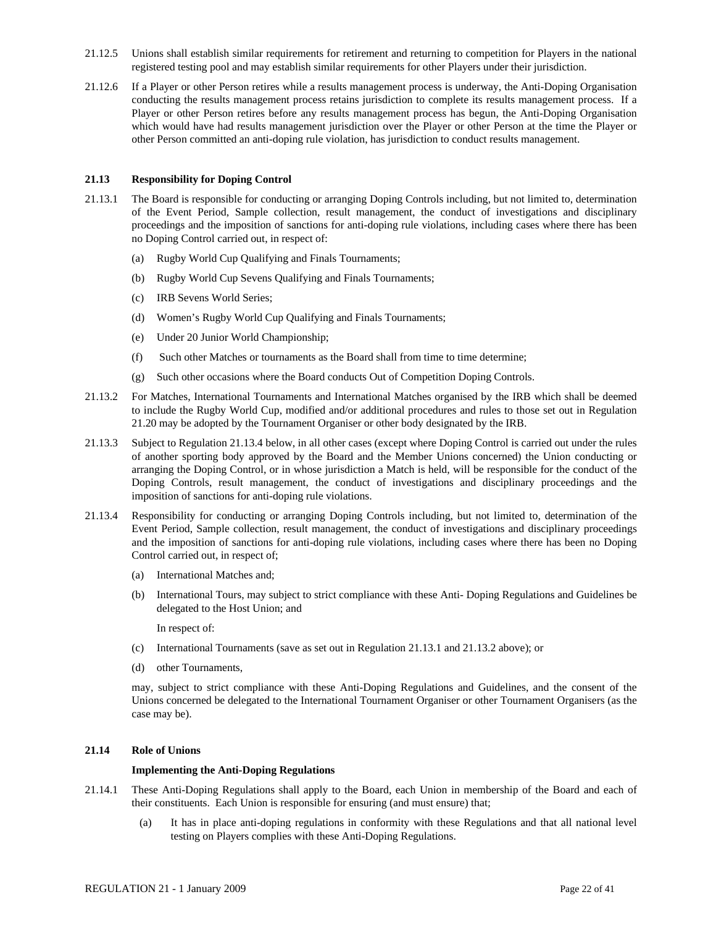- 21.12.5 Unions shall establish similar requirements for retirement and returning to competition for Players in the national registered testing pool and may establish similar requirements for other Players under their jurisdiction.
- 21.12.6 If a Player or other Person retires while a results management process is underway, the Anti-Doping Organisation conducting the results management process retains jurisdiction to complete its results management process. If a Player or other Person retires before any results management process has begun, the Anti-Doping Organisation which would have had results management jurisdiction over the Player or other Person at the time the Player or other Person committed an anti-doping rule violation, has jurisdiction to conduct results management.

### **21.13 Responsibility for Doping Control**

- 21.13.1 The Board is responsible for conducting or arranging Doping Controls including, but not limited to, determination of the Event Period, Sample collection, result management, the conduct of investigations and disciplinary proceedings and the imposition of sanctions for anti-doping rule violations, including cases where there has been no Doping Control carried out, in respect of:
	- (a) Rugby World Cup Qualifying and Finals Tournaments;
	- (b) Rugby World Cup Sevens Qualifying and Finals Tournaments;
	- (c) IRB Sevens World Series;
	- (d) Women's Rugby World Cup Qualifying and Finals Tournaments;
	- (e) Under 20 Junior World Championship;
	- (f) Such other Matches or tournaments as the Board shall from time to time determine;
	- (g) Such other occasions where the Board conducts Out of Competition Doping Controls.
- 21.13.2 For Matches, International Tournaments and International Matches organised by the IRB which shall be deemed to include the Rugby World Cup, modified and/or additional procedures and rules to those set out in Regulation 21.20 may be adopted by the Tournament Organiser or other body designated by the IRB.
- 21.13.3 Subject to Regulation 21.13.4 below, in all other cases (except where Doping Control is carried out under the rules of another sporting body approved by the Board and the Member Unions concerned) the Union conducting or arranging the Doping Control, or in whose jurisdiction a Match is held, will be responsible for the conduct of the Doping Controls, result management, the conduct of investigations and disciplinary proceedings and the imposition of sanctions for anti-doping rule violations.
- 21.13.4 Responsibility for conducting or arranging Doping Controls including, but not limited to, determination of the Event Period, Sample collection, result management, the conduct of investigations and disciplinary proceedings and the imposition of sanctions for anti-doping rule violations, including cases where there has been no Doping Control carried out, in respect of;
	- (a) International Matches and;
	- (b) International Tours, may subject to strict compliance with these Anti- Doping Regulations and Guidelines be delegated to the Host Union; and

In respect of:

- (c) International Tournaments (save as set out in Regulation 21.13.1 and 21.13.2 above); or
- (d) other Tournaments,

 may, subject to strict compliance with these Anti-Doping Regulations and Guidelines, and the consent of the Unions concerned be delegated to the International Tournament Organiser or other Tournament Organisers (as the case may be).

### **21.14 Role of Unions**

#### **Implementing the Anti-Doping Regulations**

- 21.14.1 These Anti-Doping Regulations shall apply to the Board, each Union in membership of the Board and each of their constituents. Each Union is responsible for ensuring (and must ensure) that;
	- (a) It has in place anti-doping regulations in conformity with these Regulations and that all national level testing on Players complies with these Anti-Doping Regulations.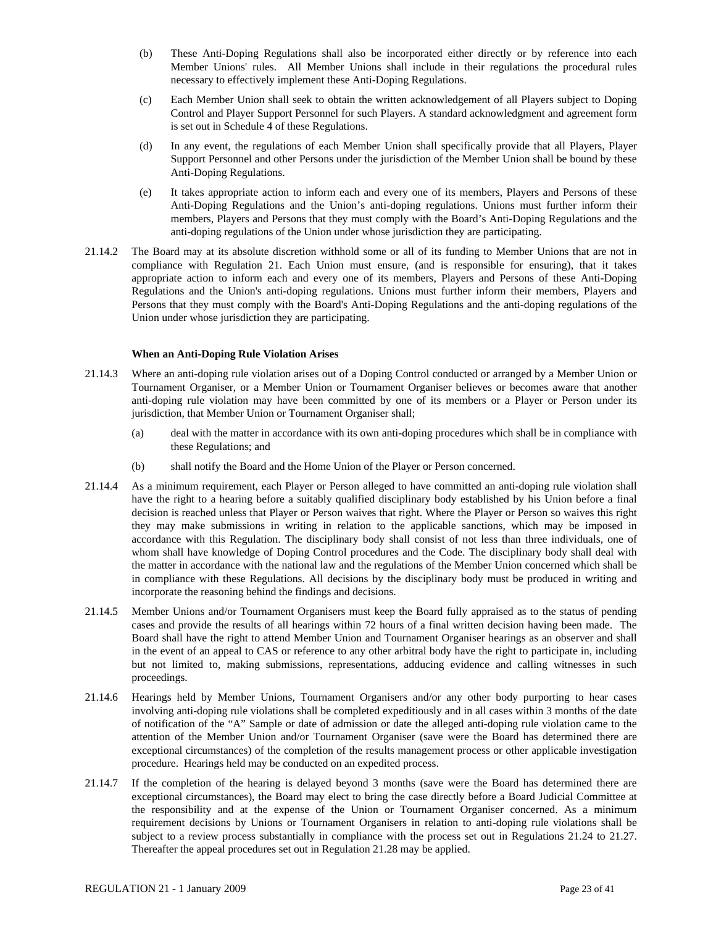- (b) These Anti-Doping Regulations shall also be incorporated either directly or by reference into each Member Unions' rules. All Member Unions shall include in their regulations the procedural rules necessary to effectively implement these Anti-Doping Regulations.
- (c) Each Member Union shall seek to obtain the written acknowledgement of all Players subject to Doping Control and Player Support Personnel for such Players. A standard acknowledgment and agreement form is set out in Schedule 4 of these Regulations.
- (d) In any event, the regulations of each Member Union shall specifically provide that all Players, Player Support Personnel and other Persons under the jurisdiction of the Member Union shall be bound by these Anti-Doping Regulations.
- (e) It takes appropriate action to inform each and every one of its members, Players and Persons of these Anti-Doping Regulations and the Union's anti-doping regulations. Unions must further inform their members, Players and Persons that they must comply with the Board's Anti-Doping Regulations and the anti-doping regulations of the Union under whose jurisdiction they are participating.
- 21.14.2 The Board may at its absolute discretion withhold some or all of its funding to Member Unions that are not in compliance with Regulation 21. Each Union must ensure, (and is responsible for ensuring), that it takes appropriate action to inform each and every one of its members, Players and Persons of these Anti-Doping Regulations and the Union's anti-doping regulations. Unions must further inform their members, Players and Persons that they must comply with the Board's Anti-Doping Regulations and the anti-doping regulations of the Union under whose jurisdiction they are participating.

# **When an Anti-Doping Rule Violation Arises**

- 21.14.3 Where an anti-doping rule violation arises out of a Doping Control conducted or arranged by a Member Union or Tournament Organiser, or a Member Union or Tournament Organiser believes or becomes aware that another anti-doping rule violation may have been committed by one of its members or a Player or Person under its jurisdiction, that Member Union or Tournament Organiser shall;
	- (a) deal with the matter in accordance with its own anti-doping procedures which shall be in compliance with these Regulations; and
	- (b) shall notify the Board and the Home Union of the Player or Person concerned.
- 21.14.4 As a minimum requirement, each Player or Person alleged to have committed an anti-doping rule violation shall have the right to a hearing before a suitably qualified disciplinary body established by his Union before a final decision is reached unless that Player or Person waives that right. Where the Player or Person so waives this right they may make submissions in writing in relation to the applicable sanctions, which may be imposed in accordance with this Regulation. The disciplinary body shall consist of not less than three individuals, one of whom shall have knowledge of Doping Control procedures and the Code. The disciplinary body shall deal with the matter in accordance with the national law and the regulations of the Member Union concerned which shall be in compliance with these Regulations. All decisions by the disciplinary body must be produced in writing and incorporate the reasoning behind the findings and decisions.
- 21.14.5 Member Unions and/or Tournament Organisers must keep the Board fully appraised as to the status of pending cases and provide the results of all hearings within 72 hours of a final written decision having been made. The Board shall have the right to attend Member Union and Tournament Organiser hearings as an observer and shall in the event of an appeal to CAS or reference to any other arbitral body have the right to participate in, including but not limited to, making submissions, representations, adducing evidence and calling witnesses in such proceedings.
- 21.14.6 Hearings held by Member Unions, Tournament Organisers and/or any other body purporting to hear cases involving anti-doping rule violations shall be completed expeditiously and in all cases within 3 months of the date of notification of the "A" Sample or date of admission or date the alleged anti-doping rule violation came to the attention of the Member Union and/or Tournament Organiser (save were the Board has determined there are exceptional circumstances) of the completion of the results management process or other applicable investigation procedure. Hearings held may be conducted on an expedited process.
- 21.14.7 If the completion of the hearing is delayed beyond 3 months (save were the Board has determined there are exceptional circumstances), the Board may elect to bring the case directly before a Board Judicial Committee at the responsibility and at the expense of the Union or Tournament Organiser concerned. As a minimum requirement decisions by Unions or Tournament Organisers in relation to anti-doping rule violations shall be subject to a review process substantially in compliance with the process set out in Regulations 21.24 to 21.27. Thereafter the appeal procedures set out in Regulation 21.28 may be applied.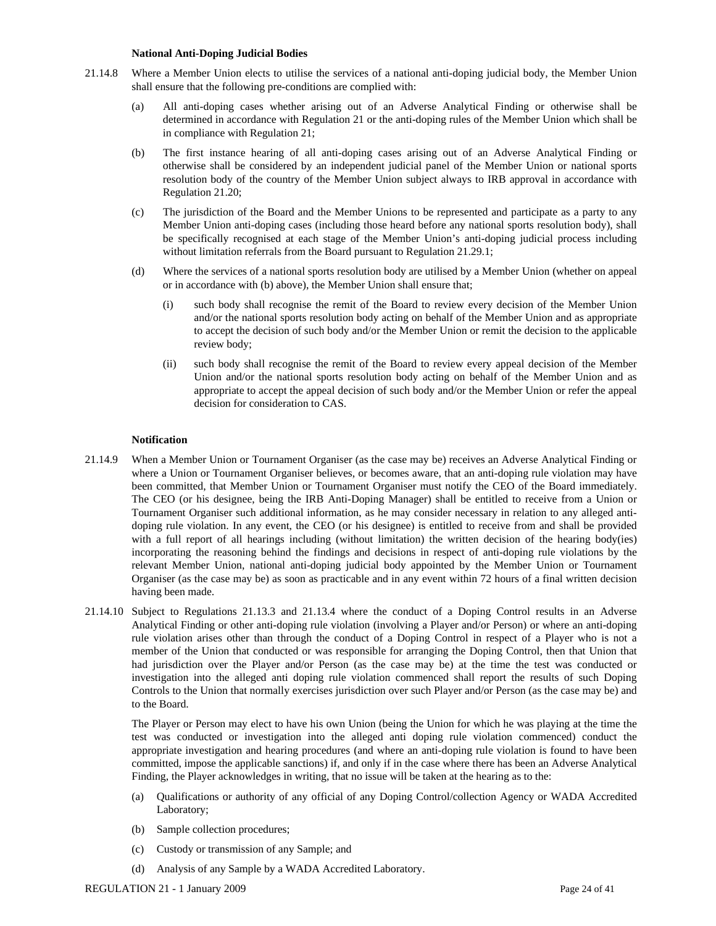### **National Anti-Doping Judicial Bodies**

- 21.14.8 Where a Member Union elects to utilise the services of a national anti-doping judicial body, the Member Union shall ensure that the following pre-conditions are complied with:
	- (a) All anti-doping cases whether arising out of an Adverse Analytical Finding or otherwise shall be determined in accordance with Regulation 21 or the anti-doping rules of the Member Union which shall be in compliance with Regulation 21;
	- (b) The first instance hearing of all anti-doping cases arising out of an Adverse Analytical Finding or otherwise shall be considered by an independent judicial panel of the Member Union or national sports resolution body of the country of the Member Union subject always to IRB approval in accordance with Regulation 21.20;
	- (c) The jurisdiction of the Board and the Member Unions to be represented and participate as a party to any Member Union anti-doping cases (including those heard before any national sports resolution body), shall be specifically recognised at each stage of the Member Union's anti-doping judicial process including without limitation referrals from the Board pursuant to Regulation 21.29.1;
	- (d) Where the services of a national sports resolution body are utilised by a Member Union (whether on appeal or in accordance with (b) above), the Member Union shall ensure that;
		- (i) such body shall recognise the remit of the Board to review every decision of the Member Union and/or the national sports resolution body acting on behalf of the Member Union and as appropriate to accept the decision of such body and/or the Member Union or remit the decision to the applicable review body;
		- (ii) such body shall recognise the remit of the Board to review every appeal decision of the Member Union and/or the national sports resolution body acting on behalf of the Member Union and as appropriate to accept the appeal decision of such body and/or the Member Union or refer the appeal decision for consideration to CAS.

# **Notification**

- 21.14.9 When a Member Union or Tournament Organiser (as the case may be) receives an Adverse Analytical Finding or where a Union or Tournament Organiser believes, or becomes aware, that an anti-doping rule violation may have been committed, that Member Union or Tournament Organiser must notify the CEO of the Board immediately. The CEO (or his designee, being the IRB Anti-Doping Manager) shall be entitled to receive from a Union or Tournament Organiser such additional information, as he may consider necessary in relation to any alleged antidoping rule violation. In any event, the CEO (or his designee) is entitled to receive from and shall be provided with a full report of all hearings including (without limitation) the written decision of the hearing body(ies) incorporating the reasoning behind the findings and decisions in respect of anti-doping rule violations by the relevant Member Union, national anti-doping judicial body appointed by the Member Union or Tournament Organiser (as the case may be) as soon as practicable and in any event within 72 hours of a final written decision having been made.
- 21.14.10 Subject to Regulations 21.13.3 and 21.13.4 where the conduct of a Doping Control results in an Adverse Analytical Finding or other anti-doping rule violation (involving a Player and/or Person) or where an anti-doping rule violation arises other than through the conduct of a Doping Control in respect of a Player who is not a member of the Union that conducted or was responsible for arranging the Doping Control, then that Union that had jurisdiction over the Player and/or Person (as the case may be) at the time the test was conducted or investigation into the alleged anti doping rule violation commenced shall report the results of such Doping Controls to the Union that normally exercises jurisdiction over such Player and/or Person (as the case may be) and to the Board.

 The Player or Person may elect to have his own Union (being the Union for which he was playing at the time the test was conducted or investigation into the alleged anti doping rule violation commenced) conduct the appropriate investigation and hearing procedures (and where an anti-doping rule violation is found to have been committed, impose the applicable sanctions) if, and only if in the case where there has been an Adverse Analytical Finding, the Player acknowledges in writing, that no issue will be taken at the hearing as to the:

- (a) Qualifications or authority of any official of any Doping Control/collection Agency or WADA Accredited Laboratory;
- (b) Sample collection procedures;
- (c) Custody or transmission of any Sample; and
- (d) Analysis of any Sample by a WADA Accredited Laboratory.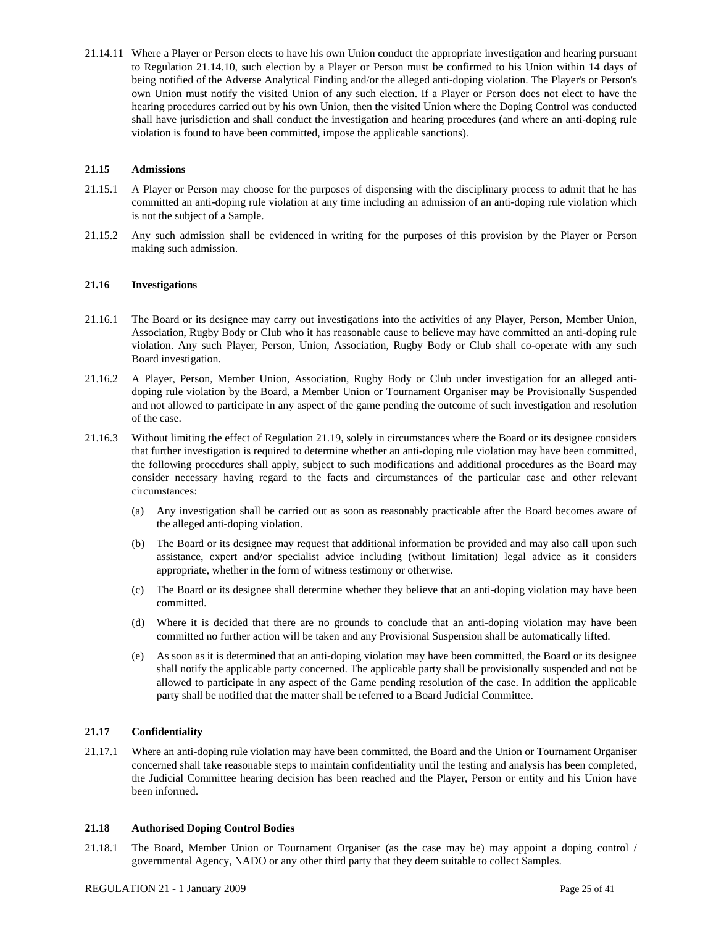21.14.11 Where a Player or Person elects to have his own Union conduct the appropriate investigation and hearing pursuant to Regulation 21.14.10, such election by a Player or Person must be confirmed to his Union within 14 days of being notified of the Adverse Analytical Finding and/or the alleged anti-doping violation. The Player's or Person's own Union must notify the visited Union of any such election. If a Player or Person does not elect to have the hearing procedures carried out by his own Union, then the visited Union where the Doping Control was conducted shall have jurisdiction and shall conduct the investigation and hearing procedures (and where an anti-doping rule violation is found to have been committed, impose the applicable sanctions).

### **21.15 Admissions**

- 21.15.1 A Player or Person may choose for the purposes of dispensing with the disciplinary process to admit that he has committed an anti-doping rule violation at any time including an admission of an anti-doping rule violation which is not the subject of a Sample.
- 21.15.2 Any such admission shall be evidenced in writing for the purposes of this provision by the Player or Person making such admission.

# **21.16 Investigations**

- 21.16.1 The Board or its designee may carry out investigations into the activities of any Player, Person, Member Union, Association, Rugby Body or Club who it has reasonable cause to believe may have committed an anti-doping rule violation. Any such Player, Person, Union, Association, Rugby Body or Club shall co-operate with any such Board investigation.
- 21.16.2 A Player, Person, Member Union, Association, Rugby Body or Club under investigation for an alleged antidoping rule violation by the Board, a Member Union or Tournament Organiser may be Provisionally Suspended and not allowed to participate in any aspect of the game pending the outcome of such investigation and resolution of the case.
- 21.16.3 Without limiting the effect of Regulation 21.19, solely in circumstances where the Board or its designee considers that further investigation is required to determine whether an anti-doping rule violation may have been committed, the following procedures shall apply, subject to such modifications and additional procedures as the Board may consider necessary having regard to the facts and circumstances of the particular case and other relevant circumstances:
	- (a) Any investigation shall be carried out as soon as reasonably practicable after the Board becomes aware of the alleged anti-doping violation.
	- (b) The Board or its designee may request that additional information be provided and may also call upon such assistance, expert and/or specialist advice including (without limitation) legal advice as it considers appropriate, whether in the form of witness testimony or otherwise.
	- (c) The Board or its designee shall determine whether they believe that an anti-doping violation may have been committed.
	- (d) Where it is decided that there are no grounds to conclude that an anti-doping violation may have been committed no further action will be taken and any Provisional Suspension shall be automatically lifted.
	- (e) As soon as it is determined that an anti-doping violation may have been committed, the Board or its designee shall notify the applicable party concerned. The applicable party shall be provisionally suspended and not be allowed to participate in any aspect of the Game pending resolution of the case. In addition the applicable party shall be notified that the matter shall be referred to a Board Judicial Committee.

# **21.17 Confidentiality**

21.17.1 Where an anti-doping rule violation may have been committed, the Board and the Union or Tournament Organiser concerned shall take reasonable steps to maintain confidentiality until the testing and analysis has been completed, the Judicial Committee hearing decision has been reached and the Player, Person or entity and his Union have been informed.

### **21.18 Authorised Doping Control Bodies**

21.18.1 The Board, Member Union or Tournament Organiser (as the case may be) may appoint a doping control / governmental Agency, NADO or any other third party that they deem suitable to collect Samples.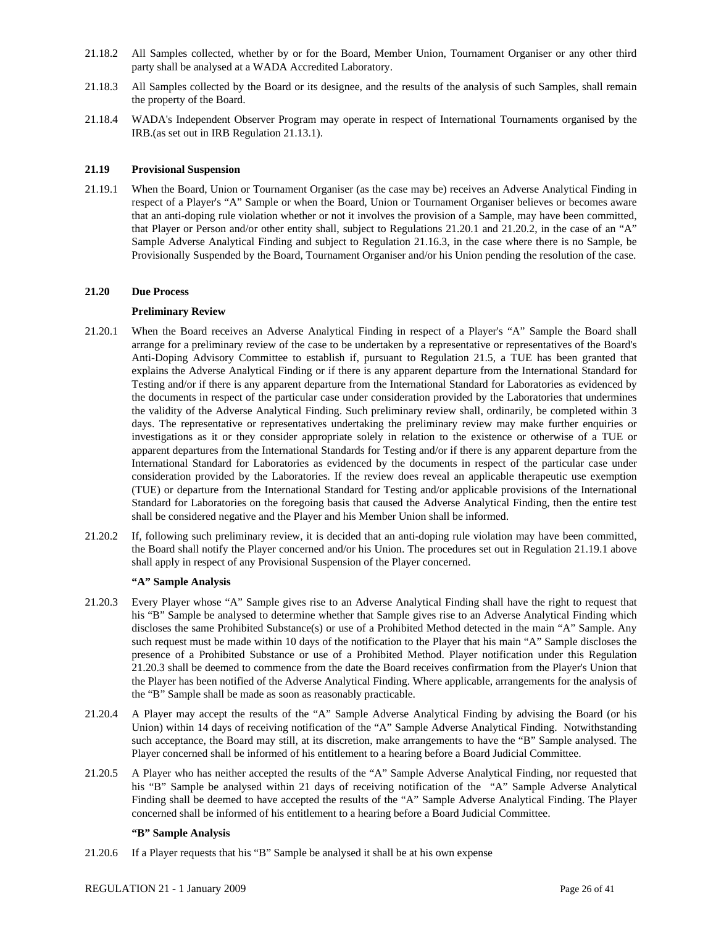- 21.18.2 All Samples collected, whether by or for the Board, Member Union, Tournament Organiser or any other third party shall be analysed at a WADA Accredited Laboratory.
- 21.18.3 All Samples collected by the Board or its designee, and the results of the analysis of such Samples, shall remain the property of the Board.
- 21.18.4 WADA's Independent Observer Program may operate in respect of International Tournaments organised by the IRB.(as set out in IRB Regulation 21.13.1).

# **21.19 Provisional Suspension**

21.19.1 When the Board, Union or Tournament Organiser (as the case may be) receives an Adverse Analytical Finding in respect of a Player's "A" Sample or when the Board, Union or Tournament Organiser believes or becomes aware that an anti-doping rule violation whether or not it involves the provision of a Sample, may have been committed, that Player or Person and/or other entity shall, subject to Regulations 21.20.1 and 21.20.2, in the case of an "A" Sample Adverse Analytical Finding and subject to Regulation 21.16.3, in the case where there is no Sample, be Provisionally Suspended by the Board, Tournament Organiser and/or his Union pending the resolution of the case.

### **21.20 Due Process**

### **Preliminary Review**

- 21.20.1 When the Board receives an Adverse Analytical Finding in respect of a Player's "A" Sample the Board shall arrange for a preliminary review of the case to be undertaken by a representative or representatives of the Board's Anti-Doping Advisory Committee to establish if, pursuant to Regulation 21.5, a TUE has been granted that explains the Adverse Analytical Finding or if there is any apparent departure from the International Standard for Testing and/or if there is any apparent departure from the International Standard for Laboratories as evidenced by the documents in respect of the particular case under consideration provided by the Laboratories that undermines the validity of the Adverse Analytical Finding. Such preliminary review shall, ordinarily, be completed within 3 days. The representative or representatives undertaking the preliminary review may make further enquiries or investigations as it or they consider appropriate solely in relation to the existence or otherwise of a TUE or apparent departures from the International Standards for Testing and/or if there is any apparent departure from the International Standard for Laboratories as evidenced by the documents in respect of the particular case under consideration provided by the Laboratories. If the review does reveal an applicable therapeutic use exemption (TUE) or departure from the International Standard for Testing and/or applicable provisions of the International Standard for Laboratories on the foregoing basis that caused the Adverse Analytical Finding, then the entire test shall be considered negative and the Player and his Member Union shall be informed.
- 21.20.2 If, following such preliminary review, it is decided that an anti-doping rule violation may have been committed, the Board shall notify the Player concerned and/or his Union. The procedures set out in Regulation 21.19.1 above shall apply in respect of any Provisional Suspension of the Player concerned.

### **"A" Sample Analysis**

- 21.20.3 Every Player whose "A" Sample gives rise to an Adverse Analytical Finding shall have the right to request that his "B" Sample be analysed to determine whether that Sample gives rise to an Adverse Analytical Finding which discloses the same Prohibited Substance(s) or use of a Prohibited Method detected in the main "A" Sample. Any such request must be made within 10 days of the notification to the Player that his main "A" Sample discloses the presence of a Prohibited Substance or use of a Prohibited Method. Player notification under this Regulation 21.20.3 shall be deemed to commence from the date the Board receives confirmation from the Player's Union that the Player has been notified of the Adverse Analytical Finding. Where applicable, arrangements for the analysis of the "B" Sample shall be made as soon as reasonably practicable.
- 21.20.4 A Player may accept the results of the "A" Sample Adverse Analytical Finding by advising the Board (or his Union) within 14 days of receiving notification of the "A" Sample Adverse Analytical Finding. Notwithstanding such acceptance, the Board may still, at its discretion, make arrangements to have the "B" Sample analysed. The Player concerned shall be informed of his entitlement to a hearing before a Board Judicial Committee.
- 21.20.5 A Player who has neither accepted the results of the "A" Sample Adverse Analytical Finding, nor requested that his "B" Sample be analysed within 21 days of receiving notification of the "A" Sample Adverse Analytical Finding shall be deemed to have accepted the results of the "A" Sample Adverse Analytical Finding. The Player concerned shall be informed of his entitlement to a hearing before a Board Judicial Committee.

### **"B" Sample Analysis**

21.20.6 If a Player requests that his "B" Sample be analysed it shall be at his own expense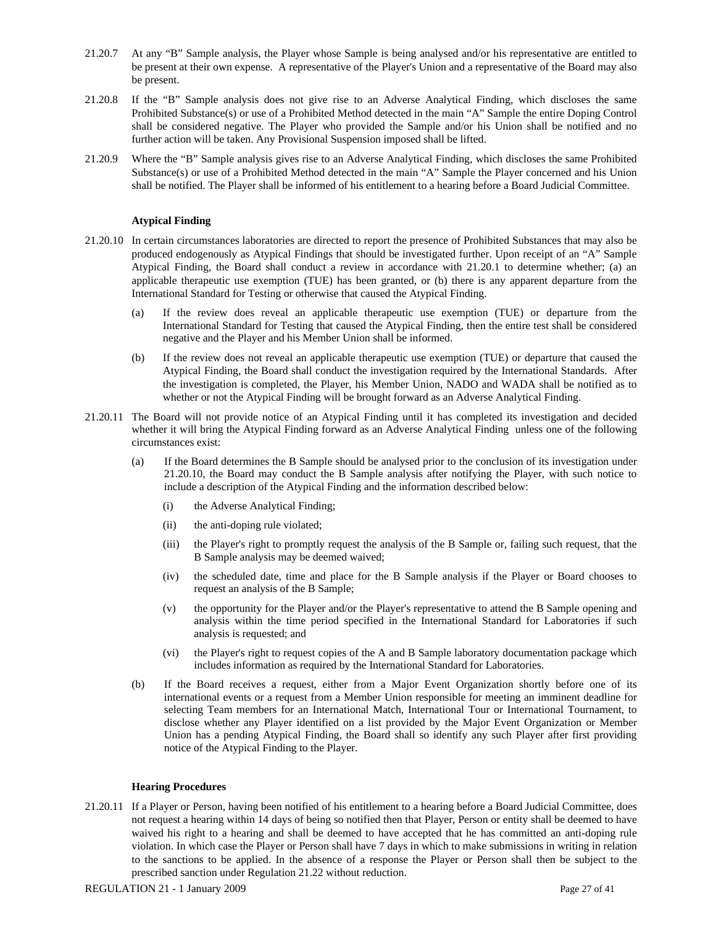- 21.20.7 At any "B" Sample analysis, the Player whose Sample is being analysed and/or his representative are entitled to be present at their own expense. A representative of the Player's Union and a representative of the Board may also be present.
- 21.20.8 If the "B" Sample analysis does not give rise to an Adverse Analytical Finding, which discloses the same Prohibited Substance(s) or use of a Prohibited Method detected in the main "A" Sample the entire Doping Control shall be considered negative. The Player who provided the Sample and/or his Union shall be notified and no further action will be taken. Any Provisional Suspension imposed shall be lifted.
- 21.20.9 Where the "B" Sample analysis gives rise to an Adverse Analytical Finding, which discloses the same Prohibited Substance(s) or use of a Prohibited Method detected in the main "A" Sample the Player concerned and his Union shall be notified. The Player shall be informed of his entitlement to a hearing before a Board Judicial Committee.

### **Atypical Finding**

- 21.20.10 In certain circumstances laboratories are directed to report the presence of Prohibited Substances that may also be produced endogenously as Atypical Findings that should be investigated further. Upon receipt of an "A" Sample Atypical Finding, the Board shall conduct a review in accordance with 21.20.1 to determine whether; (a) an applicable therapeutic use exemption (TUE) has been granted, or (b) there is any apparent departure from the International Standard for Testing or otherwise that caused the Atypical Finding.
	- (a) If the review does reveal an applicable therapeutic use exemption (TUE) or departure from the International Standard for Testing that caused the Atypical Finding, then the entire test shall be considered negative and the Player and his Member Union shall be informed.
	- (b) If the review does not reveal an applicable therapeutic use exemption (TUE) or departure that caused the Atypical Finding, the Board shall conduct the investigation required by the International Standards. After the investigation is completed, the Player, his Member Union, NADO and WADA shall be notified as to whether or not the Atypical Finding will be brought forward as an Adverse Analytical Finding.
- 21.20.11 The Board will not provide notice of an Atypical Finding until it has completed its investigation and decided whether it will bring the Atypical Finding forward as an Adverse Analytical Finding unless one of the following circumstances exist:
	- (a) If the Board determines the B Sample should be analysed prior to the conclusion of its investigation under 21.20.10, the Board may conduct the B Sample analysis after notifying the Player, with such notice to include a description of the Atypical Finding and the information described below:
		- (i) the Adverse Analytical Finding;
		- (ii) the anti-doping rule violated;
		- (iii) the Player's right to promptly request the analysis of the B Sample or, failing such request, that the B Sample analysis may be deemed waived;
		- (iv) the scheduled date, time and place for the B Sample analysis if the Player or Board chooses to request an analysis of the B Sample;
		- (v) the opportunity for the Player and/or the Player's representative to attend the B Sample opening and analysis within the time period specified in the International Standard for Laboratories if such analysis is requested; and
		- (vi) the Player's right to request copies of the A and B Sample laboratory documentation package which includes information as required by the International Standard for Laboratories.
	- (b) If the Board receives a request, either from a Major Event Organization shortly before one of its international events or a request from a Member Union responsible for meeting an imminent deadline for selecting Team members for an International Match, International Tour or International Tournament, to disclose whether any Player identified on a list provided by the Major Event Organization or Member Union has a pending Atypical Finding, the Board shall so identify any such Player after first providing notice of the Atypical Finding to the Player.

#### **Hearing Procedures**

21.20.11 If a Player or Person, having been notified of his entitlement to a hearing before a Board Judicial Committee, does not request a hearing within 14 days of being so notified then that Player, Person or entity shall be deemed to have waived his right to a hearing and shall be deemed to have accepted that he has committed an anti-doping rule violation. In which case the Player or Person shall have 7 days in which to make submissions in writing in relation to the sanctions to be applied. In the absence of a response the Player or Person shall then be subject to the prescribed sanction under Regulation 21.22 without reduction.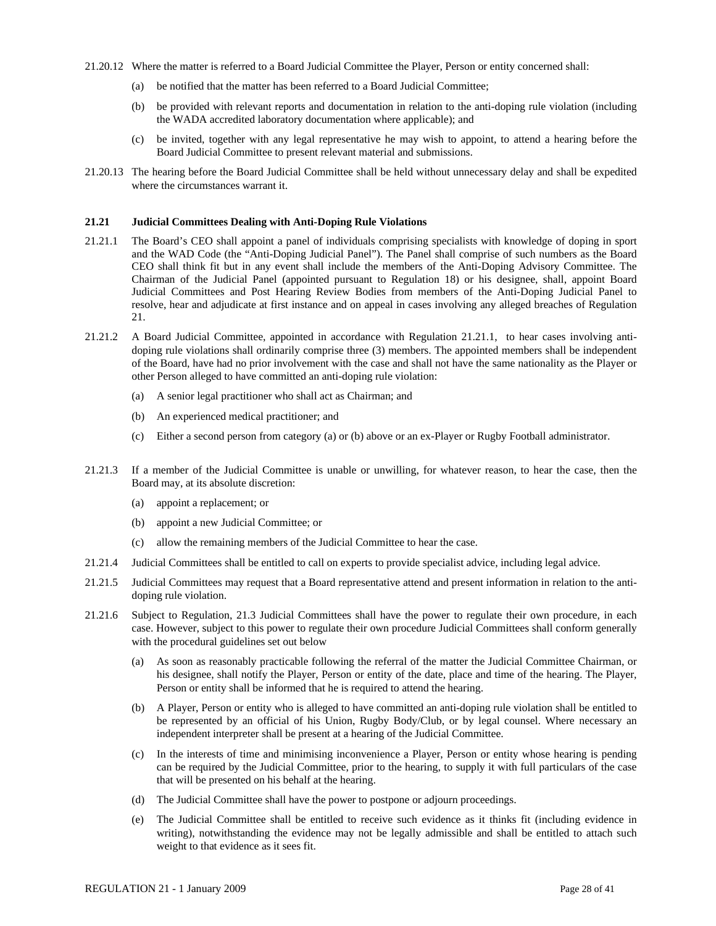- 21.20.12 Where the matter is referred to a Board Judicial Committee the Player, Person or entity concerned shall:
	- (a) be notified that the matter has been referred to a Board Judicial Committee;
	- (b) be provided with relevant reports and documentation in relation to the anti-doping rule violation (including the WADA accredited laboratory documentation where applicable); and
	- (c) be invited, together with any legal representative he may wish to appoint, to attend a hearing before the Board Judicial Committee to present relevant material and submissions.
- 21.20.13 The hearing before the Board Judicial Committee shall be held without unnecessary delay and shall be expedited where the circumstances warrant it.

### **21.21 Judicial Committees Dealing with Anti-Doping Rule Violations**

- 21.21.1 The Board's CEO shall appoint a panel of individuals comprising specialists with knowledge of doping in sport and the WAD Code (the "Anti-Doping Judicial Panel"). The Panel shall comprise of such numbers as the Board CEO shall think fit but in any event shall include the members of the Anti-Doping Advisory Committee. The Chairman of the Judicial Panel (appointed pursuant to Regulation 18) or his designee, shall, appoint Board Judicial Committees and Post Hearing Review Bodies from members of the Anti-Doping Judicial Panel to resolve, hear and adjudicate at first instance and on appeal in cases involving any alleged breaches of Regulation 21.
- 21.21.2 A Board Judicial Committee, appointed in accordance with Regulation 21.21.1, to hear cases involving antidoping rule violations shall ordinarily comprise three (3) members. The appointed members shall be independent of the Board, have had no prior involvement with the case and shall not have the same nationality as the Player or other Person alleged to have committed an anti-doping rule violation:
	- (a) A senior legal practitioner who shall act as Chairman; and
	- (b) An experienced medical practitioner; and
	- (c) Either a second person from category (a) or (b) above or an ex-Player or Rugby Football administrator.
- 21.21.3 If a member of the Judicial Committee is unable or unwilling, for whatever reason, to hear the case, then the Board may, at its absolute discretion:
	- (a) appoint a replacement; or
	- (b) appoint a new Judicial Committee; or
	- (c) allow the remaining members of the Judicial Committee to hear the case.
- 21.21.4 Judicial Committees shall be entitled to call on experts to provide specialist advice, including legal advice.
- 21.21.5 Judicial Committees may request that a Board representative attend and present information in relation to the antidoping rule violation.
- 21.21.6 Subject to Regulation, 21.3 Judicial Committees shall have the power to regulate their own procedure, in each case. However, subject to this power to regulate their own procedure Judicial Committees shall conform generally with the procedural guidelines set out below
	- (a) As soon as reasonably practicable following the referral of the matter the Judicial Committee Chairman, or his designee, shall notify the Player, Person or entity of the date, place and time of the hearing. The Player, Person or entity shall be informed that he is required to attend the hearing.
	- (b) A Player, Person or entity who is alleged to have committed an anti-doping rule violation shall be entitled to be represented by an official of his Union, Rugby Body/Club, or by legal counsel. Where necessary an independent interpreter shall be present at a hearing of the Judicial Committee.
	- (c) In the interests of time and minimising inconvenience a Player, Person or entity whose hearing is pending can be required by the Judicial Committee, prior to the hearing, to supply it with full particulars of the case that will be presented on his behalf at the hearing.
	- (d) The Judicial Committee shall have the power to postpone or adjourn proceedings.
	- (e) The Judicial Committee shall be entitled to receive such evidence as it thinks fit (including evidence in writing), notwithstanding the evidence may not be legally admissible and shall be entitled to attach such weight to that evidence as it sees fit.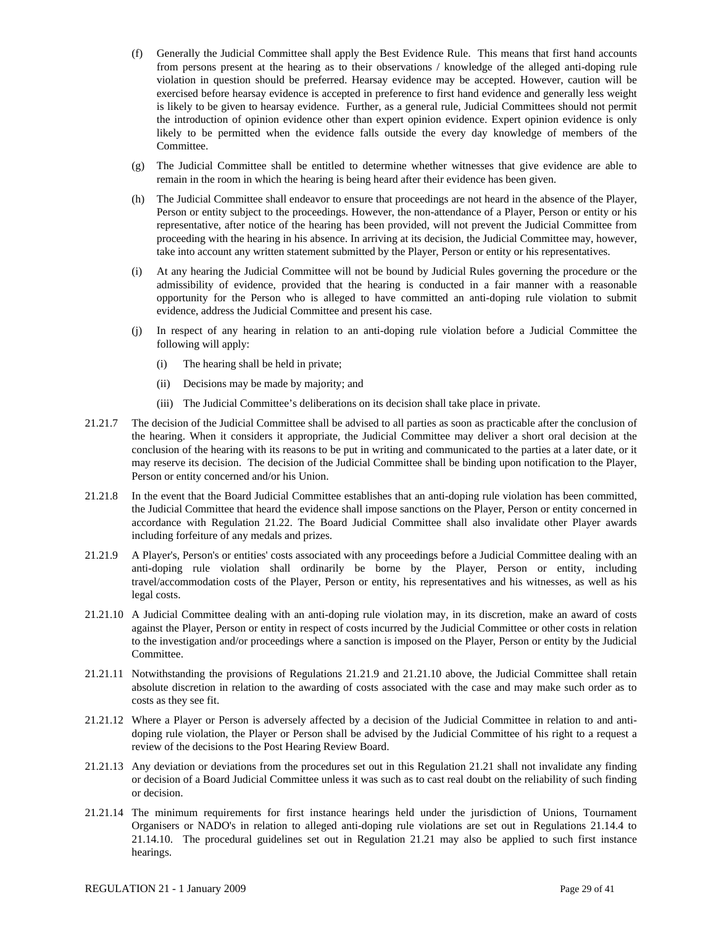- (f) Generally the Judicial Committee shall apply the Best Evidence Rule. This means that first hand accounts from persons present at the hearing as to their observations / knowledge of the alleged anti-doping rule violation in question should be preferred. Hearsay evidence may be accepted. However, caution will be exercised before hearsay evidence is accepted in preference to first hand evidence and generally less weight is likely to be given to hearsay evidence. Further, as a general rule, Judicial Committees should not permit the introduction of opinion evidence other than expert opinion evidence. Expert opinion evidence is only likely to be permitted when the evidence falls outside the every day knowledge of members of the Committee.
- (g) The Judicial Committee shall be entitled to determine whether witnesses that give evidence are able to remain in the room in which the hearing is being heard after their evidence has been given.
- (h) The Judicial Committee shall endeavor to ensure that proceedings are not heard in the absence of the Player, Person or entity subject to the proceedings. However, the non-attendance of a Player, Person or entity or his representative, after notice of the hearing has been provided, will not prevent the Judicial Committee from proceeding with the hearing in his absence. In arriving at its decision, the Judicial Committee may, however, take into account any written statement submitted by the Player, Person or entity or his representatives.
- (i) At any hearing the Judicial Committee will not be bound by Judicial Rules governing the procedure or the admissibility of evidence, provided that the hearing is conducted in a fair manner with a reasonable opportunity for the Person who is alleged to have committed an anti-doping rule violation to submit evidence, address the Judicial Committee and present his case.
- (j) In respect of any hearing in relation to an anti-doping rule violation before a Judicial Committee the following will apply:
	- (i) The hearing shall be held in private;
	- (ii) Decisions may be made by majority; and
	- (iii) The Judicial Committee's deliberations on its decision shall take place in private.
- 21.21.7 The decision of the Judicial Committee shall be advised to all parties as soon as practicable after the conclusion of the hearing. When it considers it appropriate, the Judicial Committee may deliver a short oral decision at the conclusion of the hearing with its reasons to be put in writing and communicated to the parties at a later date, or it may reserve its decision. The decision of the Judicial Committee shall be binding upon notification to the Player, Person or entity concerned and/or his Union.
- 21.21.8 In the event that the Board Judicial Committee establishes that an anti-doping rule violation has been committed, the Judicial Committee that heard the evidence shall impose sanctions on the Player, Person or entity concerned in accordance with Regulation 21.22. The Board Judicial Committee shall also invalidate other Player awards including forfeiture of any medals and prizes.
- 21.21.9 A Player's, Person's or entities' costs associated with any proceedings before a Judicial Committee dealing with an anti-doping rule violation shall ordinarily be borne by the Player, Person or entity, including travel/accommodation costs of the Player, Person or entity, his representatives and his witnesses, as well as his legal costs.
- 21.21.10 A Judicial Committee dealing with an anti-doping rule violation may, in its discretion, make an award of costs against the Player, Person or entity in respect of costs incurred by the Judicial Committee or other costs in relation to the investigation and/or proceedings where a sanction is imposed on the Player, Person or entity by the Judicial Committee.
- 21.21.11 Notwithstanding the provisions of Regulations 21.21.9 and 21.21.10 above, the Judicial Committee shall retain absolute discretion in relation to the awarding of costs associated with the case and may make such order as to costs as they see fit.
- 21.21.12 Where a Player or Person is adversely affected by a decision of the Judicial Committee in relation to and antidoping rule violation, the Player or Person shall be advised by the Judicial Committee of his right to a request a review of the decisions to the Post Hearing Review Board.
- 21.21.13 Any deviation or deviations from the procedures set out in this Regulation 21.21 shall not invalidate any finding or decision of a Board Judicial Committee unless it was such as to cast real doubt on the reliability of such finding or decision.
- 21.21.14 The minimum requirements for first instance hearings held under the jurisdiction of Unions, Tournament Organisers or NADO's in relation to alleged anti-doping rule violations are set out in Regulations 21.14.4 to 21.14.10. The procedural guidelines set out in Regulation 21.21 may also be applied to such first instance hearings.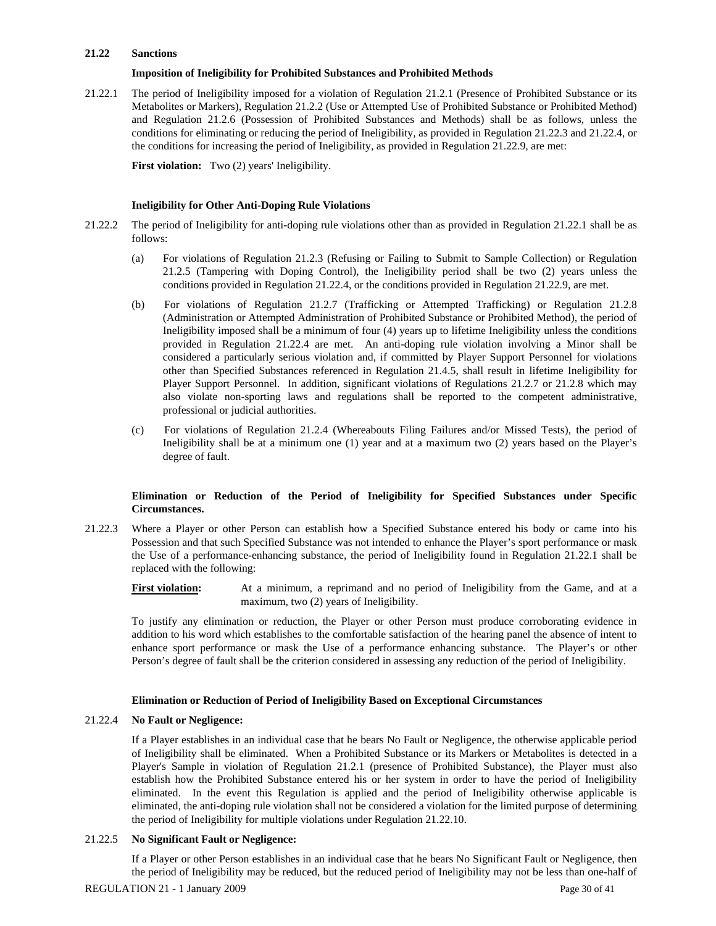### **21.22 Sanctions**

### **Imposition of Ineligibility for Prohibited Substances and Prohibited Methods**

21.22.1 The period of Ineligibility imposed for a violation of Regulation 21.2.1 (Presence of Prohibited Substance or its Metabolites or Markers), Regulation 21.2.2 (Use or Attempted Use of Prohibited Substance or Prohibited Method) and Regulation 21.2.6 (Possession of Prohibited Substances and Methods) shall be as follows, unless the conditions for eliminating or reducing the period of Ineligibility, as provided in Regulation 21.22.3 and 21.22.4, or the conditions for increasing the period of Ineligibility, as provided in Regulation 21.22.9, are met:

First violation: Two (2) years' Ineligibility.

### **Ineligibility for Other Anti-Doping Rule Violations**

- 21.22.2 The period of Ineligibility for anti-doping rule violations other than as provided in Regulation 21.22.1 shall be as follows:
	- (a) For violations of Regulation 21.2.3 (Refusing or Failing to Submit to Sample Collection) or Regulation 21.2.5 (Tampering with Doping Control), the Ineligibility period shall be two (2) years unless the conditions provided in Regulation 21.22.4, or the conditions provided in Regulation 21.22.9, are met.
	- (b) For violations of Regulation 21.2.7 (Trafficking or Attempted Trafficking) or Regulation 21.2.8 (Administration or Attempted Administration of Prohibited Substance or Prohibited Method), the period of Ineligibility imposed shall be a minimum of four (4) years up to lifetime Ineligibility unless the conditions provided in Regulation 21.22.4 are met. An anti-doping rule violation involving a Minor shall be considered a particularly serious violation and, if committed by Player Support Personnel for violations other than Specified Substances referenced in Regulation 21.4.5, shall result in lifetime Ineligibility for Player Support Personnel. In addition, significant violations of Regulations 21.2.7 or 21.2.8 which may also violate non-sporting laws and regulations shall be reported to the competent administrative, professional or judicial authorities.
	- (c) For violations of Regulation 21.2.4 (Whereabouts Filing Failures and/or Missed Tests), the period of Ineligibility shall be at a minimum one (1) year and at a maximum two (2) years based on the Player's degree of fault.

# **Elimination or Reduction of the Period of Ineligibility for Specified Substances under Specific Circumstances.**

21.22.3 Where a Player or other Person can establish how a Specified Substance entered his body or came into his Possession and that such Specified Substance was not intended to enhance the Player's sport performance or mask the Use of a performance-enhancing substance, the period of Ineligibility found in Regulation 21.22.1 shall be replaced with the following:

**First violation:** At a minimum, a reprimand and no period of Ineligibility from the Game, and at a maximum, two (2) years of Ineligibility.

To justify any elimination or reduction, the Player or other Person must produce corroborating evidence in addition to his word which establishes to the comfortable satisfaction of the hearing panel the absence of intent to enhance sport performance or mask the Use of a performance enhancing substance. The Player's or other Person's degree of fault shall be the criterion considered in assessing any reduction of the period of Ineligibility.

#### **Elimination or Reduction of Period of Ineligibility Based on Exceptional Circumstances**

# 21.22.4 **No Fault or Negligence:**

If a Player establishes in an individual case that he bears No Fault or Negligence, the otherwise applicable period of Ineligibility shall be eliminated. When a Prohibited Substance or its Markers or Metabolites is detected in a Player's Sample in violation of Regulation 21.2.1 (presence of Prohibited Substance), the Player must also establish how the Prohibited Substance entered his or her system in order to have the period of Ineligibility eliminated. In the event this Regulation is applied and the period of Ineligibility otherwise applicable is eliminated, the anti-doping rule violation shall not be considered a violation for the limited purpose of determining the period of Ineligibility for multiple violations under Regulation 21.22.10.

#### 21.22.5 **No Significant Fault or Negligence:**

If a Player or other Person establishes in an individual case that he bears No Significant Fault or Negligence, then the period of Ineligibility may be reduced, but the reduced period of Ineligibility may not be less than one-half of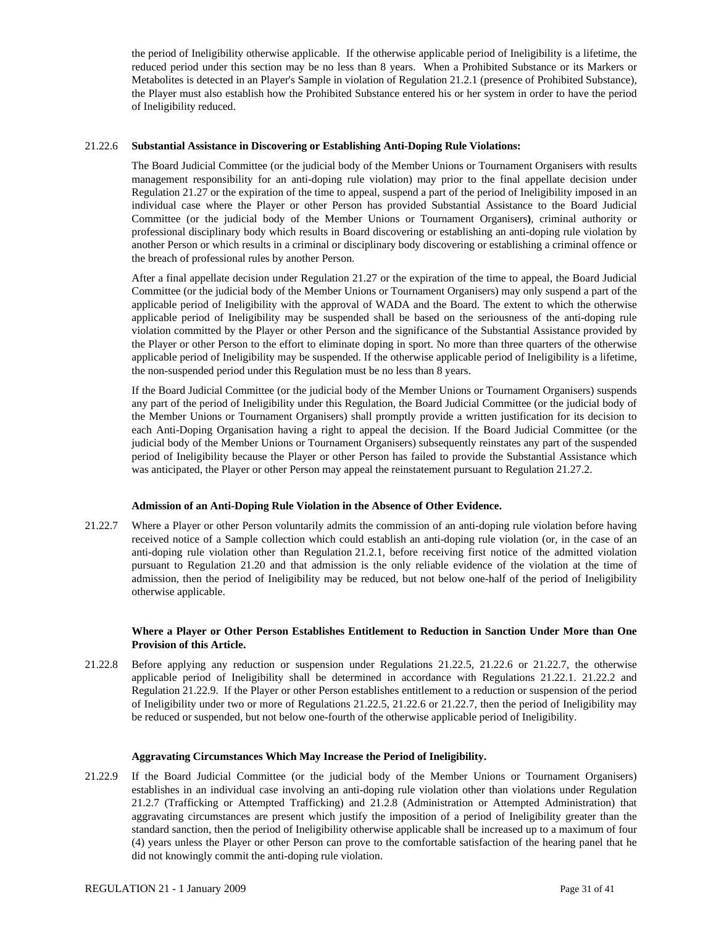the period of Ineligibility otherwise applicable. If the otherwise applicable period of Ineligibility is a lifetime, the reduced period under this section may be no less than 8 years. When a Prohibited Substance or its Markers or Metabolites is detected in an Player's Sample in violation of Regulation 21.2.1 (presence of Prohibited Substance), the Player must also establish how the Prohibited Substance entered his or her system in order to have the period of Ineligibility reduced.

### 21.22.6 **Substantial Assistance in Discovering or Establishing Anti-Doping Rule Violations:**

The Board Judicial Committee (or the judicial body of the Member Unions or Tournament Organisers with results management responsibility for an anti-doping rule violation) may prior to the final appellate decision under Regulation 21.27 or the expiration of the time to appeal, suspend a part of the period of Ineligibility imposed in an individual case where the Player or other Person has provided Substantial Assistance to the Board Judicial Committee (or the judicial body of the Member Unions or Tournament Organisers**)**, criminal authority or professional disciplinary body which results in Board discovering or establishing an anti-doping rule violation by another Person or which results in a criminal or disciplinary body discovering or establishing a criminal offence or the breach of professional rules by another Person.

After a final appellate decision under Regulation 21.27 or the expiration of the time to appeal, the Board Judicial Committee (or the judicial body of the Member Unions or Tournament Organisers) may only suspend a part of the applicable period of Ineligibility with the approval of WADA and the Board. The extent to which the otherwise applicable period of Ineligibility may be suspended shall be based on the seriousness of the anti-doping rule violation committed by the Player or other Person and the significance of the Substantial Assistance provided by the Player or other Person to the effort to eliminate doping in sport. No more than three quarters of the otherwise applicable period of Ineligibility may be suspended. If the otherwise applicable period of Ineligibility is a lifetime, the non-suspended period under this Regulation must be no less than 8 years.

If the Board Judicial Committee (or the judicial body of the Member Unions or Tournament Organisers) suspends any part of the period of Ineligibility under this Regulation, the Board Judicial Committee (or the judicial body of the Member Unions or Tournament Organisers) shall promptly provide a written justification for its decision to each Anti-Doping Organisation having a right to appeal the decision. If the Board Judicial Committee (or the judicial body of the Member Unions or Tournament Organisers) subsequently reinstates any part of the suspended period of Ineligibility because the Player or other Person has failed to provide the Substantial Assistance which was anticipated, the Player or other Person may appeal the reinstatement pursuant to Regulation 21.27.2.

# **Admission of an Anti-Doping Rule Violation in the Absence of Other Evidence.**

21.22.7 Where a Player or other Person voluntarily admits the commission of an anti-doping rule violation before having received notice of a Sample collection which could establish an anti-doping rule violation (or, in the case of an anti-doping rule violation other than Regulation 21.2.1, before receiving first notice of the admitted violation pursuant to Regulation 21.20 and that admission is the only reliable evidence of the violation at the time of admission, then the period of Ineligibility may be reduced, but not below one-half of the period of Ineligibility otherwise applicable.

### **Where a Player or Other Person Establishes Entitlement to Reduction in Sanction Under More than One Provision of this Article.**

21.22.8 Before applying any reduction or suspension under Regulations 21.22.5, 21.22.6 or 21.22.7, the otherwise applicable period of Ineligibility shall be determined in accordance with Regulations 21.22.1. 21.22.2 and Regulation 21.22.9. If the Player or other Person establishes entitlement to a reduction or suspension of the period of Ineligibility under two or more of Regulations 21.22.5, 21.22.6 or 21.22.7, then the period of Ineligibility may be reduced or suspended, but not below one-fourth of the otherwise applicable period of Ineligibility.

#### **Aggravating Circumstances Which May Increase the Period of Ineligibility.**

21.22.9 If the Board Judicial Committee (or the judicial body of the Member Unions or Tournament Organisers) establishes in an individual case involving an anti-doping rule violation other than violations under Regulation 21.2.7 (Trafficking or Attempted Trafficking) and 21.2.8 (Administration or Attempted Administration) that aggravating circumstances are present which justify the imposition of a period of Ineligibility greater than the standard sanction, then the period of Ineligibility otherwise applicable shall be increased up to a maximum of four (4) years unless the Player or other Person can prove to the comfortable satisfaction of the hearing panel that he did not knowingly commit the anti-doping rule violation.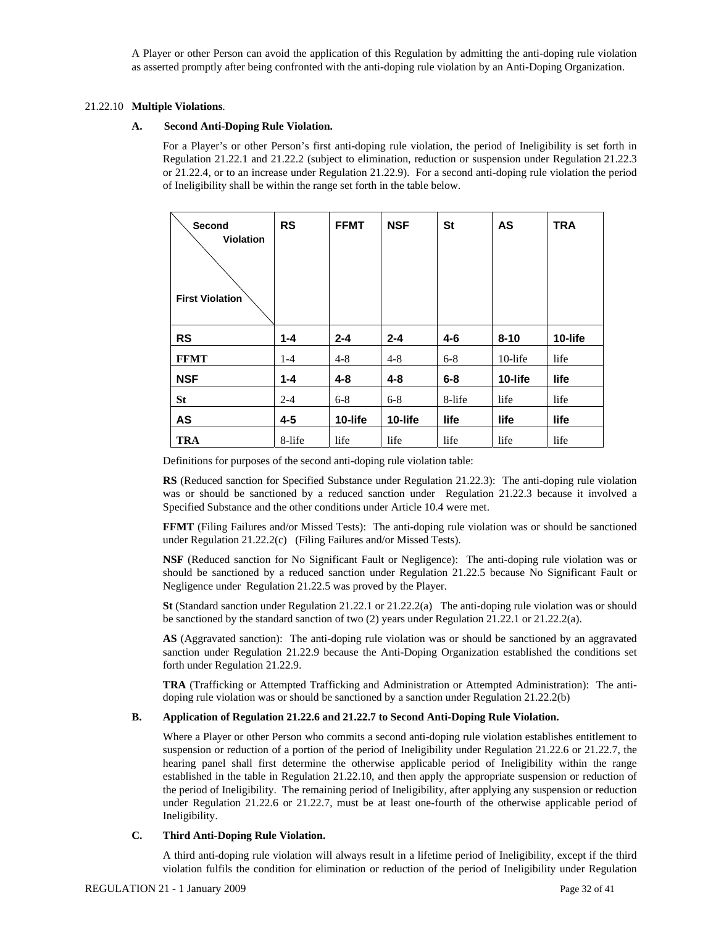A Player or other Person can avoid the application of this Regulation by admitting the anti-doping rule violation as asserted promptly after being confronted with the anti-doping rule violation by an Anti-Doping Organization.

# 21.22.10 **Multiple Violations**.

# **A. Second Anti-Doping Rule Violation.**

For a Player's or other Person's first anti-doping rule violation, the period of Ineligibility is set forth in Regulation 21.22.1 and 21.22.2 (subject to elimination, reduction or suspension under Regulation 21.22.3 or 21.22.4, or to an increase under Regulation 21.22.9). For a second anti-doping rule violation the period of Ineligibility shall be within the range set forth in the table below.

| Second<br><b>Violation</b><br><b>First Violation</b> | <b>RS</b> | <b>FFMT</b> | <b>NSF</b> | St      | <b>AS</b>  | <b>TRA</b> |
|------------------------------------------------------|-----------|-------------|------------|---------|------------|------------|
| <b>RS</b>                                            | $1 - 4$   | $2 - 4$     | $2 - 4$    | $4 - 6$ | $8 - 10$   | 10-life    |
| <b>FFMT</b>                                          | $1 - 4$   | $4 - 8$     | $4 - 8$    | $6 - 8$ | $10$ -life | life       |
| <b>NSF</b>                                           | $1 - 4$   | $4 - 8$     | $4 - 8$    | $6 - 8$ | 10-life    | life       |
| <b>St</b>                                            | $2 - 4$   | $6 - 8$     | $6 - 8$    | 8-life  | life       | life       |
| AS                                                   | $4 - 5$   | 10-life     | 10-life    | life    | life       | life       |
| TRA                                                  | 8-life    | life        | life       | life    | life       | life       |

Definitions for purposes of the second anti-doping rule violation table:

**RS** (Reduced sanction for Specified Substance under Regulation 21.22.3): The anti-doping rule violation was or should be sanctioned by a reduced sanction under Regulation 21.22.3 because it involved a Specified Substance and the other conditions under Article 10.4 were met.

**FFMT** (Filing Failures and/or Missed Tests): The anti-doping rule violation was or should be sanctioned under Regulation 21.22.2(c) (Filing Failures and/or Missed Tests).

**NSF** (Reduced sanction for No Significant Fault or Negligence): The anti-doping rule violation was or should be sanctioned by a reduced sanction under Regulation 21.22.5 because No Significant Fault or Negligence under Regulation 21.22.5 was proved by the Player.

**St** (Standard sanction under Regulation 21.22.1 or 21.22.2(a) The anti-doping rule violation was or should be sanctioned by the standard sanction of two (2) years under Regulation 21.22.1 or 21.22.2(a).

**AS** (Aggravated sanction): The anti-doping rule violation was or should be sanctioned by an aggravated sanction under Regulation 21.22.9 because the Anti-Doping Organization established the conditions set forth under Regulation 21.22.9.

**TRA** (Trafficking or Attempted Trafficking and Administration or Attempted Administration): The antidoping rule violation was or should be sanctioned by a sanction under Regulation 21.22.2(b)

# **B. Application of Regulation 21.22.6 and 21.22.7 to Second Anti-Doping Rule Violation.**

Where a Player or other Person who commits a second anti-doping rule violation establishes entitlement to suspension or reduction of a portion of the period of Ineligibility under Regulation 21.22.6 or 21.22.7, the hearing panel shall first determine the otherwise applicable period of Ineligibility within the range established in the table in Regulation 21.22.10, and then apply the appropriate suspension or reduction of the period of Ineligibility. The remaining period of Ineligibility, after applying any suspension or reduction under Regulation 21.22.6 or 21.22.7, must be at least one-fourth of the otherwise applicable period of Ineligibility.

# **C. Third Anti-Doping Rule Violation.**

A third anti-doping rule violation will always result in a lifetime period of Ineligibility, except if the third violation fulfils the condition for elimination or reduction of the period of Ineligibility under Regulation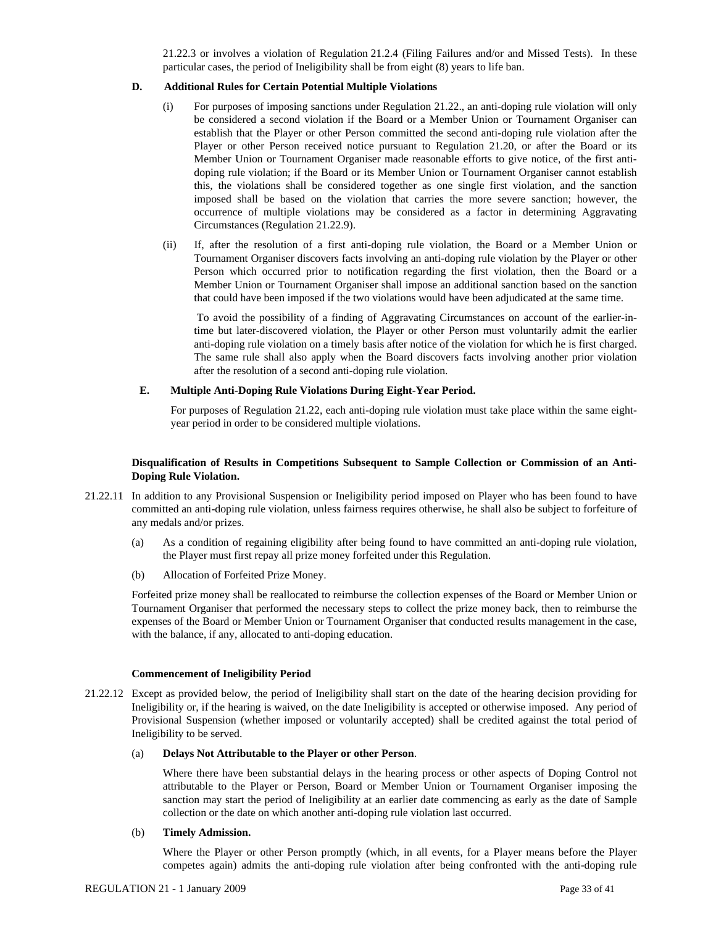21.22.3 or involves a violation of Regulation 21.2.4 (Filing Failures and/or and Missed Tests). In these particular cases, the period of Ineligibility shall be from eight (8) years to life ban.

# **D. Additional Rules for Certain Potential Multiple Violations**

- (i) For purposes of imposing sanctions under Regulation 21.22., an anti-doping rule violation will only be considered a second violation if the Board or a Member Union or Tournament Organiser can establish that the Player or other Person committed the second anti-doping rule violation after the Player or other Person received notice pursuant to Regulation 21.20, or after the Board or its Member Union or Tournament Organiser made reasonable efforts to give notice, of the first antidoping rule violation; if the Board or its Member Union or Tournament Organiser cannot establish this, the violations shall be considered together as one single first violation, and the sanction imposed shall be based on the violation that carries the more severe sanction; however, the occurrence of multiple violations may be considered as a factor in determining Aggravating Circumstances (Regulation 21.22.9).
- (ii) If, after the resolution of a first anti-doping rule violation, the Board or a Member Union or Tournament Organiser discovers facts involving an anti-doping rule violation by the Player or other Person which occurred prior to notification regarding the first violation, then the Board or a Member Union or Tournament Organiser shall impose an additional sanction based on the sanction that could have been imposed if the two violations would have been adjudicated at the same time.

 To avoid the possibility of a finding of Aggravating Circumstances on account of the earlier-intime but later-discovered violation, the Player or other Person must voluntarily admit the earlier anti-doping rule violation on a timely basis after notice of the violation for which he is first charged. The same rule shall also apply when the Board discovers facts involving another prior violation after the resolution of a second anti-doping rule violation.

# **E. Multiple Anti-Doping Rule Violations During Eight-Year Period.**

For purposes of Regulation 21.22, each anti-doping rule violation must take place within the same eightyear period in order to be considered multiple violations.

# **Disqualification of Results in Competitions Subsequent to Sample Collection or Commission of an Anti-Doping Rule Violation.**

- 21.22.11 In addition to any Provisional Suspension or Ineligibility period imposed on Player who has been found to have committed an anti-doping rule violation, unless fairness requires otherwise, he shall also be subject to forfeiture of any medals and/or prizes.
	- (a) As a condition of regaining eligibility after being found to have committed an anti-doping rule violation, the Player must first repay all prize money forfeited under this Regulation.
	- (b) Allocation of Forfeited Prize Money.

Forfeited prize money shall be reallocated to reimburse the collection expenses of the Board or Member Union or Tournament Organiser that performed the necessary steps to collect the prize money back, then to reimburse the expenses of the Board or Member Union or Tournament Organiser that conducted results management in the case, with the balance, if any, allocated to anti-doping education.

# **Commencement of Ineligibility Period**

21.22.12 Except as provided below, the period of Ineligibility shall start on the date of the hearing decision providing for Ineligibility or, if the hearing is waived, on the date Ineligibility is accepted or otherwise imposed. Any period of Provisional Suspension (whether imposed or voluntarily accepted) shall be credited against the total period of Ineligibility to be served.

# (a) **Delays Not Attributable to the Player or other Person**.

 Where there have been substantial delays in the hearing process or other aspects of Doping Control not attributable to the Player or Person, Board or Member Union or Tournament Organiser imposing the sanction may start the period of Ineligibility at an earlier date commencing as early as the date of Sample collection or the date on which another anti-doping rule violation last occurred.

# (b) **Timely Admission.**

Where the Player or other Person promptly (which, in all events, for a Player means before the Player competes again) admits the anti-doping rule violation after being confronted with the anti-doping rule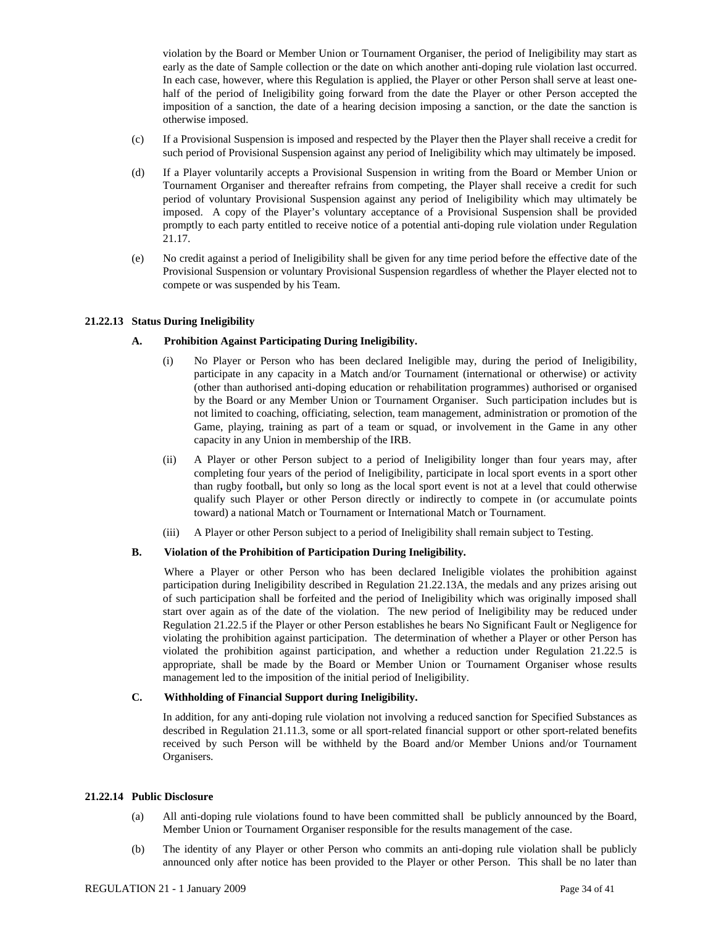violation by the Board or Member Union or Tournament Organiser, the period of Ineligibility may start as early as the date of Sample collection or the date on which another anti-doping rule violation last occurred. In each case, however, where this Regulation is applied, the Player or other Person shall serve at least onehalf of the period of Ineligibility going forward from the date the Player or other Person accepted the imposition of a sanction, the date of a hearing decision imposing a sanction, or the date the sanction is otherwise imposed.

- (c) If a Provisional Suspension is imposed and respected by the Player then the Player shall receive a credit for such period of Provisional Suspension against any period of Ineligibility which may ultimately be imposed.
- (d) If a Player voluntarily accepts a Provisional Suspension in writing from the Board or Member Union or Tournament Organiser and thereafter refrains from competing, the Player shall receive a credit for such period of voluntary Provisional Suspension against any period of Ineligibility which may ultimately be imposed. A copy of the Player's voluntary acceptance of a Provisional Suspension shall be provided promptly to each party entitled to receive notice of a potential anti-doping rule violation under Regulation 21.17.
- (e) No credit against a period of Ineligibility shall be given for any time period before the effective date of the Provisional Suspension or voluntary Provisional Suspension regardless of whether the Player elected not to compete or was suspended by his Team.

# **21.22.13 Status During Ineligibility**

# **A. Prohibition Against Participating During Ineligibility.**

- (i) No Player or Person who has been declared Ineligible may, during the period of Ineligibility, participate in any capacity in a Match and/or Tournament (international or otherwise) or activity (other than authorised anti-doping education or rehabilitation programmes) authorised or organised by the Board or any Member Union or Tournament Organiser. Such participation includes but is not limited to coaching, officiating, selection, team management, administration or promotion of the Game, playing, training as part of a team or squad, or involvement in the Game in any other capacity in any Union in membership of the IRB.
- (ii) A Player or other Person subject to a period of Ineligibility longer than four years may, after completing four years of the period of Ineligibility, participate in local sport events in a sport other than rugby football**,** but only so long as the local sport event is not at a level that could otherwise qualify such Player or other Person directly or indirectly to compete in (or accumulate points toward) a national Match or Tournament or International Match or Tournament.
- (iii) A Player or other Person subject to a period of Ineligibility shall remain subject to Testing.

# **B. Violation of the Prohibition of Participation During Ineligibility.**

 Where a Player or other Person who has been declared Ineligible violates the prohibition against participation during Ineligibility described in Regulation 21.22.13A, the medals and any prizes arising out of such participation shall be forfeited and the period of Ineligibility which was originally imposed shall start over again as of the date of the violation. The new period of Ineligibility may be reduced under Regulation 21.22.5 if the Player or other Person establishes he bears No Significant Fault or Negligence for violating the prohibition against participation. The determination of whether a Player or other Person has violated the prohibition against participation, and whether a reduction under Regulation 21.22.5 is appropriate, shall be made by the Board or Member Union or Tournament Organiser whose results management led to the imposition of the initial period of Ineligibility.

# **C. Withholding of Financial Support during Ineligibility.**

In addition, for any anti-doping rule violation not involving a reduced sanction for Specified Substances as described in Regulation 21.11.3, some or all sport-related financial support or other sport-related benefits received by such Person will be withheld by the Board and/or Member Unions and/or Tournament Organisers.

# **21.22.14 Public Disclosure**

- (a) All anti-doping rule violations found to have been committed shall be publicly announced by the Board, Member Union or Tournament Organiser responsible for the results management of the case.
- (b) The identity of any Player or other Person who commits an anti-doping rule violation shall be publicly announced only after notice has been provided to the Player or other Person. This shall be no later than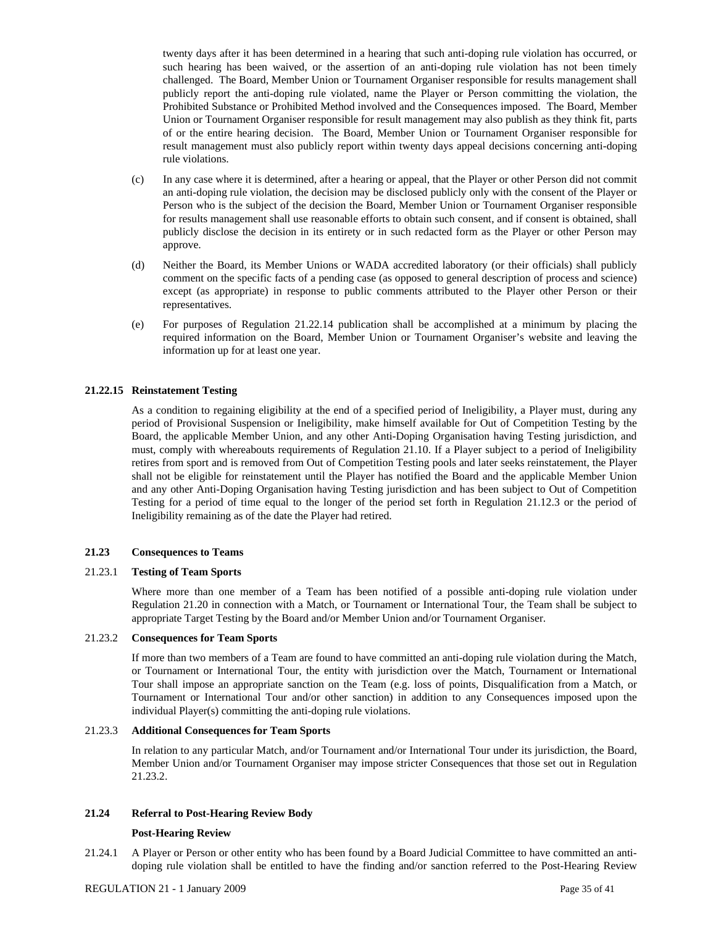twenty days after it has been determined in a hearing that such anti-doping rule violation has occurred, or such hearing has been waived, or the assertion of an anti-doping rule violation has not been timely challenged. The Board, Member Union or Tournament Organiser responsible for results management shall publicly report the anti-doping rule violated, name the Player or Person committing the violation, the Prohibited Substance or Prohibited Method involved and the Consequences imposed. The Board, Member Union or Tournament Organiser responsible for result management may also publish as they think fit, parts of or the entire hearing decision. The Board, Member Union or Tournament Organiser responsible for result management must also publicly report within twenty days appeal decisions concerning anti-doping rule violations.

- (c) In any case where it is determined, after a hearing or appeal, that the Player or other Person did not commit an anti-doping rule violation, the decision may be disclosed publicly only with the consent of the Player or Person who is the subject of the decision the Board, Member Union or Tournament Organiser responsible for results management shall use reasonable efforts to obtain such consent, and if consent is obtained, shall publicly disclose the decision in its entirety or in such redacted form as the Player or other Person may approve.
- (d) Neither the Board, its Member Unions or WADA accredited laboratory (or their officials) shall publicly comment on the specific facts of a pending case (as opposed to general description of process and science) except (as appropriate) in response to public comments attributed to the Player other Person or their representatives.
- (e) For purposes of Regulation 21.22.14 publication shall be accomplished at a minimum by placing the required information on the Board, Member Union or Tournament Organiser's website and leaving the information up for at least one year.

# **21.22.15 Reinstatement Testing**

 As a condition to regaining eligibility at the end of a specified period of Ineligibility, a Player must, during any period of Provisional Suspension or Ineligibility, make himself available for Out of Competition Testing by the Board, the applicable Member Union, and any other Anti-Doping Organisation having Testing jurisdiction, and must, comply with whereabouts requirements of Regulation 21.10. If a Player subject to a period of Ineligibility retires from sport and is removed from Out of Competition Testing pools and later seeks reinstatement, the Player shall not be eligible for reinstatement until the Player has notified the Board and the applicable Member Union and any other Anti-Doping Organisation having Testing jurisdiction and has been subject to Out of Competition Testing for a period of time equal to the longer of the period set forth in Regulation 21.12.3 or the period of Ineligibility remaining as of the date the Player had retired.

# **21.23 Consequences to Teams**

# 21.23.1 **Testing of Team Sports**

Where more than one member of a Team has been notified of a possible anti-doping rule violation under Regulation 21.20 in connection with a Match, or Tournament or International Tour, the Team shall be subject to appropriate Target Testing by the Board and/or Member Union and/or Tournament Organiser.

# 21.23.2 **Consequences for Team Sports**

If more than two members of a Team are found to have committed an anti-doping rule violation during the Match, or Tournament or International Tour, the entity with jurisdiction over the Match, Tournament or International Tour shall impose an appropriate sanction on the Team (e.g. loss of points, Disqualification from a Match, or Tournament or International Tour and/or other sanction) in addition to any Consequences imposed upon the individual Player(s) committing the anti-doping rule violations.

#### 21.23.3 **Additional Consequences for Team Sports**

In relation to any particular Match, and/or Tournament and/or International Tour under its jurisdiction, the Board, Member Union and/or Tournament Organiser may impose stricter Consequences that those set out in Regulation 21.23.2.

# **21.24 Referral to Post-Hearing Review Body**

#### **Post-Hearing Review**

21.24.1 A Player or Person or other entity who has been found by a Board Judicial Committee to have committed an antidoping rule violation shall be entitled to have the finding and/or sanction referred to the Post-Hearing Review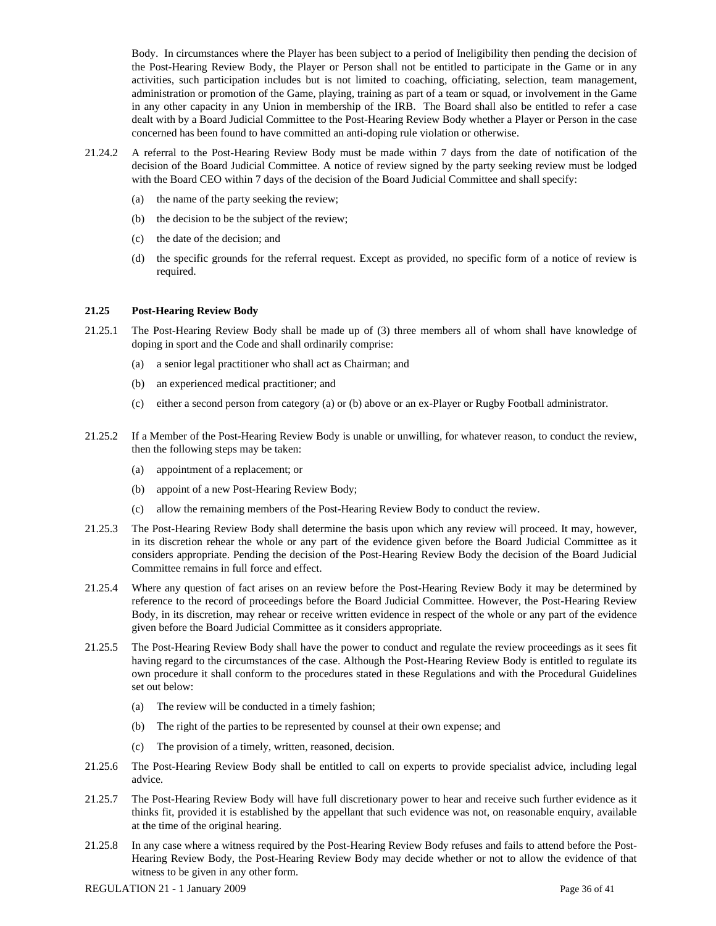Body. In circumstances where the Player has been subject to a period of Ineligibility then pending the decision of the Post-Hearing Review Body, the Player or Person shall not be entitled to participate in the Game or in any activities, such participation includes but is not limited to coaching, officiating, selection, team management, administration or promotion of the Game, playing, training as part of a team or squad, or involvement in the Game in any other capacity in any Union in membership of the IRB. The Board shall also be entitled to refer a case dealt with by a Board Judicial Committee to the Post-Hearing Review Body whether a Player or Person in the case concerned has been found to have committed an anti-doping rule violation or otherwise.

- 21.24.2 A referral to the Post-Hearing Review Body must be made within 7 days from the date of notification of the decision of the Board Judicial Committee. A notice of review signed by the party seeking review must be lodged with the Board CEO within 7 days of the decision of the Board Judicial Committee and shall specify:
	- (a) the name of the party seeking the review;
	- (b) the decision to be the subject of the review;
	- (c) the date of the decision; and
	- (d) the specific grounds for the referral request. Except as provided, no specific form of a notice of review is required.

### **21.25 Post-Hearing Review Body**

- 21.25.1 The Post-Hearing Review Body shall be made up of (3) three members all of whom shall have knowledge of doping in sport and the Code and shall ordinarily comprise:
	- (a) a senior legal practitioner who shall act as Chairman; and
	- (b) an experienced medical practitioner; and
	- (c) either a second person from category (a) or (b) above or an ex-Player or Rugby Football administrator.
- 21.25.2 If a Member of the Post-Hearing Review Body is unable or unwilling, for whatever reason, to conduct the review, then the following steps may be taken:
	- (a) appointment of a replacement; or
	- (b) appoint of a new Post-Hearing Review Body;
	- (c) allow the remaining members of the Post-Hearing Review Body to conduct the review.
- 21.25.3 The Post-Hearing Review Body shall determine the basis upon which any review will proceed. It may, however, in its discretion rehear the whole or any part of the evidence given before the Board Judicial Committee as it considers appropriate. Pending the decision of the Post-Hearing Review Body the decision of the Board Judicial Committee remains in full force and effect.
- 21.25.4 Where any question of fact arises on an review before the Post-Hearing Review Body it may be determined by reference to the record of proceedings before the Board Judicial Committee. However, the Post-Hearing Review Body, in its discretion, may rehear or receive written evidence in respect of the whole or any part of the evidence given before the Board Judicial Committee as it considers appropriate.
- 21.25.5 The Post-Hearing Review Body shall have the power to conduct and regulate the review proceedings as it sees fit having regard to the circumstances of the case. Although the Post-Hearing Review Body is entitled to regulate its own procedure it shall conform to the procedures stated in these Regulations and with the Procedural Guidelines set out below:
	- (a) The review will be conducted in a timely fashion;
	- (b) The right of the parties to be represented by counsel at their own expense; and
	- (c) The provision of a timely, written, reasoned, decision.
- 21.25.6 The Post-Hearing Review Body shall be entitled to call on experts to provide specialist advice, including legal advice.
- 21.25.7 The Post-Hearing Review Body will have full discretionary power to hear and receive such further evidence as it thinks fit, provided it is established by the appellant that such evidence was not, on reasonable enquiry, available at the time of the original hearing.
- 21.25.8 In any case where a witness required by the Post-Hearing Review Body refuses and fails to attend before the Post-Hearing Review Body, the Post-Hearing Review Body may decide whether or not to allow the evidence of that witness to be given in any other form.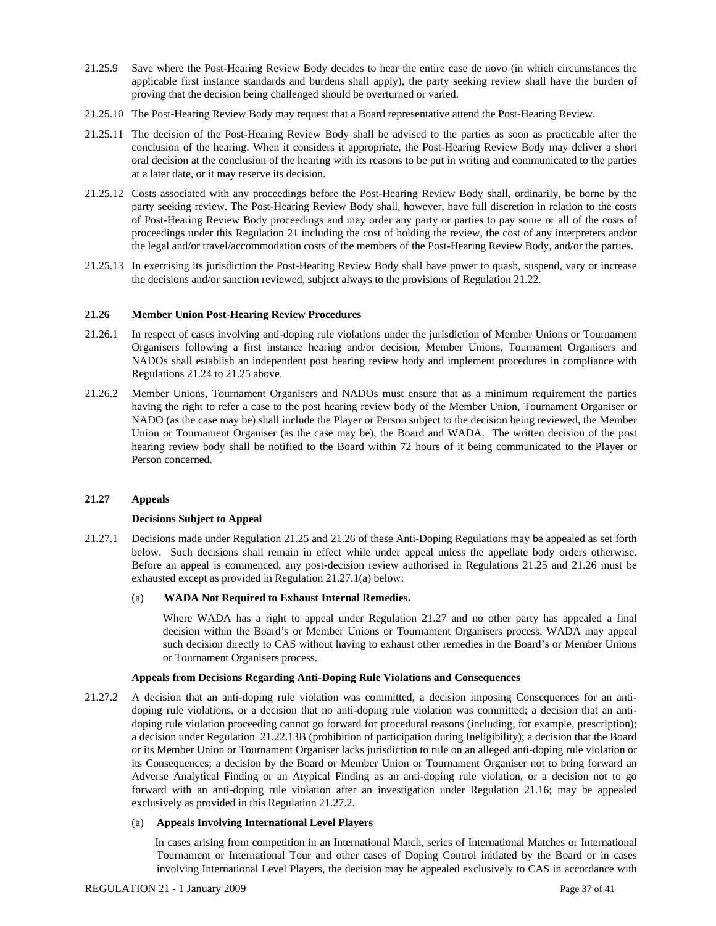- 21.25.9 Save where the Post-Hearing Review Body decides to hear the entire case de novo (in which circumstances the applicable first instance standards and burdens shall apply), the party seeking review shall have the burden of proving that the decision being challenged should be overturned or varied.
- 21.25.10 The Post-Hearing Review Body may request that a Board representative attend the Post-Hearing Review.
- 21.25.11 The decision of the Post-Hearing Review Body shall be advised to the parties as soon as practicable after the conclusion of the hearing. When it considers it appropriate, the Post-Hearing Review Body may deliver a short oral decision at the conclusion of the hearing with its reasons to be put in writing and communicated to the parties at a later date, or it may reserve its decision.
- 21.25.12 Costs associated with any proceedings before the Post-Hearing Review Body shall, ordinarily, be borne by the party seeking review. The Post-Hearing Review Body shall, however, have full discretion in relation to the costs of Post-Hearing Review Body proceedings and may order any party or parties to pay some or all of the costs of proceedings under this Regulation 21 including the cost of holding the review, the cost of any interpreters and/or the legal and/or travel/accommodation costs of the members of the Post-Hearing Review Body, and/or the parties.
- 21.25.13 In exercising its jurisdiction the Post-Hearing Review Body shall have power to quash, suspend, vary or increase the decisions and/or sanction reviewed, subject always to the provisions of Regulation 21.22.

# **21.26 Member Union Post-Hearing Review Procedures**

- 21.26.1 In respect of cases involving anti-doping rule violations under the jurisdiction of Member Unions or Tournament Organisers following a first instance hearing and/or decision, Member Unions, Tournament Organisers and NADOs shall establish an independent post hearing review body and implement procedures in compliance with Regulations 21.24 to 21.25 above.
- 21.26.2 Member Unions, Tournament Organisers and NADOs must ensure that as a minimum requirement the parties having the right to refer a case to the post hearing review body of the Member Union, Tournament Organiser or NADO (as the case may be) shall include the Player or Person subject to the decision being reviewed, the Member Union or Tournament Organiser (as the case may be), the Board and WADA. The written decision of the post hearing review body shall be notified to the Board within 72 hours of it being communicated to the Player or Person concerned.

# **21.27 Appeals**

#### **Decisions Subject to Appeal**

- 21.27.1 Decisions made under Regulation 21.25 and 21.26 of these Anti-Doping Regulations may be appealed as set forth below. Such decisions shall remain in effect while under appeal unless the appellate body orders otherwise. Before an appeal is commenced, any post-decision review authorised in Regulations 21.25 and 21.26 must be exhausted except as provided in Regulation 21.27.1(a) below:
	- (a) **WADA Not Required to Exhaust Internal Remedies.**

Where WADA has a right to appeal under Regulation 21.27 and no other party has appealed a final decision within the Board's or Member Unions or Tournament Organisers process, WADA may appeal such decision directly to CAS without having to exhaust other remedies in the Board's or Member Unions or Tournament Organisers process.

### **Appeals from Decisions Regarding Anti-Doping Rule Violations and Consequences**

21.27.2 A decision that an anti-doping rule violation was committed, a decision imposing Consequences for an antidoping rule violations, or a decision that no anti-doping rule violation was committed; a decision that an antidoping rule violation proceeding cannot go forward for procedural reasons (including, for example, prescription); a decision under Regulation 21.22.13B (prohibition of participation during Ineligibility); a decision that the Board or its Member Union or Tournament Organiser lacks jurisdiction to rule on an alleged anti-doping rule violation or its Consequences; a decision by the Board or Member Union or Tournament Organiser not to bring forward an Adverse Analytical Finding or an Atypical Finding as an anti-doping rule violation, or a decision not to go forward with an anti-doping rule violation after an investigation under Regulation 21.16; may be appealed exclusively as provided in this Regulation 21.27.2.

# (a) **Appeals Involving International Level Players**

In cases arising from competition in an International Match, series of International Matches or International Tournament or International Tour and other cases of Doping Control initiated by the Board or in cases involving International Level Players, the decision may be appealed exclusively to CAS in accordance with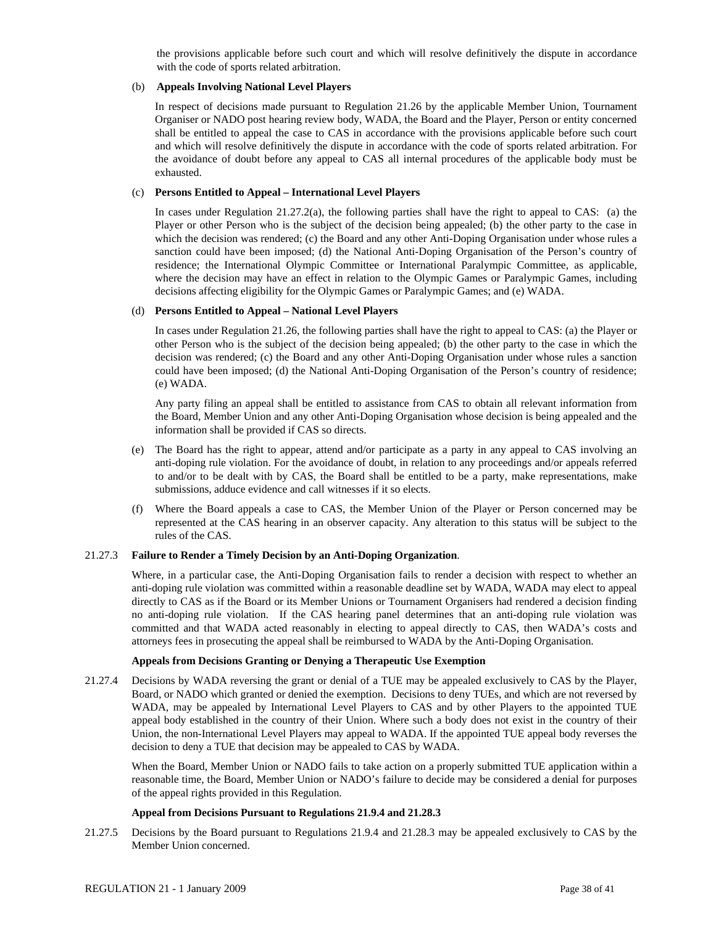the provisions applicable before such court and which will resolve definitively the dispute in accordance with the code of sports related arbitration.

### (b) **Appeals Involving National Level Players**

In respect of decisions made pursuant to Regulation 21.26 by the applicable Member Union, Tournament Organiser or NADO post hearing review body, WADA, the Board and the Player, Person or entity concerned shall be entitled to appeal the case to CAS in accordance with the provisions applicable before such court and which will resolve definitively the dispute in accordance with the code of sports related arbitration. For the avoidance of doubt before any appeal to CAS all internal procedures of the applicable body must be exhausted.

# (c) **Persons Entitled to Appeal – International Level Players**

In cases under Regulation 21.27.2(a), the following parties shall have the right to appeal to CAS: (a) the Player or other Person who is the subject of the decision being appealed; (b) the other party to the case in which the decision was rendered; (c) the Board and any other Anti-Doping Organisation under whose rules a sanction could have been imposed; (d) the National Anti-Doping Organisation of the Person's country of residence; the International Olympic Committee or International Paralympic Committee, as applicable, where the decision may have an effect in relation to the Olympic Games or Paralympic Games, including decisions affecting eligibility for the Olympic Games or Paralympic Games; and (e) WADA.

### (d) **Persons Entitled to Appeal – National Level Players**

In cases under Regulation 21.26, the following parties shall have the right to appeal to CAS: (a) the Player or other Person who is the subject of the decision being appealed; (b) the other party to the case in which the decision was rendered; (c) the Board and any other Anti-Doping Organisation under whose rules a sanction could have been imposed; (d) the National Anti-Doping Organisation of the Person's country of residence; (e) WADA.

Any party filing an appeal shall be entitled to assistance from CAS to obtain all relevant information from the Board, Member Union and any other Anti-Doping Organisation whose decision is being appealed and the information shall be provided if CAS so directs.

- (e) The Board has the right to appear, attend and/or participate as a party in any appeal to CAS involving an anti-doping rule violation. For the avoidance of doubt, in relation to any proceedings and/or appeals referred to and/or to be dealt with by CAS, the Board shall be entitled to be a party, make representations, make submissions, adduce evidence and call witnesses if it so elects.
- (f) Where the Board appeals a case to CAS, the Member Union of the Player or Person concerned may be represented at the CAS hearing in an observer capacity. Any alteration to this status will be subject to the rules of the CAS.

# 21.27.3 **Failure to Render a Timely Decision by an Anti-Doping Organization**.

Where, in a particular case, the Anti-Doping Organisation fails to render a decision with respect to whether an anti-doping rule violation was committed within a reasonable deadline set by WADA, WADA may elect to appeal directly to CAS as if the Board or its Member Unions or Tournament Organisers had rendered a decision finding no anti-doping rule violation. If the CAS hearing panel determines that an anti-doping rule violation was committed and that WADA acted reasonably in electing to appeal directly to CAS, then WADA's costs and attorneys fees in prosecuting the appeal shall be reimbursed to WADA by the Anti-Doping Organisation.

#### **Appeals from Decisions Granting or Denying a Therapeutic Use Exemption**

21.27.4 Decisions by WADA reversing the grant or denial of a TUE may be appealed exclusively to CAS by the Player, Board, or NADO which granted or denied the exemption. Decisions to deny TUEs, and which are not reversed by WADA, may be appealed by International Level Players to CAS and by other Players to the appointed TUE appeal body established in the country of their Union. Where such a body does not exist in the country of their Union, the non-International Level Players may appeal to WADA. If the appointed TUE appeal body reverses the decision to deny a TUE that decision may be appealed to CAS by WADA.

When the Board, Member Union or NADO fails to take action on a properly submitted TUE application within a reasonable time, the Board, Member Union or NADO's failure to decide may be considered a denial for purposes of the appeal rights provided in this Regulation.

### **Appeal from Decisions Pursuant to Regulations 21.9.4 and 21.28.3**

21.27.5 Decisions by the Board pursuant to Regulations 21.9.4 and 21.28.3 may be appealed exclusively to CAS by the Member Union concerned.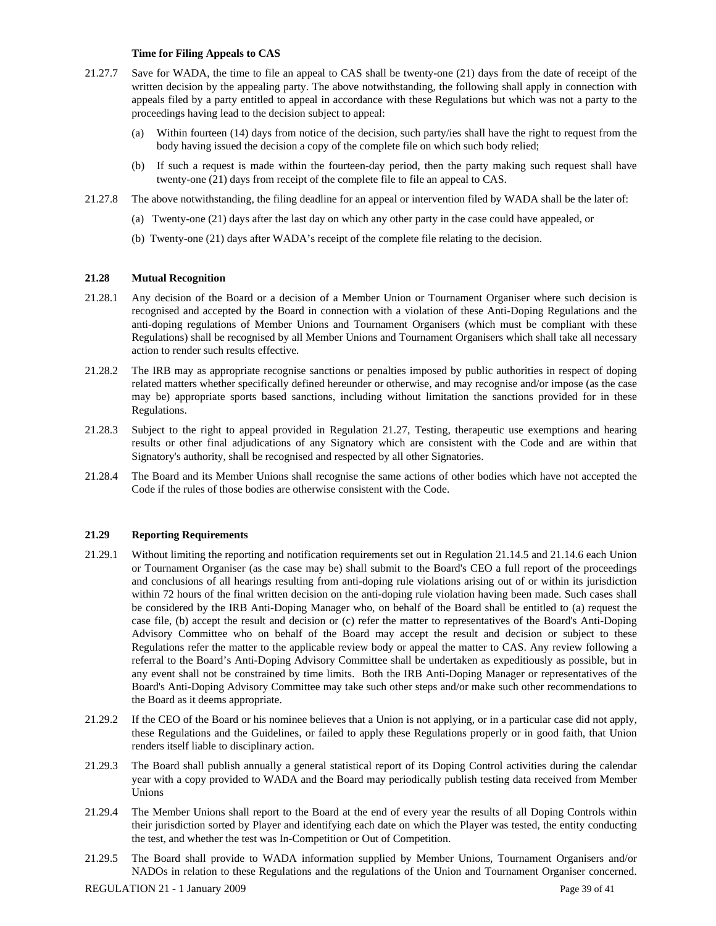### **Time for Filing Appeals to CAS**

- 21.27.7 Save for WADA, the time to file an appeal to CAS shall be twenty-one (21) days from the date of receipt of the written decision by the appealing party. The above notwithstanding, the following shall apply in connection with appeals filed by a party entitled to appeal in accordance with these Regulations but which was not a party to the proceedings having lead to the decision subject to appeal:
	- (a) Within fourteen (14) days from notice of the decision, such party/ies shall have the right to request from the body having issued the decision a copy of the complete file on which such body relied;
	- (b) If such a request is made within the fourteen-day period, then the party making such request shall have twenty-one (21) days from receipt of the complete file to file an appeal to CAS.
- 21.27.8 The above notwithstanding, the filing deadline for an appeal or intervention filed by WADA shall be the later of:
	- (a) Twenty-one (21) days after the last day on which any other party in the case could have appealed, or
	- (b) Twenty-one (21) days after WADA's receipt of the complete file relating to the decision.

### **21.28 Mutual Recognition**

- 21.28.1 Any decision of the Board or a decision of a Member Union or Tournament Organiser where such decision is recognised and accepted by the Board in connection with a violation of these Anti-Doping Regulations and the anti-doping regulations of Member Unions and Tournament Organisers (which must be compliant with these Regulations) shall be recognised by all Member Unions and Tournament Organisers which shall take all necessary action to render such results effective.
- 21.28.2 The IRB may as appropriate recognise sanctions or penalties imposed by public authorities in respect of doping related matters whether specifically defined hereunder or otherwise, and may recognise and/or impose (as the case may be) appropriate sports based sanctions, including without limitation the sanctions provided for in these Regulations.
- 21.28.3 Subject to the right to appeal provided in Regulation 21.27, Testing, therapeutic use exemptions and hearing results or other final adjudications of any Signatory which are consistent with the Code and are within that Signatory's authority, shall be recognised and respected by all other Signatories.
- 21.28.4 The Board and its Member Unions shall recognise the same actions of other bodies which have not accepted the Code if the rules of those bodies are otherwise consistent with the Code.

# **21.29 Reporting Requirements**

- 21.29.1 Without limiting the reporting and notification requirements set out in Regulation 21.14.5 and 21.14.6 each Union or Tournament Organiser (as the case may be) shall submit to the Board's CEO a full report of the proceedings and conclusions of all hearings resulting from anti-doping rule violations arising out of or within its jurisdiction within 72 hours of the final written decision on the anti-doping rule violation having been made. Such cases shall be considered by the IRB Anti-Doping Manager who, on behalf of the Board shall be entitled to (a) request the case file, (b) accept the result and decision or (c) refer the matter to representatives of the Board's Anti-Doping Advisory Committee who on behalf of the Board may accept the result and decision or subject to these Regulations refer the matter to the applicable review body or appeal the matter to CAS. Any review following a referral to the Board's Anti-Doping Advisory Committee shall be undertaken as expeditiously as possible, but in any event shall not be constrained by time limits. Both the IRB Anti-Doping Manager or representatives of the Board's Anti-Doping Advisory Committee may take such other steps and/or make such other recommendations to the Board as it deems appropriate.
- 21.29.2 If the CEO of the Board or his nominee believes that a Union is not applying, or in a particular case did not apply, these Regulations and the Guidelines, or failed to apply these Regulations properly or in good faith, that Union renders itself liable to disciplinary action.
- 21.29.3 The Board shall publish annually a general statistical report of its Doping Control activities during the calendar year with a copy provided to WADA and the Board may periodically publish testing data received from Member Unions
- 21.29.4 The Member Unions shall report to the Board at the end of every year the results of all Doping Controls within their jurisdiction sorted by Player and identifying each date on which the Player was tested, the entity conducting the test, and whether the test was In-Competition or Out of Competition.
- 21.29.5 The Board shall provide to WADA information supplied by Member Unions, Tournament Organisers and/or NADOs in relation to these Regulations and the regulations of the Union and Tournament Organiser concerned.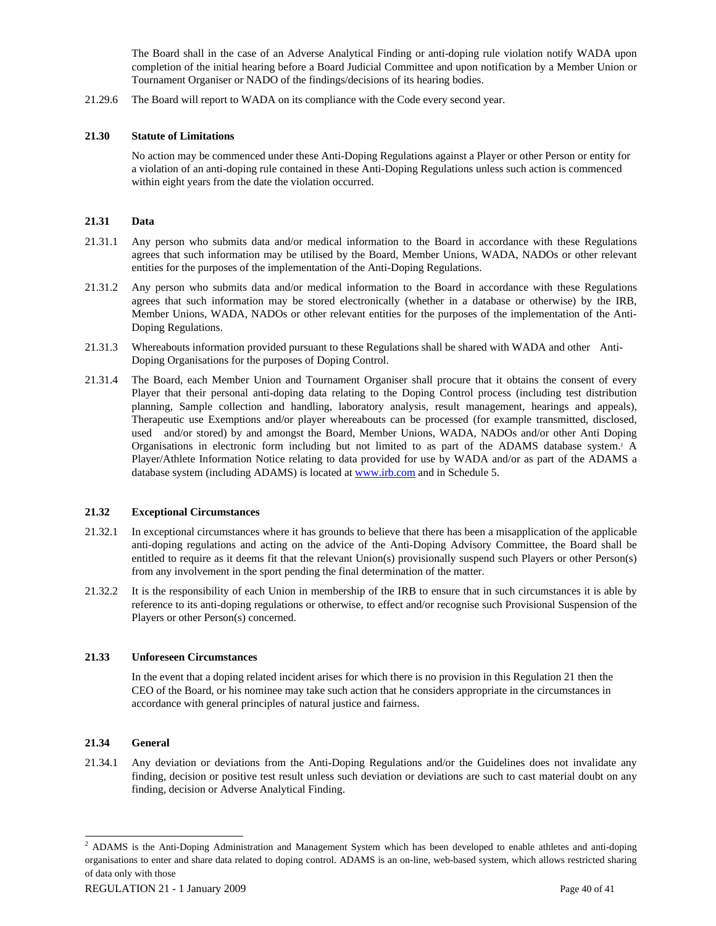The Board shall in the case of an Adverse Analytical Finding or anti-doping rule violation notify WADA upon completion of the initial hearing before a Board Judicial Committee and upon notification by a Member Union or Tournament Organiser or NADO of the findings/decisions of its hearing bodies.

21.29.6 The Board will report to WADA on its compliance with the Code every second year.

### **21.30 Statute of Limitations**

 No action may be commenced under these Anti-Doping Regulations against a Player or other Person or entity for a violation of an anti-doping rule contained in these Anti-Doping Regulations unless such action is commenced within eight years from the date the violation occurred.

### **21.31 Data**

- 21.31.1 Any person who submits data and/or medical information to the Board in accordance with these Regulations agrees that such information may be utilised by the Board, Member Unions, WADA, NADOs or other relevant entities for the purposes of the implementation of the Anti-Doping Regulations.
- 21.31.2 Any person who submits data and/or medical information to the Board in accordance with these Regulations agrees that such information may be stored electronically (whether in a database or otherwise) by the IRB, Member Unions, WADA, NADOs or other relevant entities for the purposes of the implementation of the Anti-Doping Regulations.
- 21.31.3 Whereabouts information provided pursuant to these Regulations shall be shared with WADA and other Anti-Doping Organisations for the purposes of Doping Control.
- 21.31.4 The Board, each Member Union and Tournament Organiser shall procure that it obtains the consent of every Player that their personal anti-doping data relating to the Doping Control process (including test distribution planning, Sample collection and handling, laboratory analysis, result management, hearings and appeals), Therapeutic use Exemptions and/or player whereabouts can be processed (for example transmitted, disclosed, used and/or stored) by and amongst the Board, Member Unions, WADA, NADOs and/or other Anti Doping Organisations in electronic form including but not limited to as part of the ADAMS database system.<sup>2</sup> A Player/Athlete Information Notice relating to data provided for use by WADA and/or as part of the ADAMS a database system (including ADAMS) is located at www.irb.com and in Schedule 5.

#### **21.32 Exceptional Circumstances**

- 21.32.1 In exceptional circumstances where it has grounds to believe that there has been a misapplication of the applicable anti-doping regulations and acting on the advice of the Anti-Doping Advisory Committee, the Board shall be entitled to require as it deems fit that the relevant Union(s) provisionally suspend such Players or other Person(s) from any involvement in the sport pending the final determination of the matter.
- 21.32.2 It is the responsibility of each Union in membership of the IRB to ensure that in such circumstances it is able by reference to its anti-doping regulations or otherwise, to effect and/or recognise such Provisional Suspension of the Players or other Person(s) concerned.

#### **21.33 Unforeseen Circumstances**

 In the event that a doping related incident arises for which there is no provision in this Regulation 21 then the CEO of the Board, or his nominee may take such action that he considers appropriate in the circumstances in accordance with general principles of natural justice and fairness.

# **21.34 General**

 $\overline{a}$ 

21.34.1 Any deviation or deviations from the Anti-Doping Regulations and/or the Guidelines does not invalidate any finding, decision or positive test result unless such deviation or deviations are such to cast material doubt on any finding, decision or Adverse Analytical Finding.

 $<sup>2</sup>$  ADAMS is the Anti-Doping Administration and Management System which has been developed to enable athletes and anti-doping</sup> organisations to enter and share data related to doping control. ADAMS is an on-line, web-based system, which allows restricted sharing of data only with those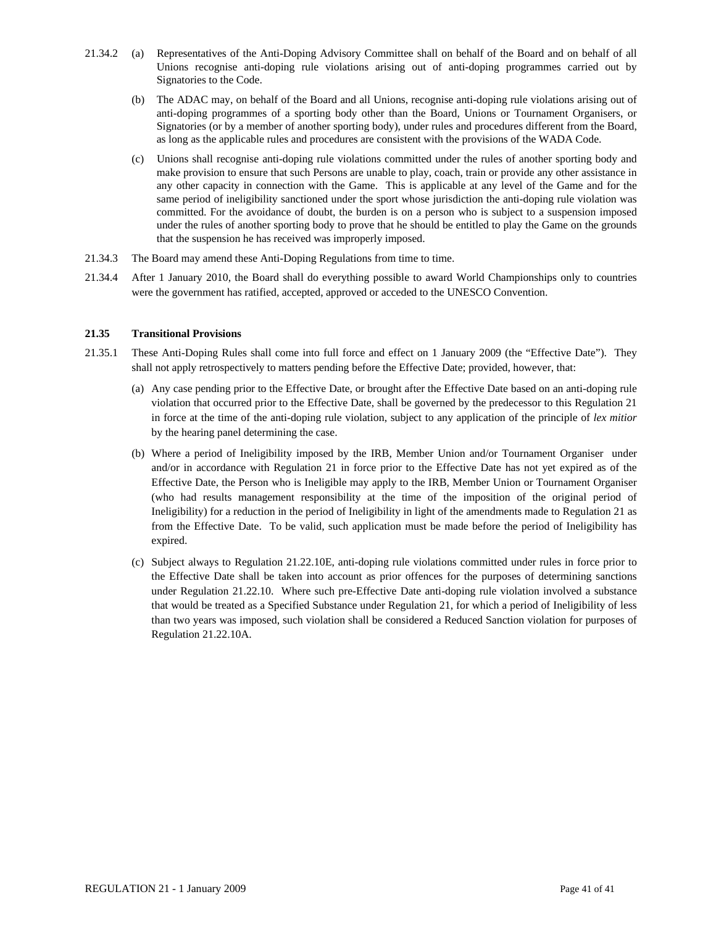- 21.34.2 (a) Representatives of the Anti-Doping Advisory Committee shall on behalf of the Board and on behalf of all Unions recognise anti-doping rule violations arising out of anti-doping programmes carried out by Signatories to the Code.
	- (b) The ADAC may, on behalf of the Board and all Unions, recognise anti-doping rule violations arising out of anti-doping programmes of a sporting body other than the Board, Unions or Tournament Organisers, or Signatories (or by a member of another sporting body), under rules and procedures different from the Board, as long as the applicable rules and procedures are consistent with the provisions of the WADA Code.
	- (c) Unions shall recognise anti-doping rule violations committed under the rules of another sporting body and make provision to ensure that such Persons are unable to play, coach, train or provide any other assistance in any other capacity in connection with the Game. This is applicable at any level of the Game and for the same period of ineligibility sanctioned under the sport whose jurisdiction the anti-doping rule violation was committed. For the avoidance of doubt, the burden is on a person who is subject to a suspension imposed under the rules of another sporting body to prove that he should be entitled to play the Game on the grounds that the suspension he has received was improperly imposed.
- 21.34.3 The Board may amend these Anti-Doping Regulations from time to time.
- 21.34.4 After 1 January 2010, the Board shall do everything possible to award World Championships only to countries were the government has ratified, accepted, approved or acceded to the UNESCO Convention.

### **21.35 Transitional Provisions**

- 21.35.1 These Anti-Doping Rules shall come into full force and effect on 1 January 2009 (the "Effective Date"). They shall not apply retrospectively to matters pending before the Effective Date; provided, however, that:
	- (a) Any case pending prior to the Effective Date, or brought after the Effective Date based on an anti-doping rule violation that occurred prior to the Effective Date, shall be governed by the predecessor to this Regulation 21 in force at the time of the anti-doping rule violation, subject to any application of the principle of *lex mitior* by the hearing panel determining the case.
	- (b) Where a period of Ineligibility imposed by the IRB, Member Union and/or Tournament Organiser under and/or in accordance with Regulation 21 in force prior to the Effective Date has not yet expired as of the Effective Date, the Person who is Ineligible may apply to the IRB, Member Union or Tournament Organiser (who had results management responsibility at the time of the imposition of the original period of Ineligibility) for a reduction in the period of Ineligibility in light of the amendments made to Regulation 21 as from the Effective Date. To be valid, such application must be made before the period of Ineligibility has expired.
	- (c) Subject always to Regulation 21.22.10E, anti-doping rule violations committed under rules in force prior to the Effective Date shall be taken into account as prior offences for the purposes of determining sanctions under Regulation 21.22.10. Where such pre-Effective Date anti-doping rule violation involved a substance that would be treated as a Specified Substance under Regulation 21, for which a period of Ineligibility of less than two years was imposed, such violation shall be considered a Reduced Sanction violation for purposes of Regulation 21.22.10A.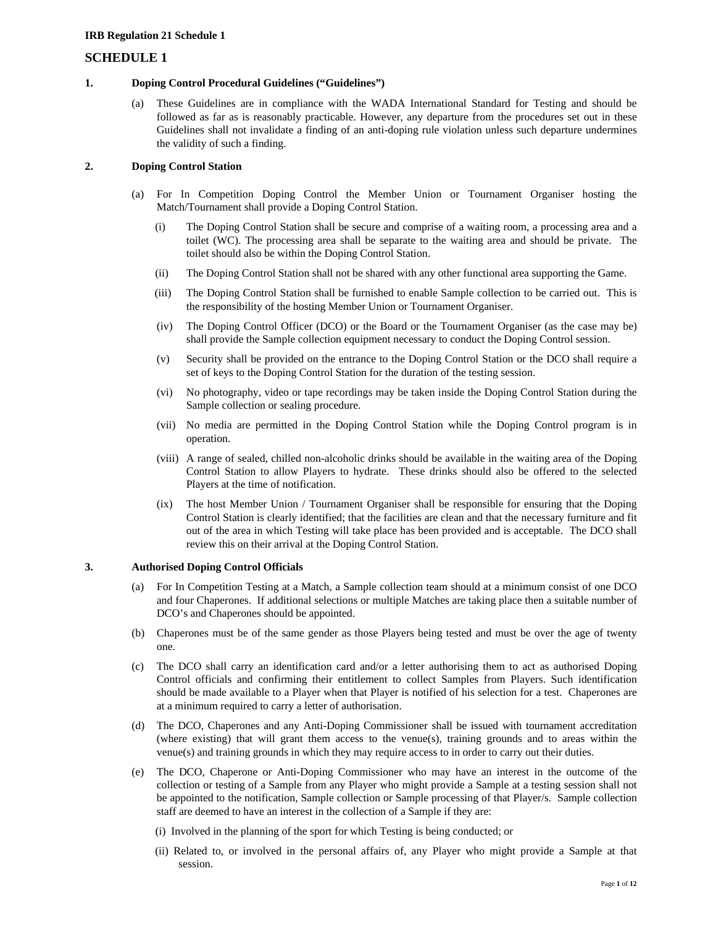# **SCHEDULE 1**

# **1. Doping Control Procedural Guidelines ("Guidelines")**

 (a) These Guidelines are in compliance with the WADA International Standard for Testing and should be followed as far as is reasonably practicable. However, any departure from the procedures set out in these Guidelines shall not invalidate a finding of an anti-doping rule violation unless such departure undermines the validity of such a finding.

# **2. Doping Control Station**

- (a) For In Competition Doping Control the Member Union or Tournament Organiser hosting the Match/Tournament shall provide a Doping Control Station.
	- (i) The Doping Control Station shall be secure and comprise of a waiting room, a processing area and a toilet (WC). The processing area shall be separate to the waiting area and should be private. The toilet should also be within the Doping Control Station.
	- (ii) The Doping Control Station shall not be shared with any other functional area supporting the Game.
	- (iii) The Doping Control Station shall be furnished to enable Sample collection to be carried out. This is the responsibility of the hosting Member Union or Tournament Organiser.
	- (iv) The Doping Control Officer (DCO) or the Board or the Tournament Organiser (as the case may be) shall provide the Sample collection equipment necessary to conduct the Doping Control session.
	- (v) Security shall be provided on the entrance to the Doping Control Station or the DCO shall require a set of keys to the Doping Control Station for the duration of the testing session.
	- (vi) No photography, video or tape recordings may be taken inside the Doping Control Station during the Sample collection or sealing procedure.
	- (vii) No media are permitted in the Doping Control Station while the Doping Control program is in operation.
	- (viii) A range of sealed, chilled non-alcoholic drinks should be available in the waiting area of the Doping Control Station to allow Players to hydrate. These drinks should also be offered to the selected Players at the time of notification.
	- (ix) The host Member Union / Tournament Organiser shall be responsible for ensuring that the Doping Control Station is clearly identified; that the facilities are clean and that the necessary furniture and fit out of the area in which Testing will take place has been provided and is acceptable. The DCO shall review this on their arrival at the Doping Control Station.

# **3. Authorised Doping Control Officials**

- (a) For In Competition Testing at a Match, a Sample collection team should at a minimum consist of one DCO and four Chaperones. If additional selections or multiple Matches are taking place then a suitable number of DCO's and Chaperones should be appointed.
- (b) Chaperones must be of the same gender as those Players being tested and must be over the age of twenty one.
- (c) The DCO shall carry an identification card and/or a letter authorising them to act as authorised Doping Control officials and confirming their entitlement to collect Samples from Players. Such identification should be made available to a Player when that Player is notified of his selection for a test. Chaperones are at a minimum required to carry a letter of authorisation.
- (d) The DCO, Chaperones and any Anti-Doping Commissioner shall be issued with tournament accreditation (where existing) that will grant them access to the venue(s), training grounds and to areas within the venue(s) and training grounds in which they may require access to in order to carry out their duties.
- (e) The DCO, Chaperone or Anti-Doping Commissioner who may have an interest in the outcome of the collection or testing of a Sample from any Player who might provide a Sample at a testing session shall not be appointed to the notification, Sample collection or Sample processing of that Player/s. Sample collection staff are deemed to have an interest in the collection of a Sample if they are:
	- (i) Involved in the planning of the sport for which Testing is being conducted; or
	- (ii) Related to, or involved in the personal affairs of, any Player who might provide a Sample at that session.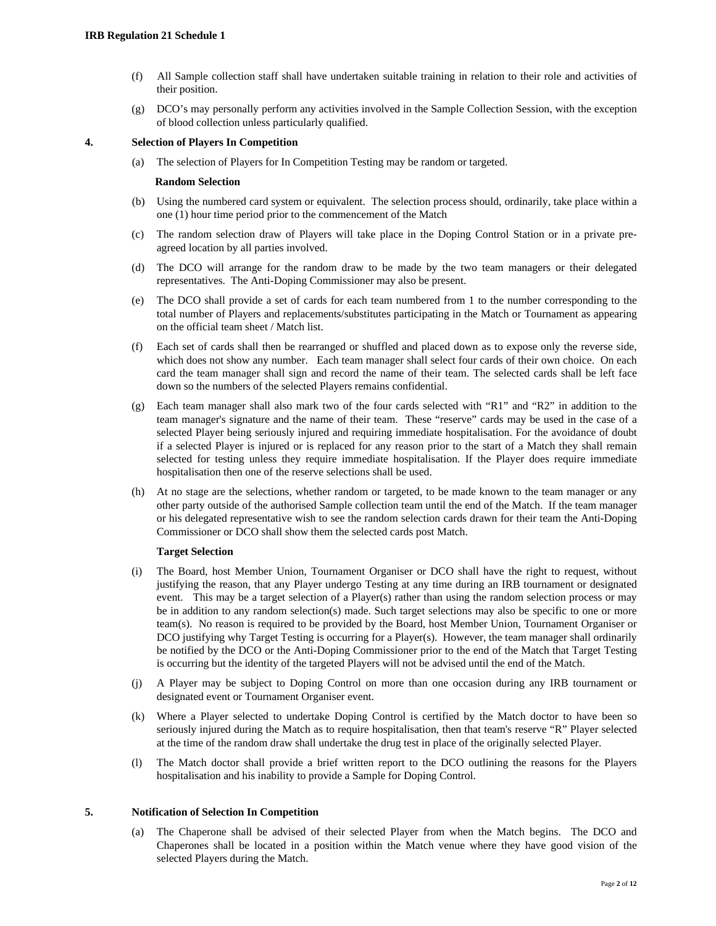- (f) All Sample collection staff shall have undertaken suitable training in relation to their role and activities of their position.
- (g) DCO's may personally perform any activities involved in the Sample Collection Session, with the exception of blood collection unless particularly qualified.

### **4. Selection of Players In Competition**

(a) The selection of Players for In Competition Testing may be random or targeted.

### **Random Selection**

- (b) Using the numbered card system or equivalent. The selection process should, ordinarily, take place within a one (1) hour time period prior to the commencement of the Match
- (c) The random selection draw of Players will take place in the Doping Control Station or in a private preagreed location by all parties involved.
- (d) The DCO will arrange for the random draw to be made by the two team managers or their delegated representatives. The Anti-Doping Commissioner may also be present.
- (e) The DCO shall provide a set of cards for each team numbered from 1 to the number corresponding to the total number of Players and replacements/substitutes participating in the Match or Tournament as appearing on the official team sheet / Match list.
- (f) Each set of cards shall then be rearranged or shuffled and placed down as to expose only the reverse side, which does not show any number. Each team manager shall select four cards of their own choice. On each card the team manager shall sign and record the name of their team. The selected cards shall be left face down so the numbers of the selected Players remains confidential.
- (g) Each team manager shall also mark two of the four cards selected with "R1" and "R2" in addition to the team manager's signature and the name of their team. These "reserve" cards may be used in the case of a selected Player being seriously injured and requiring immediate hospitalisation. For the avoidance of doubt if a selected Player is injured or is replaced for any reason prior to the start of a Match they shall remain selected for testing unless they require immediate hospitalisation. If the Player does require immediate hospitalisation then one of the reserve selections shall be used.
- (h) At no stage are the selections, whether random or targeted, to be made known to the team manager or any other party outside of the authorised Sample collection team until the end of the Match. If the team manager or his delegated representative wish to see the random selection cards drawn for their team the Anti-Doping Commissioner or DCO shall show them the selected cards post Match.

#### **Target Selection**

- (i) The Board, host Member Union, Tournament Organiser or DCO shall have the right to request, without justifying the reason, that any Player undergo Testing at any time during an IRB tournament or designated event. This may be a target selection of a Player(s) rather than using the random selection process or may be in addition to any random selection(s) made. Such target selections may also be specific to one or more team(s). No reason is required to be provided by the Board, host Member Union, Tournament Organiser or DCO justifying why Target Testing is occurring for a Player(s). However, the team manager shall ordinarily be notified by the DCO or the Anti-Doping Commissioner prior to the end of the Match that Target Testing is occurring but the identity of the targeted Players will not be advised until the end of the Match.
- (j) A Player may be subject to Doping Control on more than one occasion during any IRB tournament or designated event or Tournament Organiser event.
- (k) Where a Player selected to undertake Doping Control is certified by the Match doctor to have been so seriously injured during the Match as to require hospitalisation, then that team's reserve "R" Player selected at the time of the random draw shall undertake the drug test in place of the originally selected Player.
- (l) The Match doctor shall provide a brief written report to the DCO outlining the reasons for the Players hospitalisation and his inability to provide a Sample for Doping Control.

#### **5. Notification of Selection In Competition**

 (a) The Chaperone shall be advised of their selected Player from when the Match begins. The DCO and Chaperones shall be located in a position within the Match venue where they have good vision of the selected Players during the Match.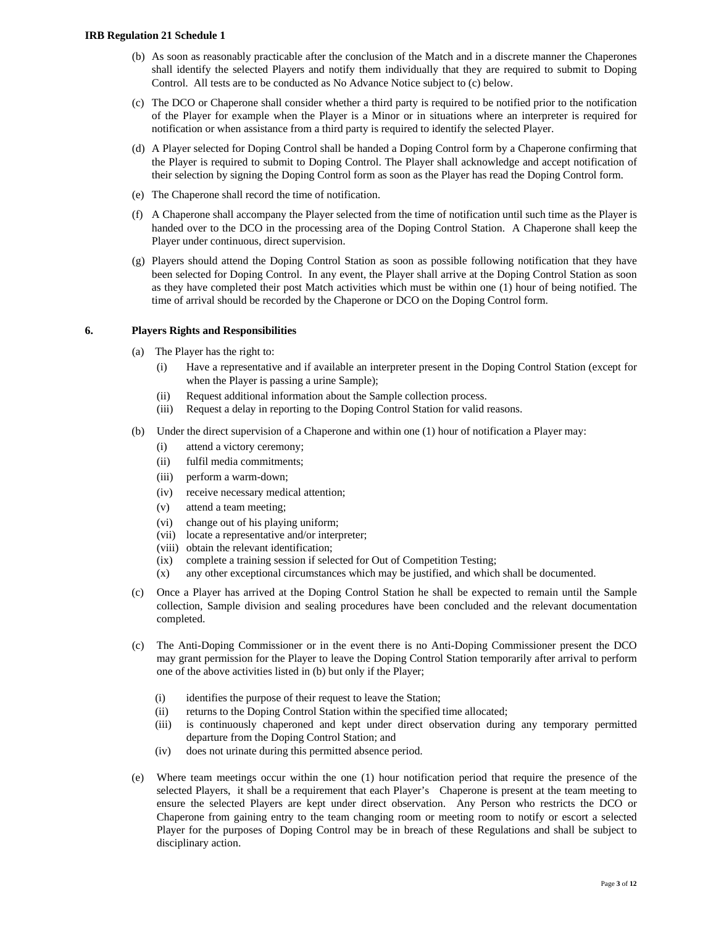- (b) As soon as reasonably practicable after the conclusion of the Match and in a discrete manner the Chaperones shall identify the selected Players and notify them individually that they are required to submit to Doping Control. All tests are to be conducted as No Advance Notice subject to (c) below.
- (c) The DCO or Chaperone shall consider whether a third party is required to be notified prior to the notification of the Player for example when the Player is a Minor or in situations where an interpreter is required for notification or when assistance from a third party is required to identify the selected Player.
- (d) A Player selected for Doping Control shall be handed a Doping Control form by a Chaperone confirming that the Player is required to submit to Doping Control. The Player shall acknowledge and accept notification of their selection by signing the Doping Control form as soon as the Player has read the Doping Control form.
- (e) The Chaperone shall record the time of notification.
- (f) A Chaperone shall accompany the Player selected from the time of notification until such time as the Player is handed over to the DCO in the processing area of the Doping Control Station. A Chaperone shall keep the Player under continuous, direct supervision.
- (g) Players should attend the Doping Control Station as soon as possible following notification that they have been selected for Doping Control. In any event, the Player shall arrive at the Doping Control Station as soon as they have completed their post Match activities which must be within one (1) hour of being notified. The time of arrival should be recorded by the Chaperone or DCO on the Doping Control form.

# **6. Players Rights and Responsibilities**

- (a) The Player has the right to:
	- (i) Have a representative and if available an interpreter present in the Doping Control Station (except for when the Player is passing a urine Sample);
	- (ii) Request additional information about the Sample collection process.
	- (iii) Request a delay in reporting to the Doping Control Station for valid reasons.
- (b) Under the direct supervision of a Chaperone and within one (1) hour of notification a Player may:
	- (i) attend a victory ceremony;
	- (ii) fulfil media commitments;
	- (iii) perform a warm-down;
	- (iv) receive necessary medical attention;
	- (v) attend a team meeting;
	- (vi) change out of his playing uniform;
	- (vii) locate a representative and/or interpreter;
	- (viii) obtain the relevant identification;
	- (ix) complete a training session if selected for Out of Competition Testing;
	- (x) any other exceptional circumstances which may be justified, and which shall be documented.
- (c) Once a Player has arrived at the Doping Control Station he shall be expected to remain until the Sample collection, Sample division and sealing procedures have been concluded and the relevant documentation completed.
- (c) The Anti-Doping Commissioner or in the event there is no Anti-Doping Commissioner present the DCO may grant permission for the Player to leave the Doping Control Station temporarily after arrival to perform one of the above activities listed in (b) but only if the Player;
	- (i) identifies the purpose of their request to leave the Station;
	- (ii) returns to the Doping Control Station within the specified time allocated;
	- (iii) is continuously chaperoned and kept under direct observation during any temporary permitted departure from the Doping Control Station; and
	- (iv) does not urinate during this permitted absence period.
- (e) Where team meetings occur within the one (1) hour notification period that require the presence of the selected Players, it shall be a requirement that each Player's Chaperone is present at the team meeting to ensure the selected Players are kept under direct observation. Any Person who restricts the DCO or Chaperone from gaining entry to the team changing room or meeting room to notify or escort a selected Player for the purposes of Doping Control may be in breach of these Regulations and shall be subject to disciplinary action.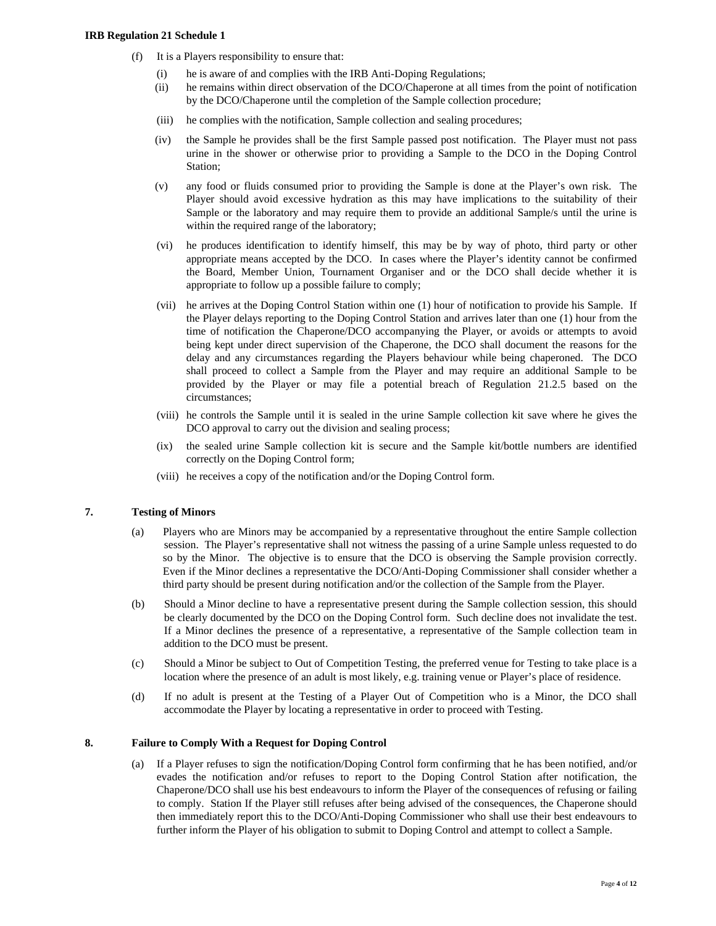- (f) It is a Players responsibility to ensure that:
	- (i) he is aware of and complies with the IRB Anti-Doping Regulations;
	- (ii) he remains within direct observation of the DCO/Chaperone at all times from the point of notification by the DCO/Chaperone until the completion of the Sample collection procedure;
	- (iii) he complies with the notification, Sample collection and sealing procedures;
	- (iv) the Sample he provides shall be the first Sample passed post notification. The Player must not pass urine in the shower or otherwise prior to providing a Sample to the DCO in the Doping Control Station;
	- (v) any food or fluids consumed prior to providing the Sample is done at the Player's own risk. The Player should avoid excessive hydration as this may have implications to the suitability of their Sample or the laboratory and may require them to provide an additional Sample/s until the urine is within the required range of the laboratory;
	- (vi) he produces identification to identify himself, this may be by way of photo, third party or other appropriate means accepted by the DCO. In cases where the Player's identity cannot be confirmed the Board, Member Union, Tournament Organiser and or the DCO shall decide whether it is appropriate to follow up a possible failure to comply;
	- (vii) he arrives at the Doping Control Station within one (1) hour of notification to provide his Sample. If the Player delays reporting to the Doping Control Station and arrives later than one (1) hour from the time of notification the Chaperone/DCO accompanying the Player, or avoids or attempts to avoid being kept under direct supervision of the Chaperone, the DCO shall document the reasons for the delay and any circumstances regarding the Players behaviour while being chaperoned. The DCO shall proceed to collect a Sample from the Player and may require an additional Sample to be provided by the Player or may file a potential breach of Regulation 21.2.5 based on the circumstances;
	- (viii) he controls the Sample until it is sealed in the urine Sample collection kit save where he gives the DCO approval to carry out the division and sealing process;
	- (ix) the sealed urine Sample collection kit is secure and the Sample kit/bottle numbers are identified correctly on the Doping Control form;
	- (viii) he receives a copy of the notification and/or the Doping Control form.

# **7. Testing of Minors**

- (a) Players who are Minors may be accompanied by a representative throughout the entire Sample collection session. The Player's representative shall not witness the passing of a urine Sample unless requested to do so by the Minor. The objective is to ensure that the DCO is observing the Sample provision correctly. Even if the Minor declines a representative the DCO/Anti-Doping Commissioner shall consider whether a third party should be present during notification and/or the collection of the Sample from the Player.
- (b) Should a Minor decline to have a representative present during the Sample collection session, this should be clearly documented by the DCO on the Doping Control form. Such decline does not invalidate the test. If a Minor declines the presence of a representative, a representative of the Sample collection team in addition to the DCO must be present.
- (c) Should a Minor be subject to Out of Competition Testing, the preferred venue for Testing to take place is a location where the presence of an adult is most likely, e.g. training venue or Player's place of residence.
- (d) If no adult is present at the Testing of a Player Out of Competition who is a Minor, the DCO shall accommodate the Player by locating a representative in order to proceed with Testing.

#### **8. Failure to Comply With a Request for Doping Control**

 (a) If a Player refuses to sign the notification/Doping Control form confirming that he has been notified, and/or evades the notification and/or refuses to report to the Doping Control Station after notification, the Chaperone/DCO shall use his best endeavours to inform the Player of the consequences of refusing or failing to comply. Station If the Player still refuses after being advised of the consequences, the Chaperone should then immediately report this to the DCO/Anti-Doping Commissioner who shall use their best endeavours to further inform the Player of his obligation to submit to Doping Control and attempt to collect a Sample.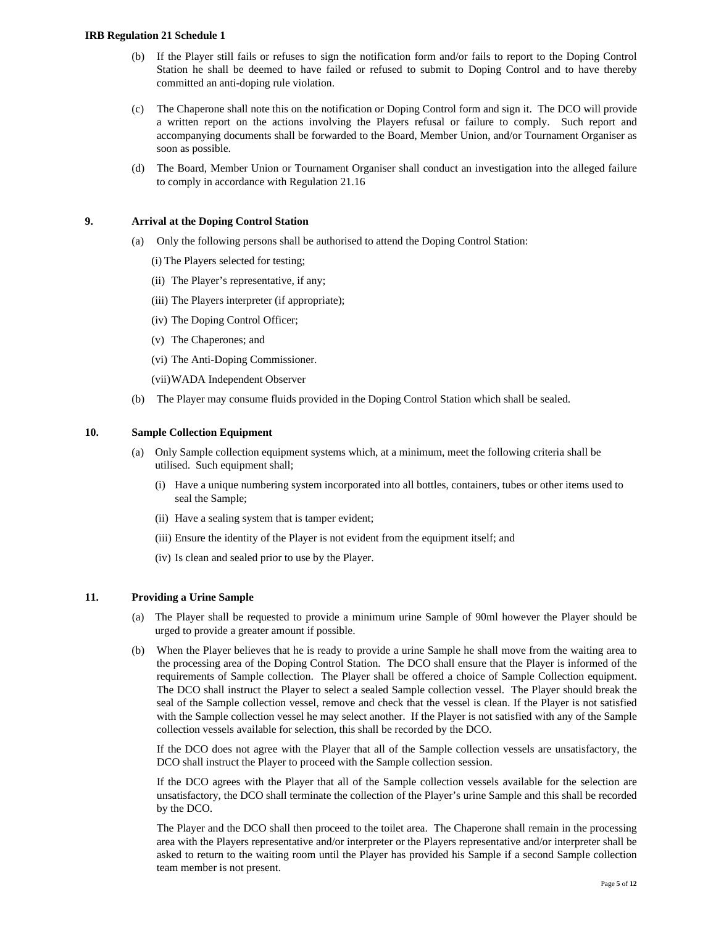- (b) If the Player still fails or refuses to sign the notification form and/or fails to report to the Doping Control Station he shall be deemed to have failed or refused to submit to Doping Control and to have thereby committed an anti-doping rule violation.
- (c) The Chaperone shall note this on the notification or Doping Control form and sign it. The DCO will provide a written report on the actions involving the Players refusal or failure to comply. Such report and accompanying documents shall be forwarded to the Board, Member Union, and/or Tournament Organiser as soon as possible.
- (d) The Board, Member Union or Tournament Organiser shall conduct an investigation into the alleged failure to comply in accordance with Regulation 21.16

### **9. Arrival at the Doping Control Station**

- (a) Only the following persons shall be authorised to attend the Doping Control Station:
	- (i) The Players selected for testing;
	- (ii) The Player's representative, if any;
	- (iii) The Players interpreter (if appropriate);
	- (iv) The Doping Control Officer;
	- (v) The Chaperones; and
	- (vi) The Anti-Doping Commissioner.
	- (vii)WADA Independent Observer
- (b) The Player may consume fluids provided in the Doping Control Station which shall be sealed.

### **10. Sample Collection Equipment**

- (a) Only Sample collection equipment systems which, at a minimum, meet the following criteria shall be utilised. Such equipment shall;
	- (i) Have a unique numbering system incorporated into all bottles, containers, tubes or other items used to seal the Sample;
	- (ii) Have a sealing system that is tamper evident;
	- (iii) Ensure the identity of the Player is not evident from the equipment itself; and
	- (iv) Is clean and sealed prior to use by the Player.

### **11. Providing a Urine Sample**

- (a) The Player shall be requested to provide a minimum urine Sample of 90ml however the Player should be urged to provide a greater amount if possible.
- (b) When the Player believes that he is ready to provide a urine Sample he shall move from the waiting area to the processing area of the Doping Control Station. The DCO shall ensure that the Player is informed of the requirements of Sample collection. The Player shall be offered a choice of Sample Collection equipment. The DCO shall instruct the Player to select a sealed Sample collection vessel. The Player should break the seal of the Sample collection vessel, remove and check that the vessel is clean. If the Player is not satisfied with the Sample collection vessel he may select another. If the Player is not satisfied with any of the Sample collection vessels available for selection, this shall be recorded by the DCO.

 If the DCO does not agree with the Player that all of the Sample collection vessels are unsatisfactory, the DCO shall instruct the Player to proceed with the Sample collection session.

 If the DCO agrees with the Player that all of the Sample collection vessels available for the selection are unsatisfactory, the DCO shall terminate the collection of the Player's urine Sample and this shall be recorded by the DCO.

 The Player and the DCO shall then proceed to the toilet area. The Chaperone shall remain in the processing area with the Players representative and/or interpreter or the Players representative and/or interpreter shall be asked to return to the waiting room until the Player has provided his Sample if a second Sample collection team member is not present.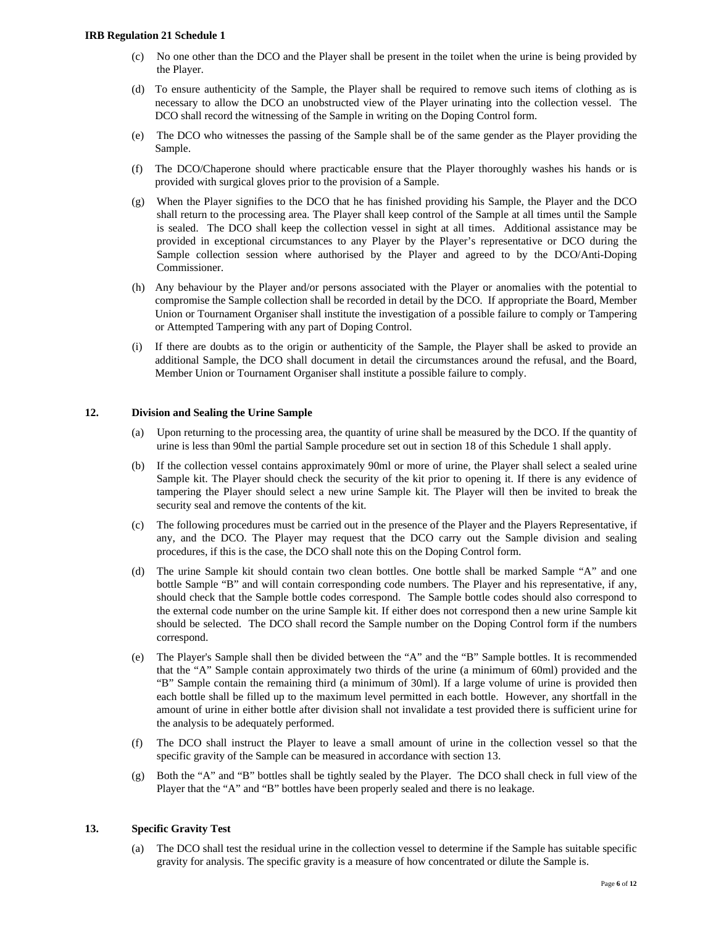- (c) No one other than the DCO and the Player shall be present in the toilet when the urine is being provided by the Player.
- (d) To ensure authenticity of the Sample, the Player shall be required to remove such items of clothing as is necessary to allow the DCO an unobstructed view of the Player urinating into the collection vessel. The DCO shall record the witnessing of the Sample in writing on the Doping Control form.
- (e) The DCO who witnesses the passing of the Sample shall be of the same gender as the Player providing the Sample.
- (f) The DCO/Chaperone should where practicable ensure that the Player thoroughly washes his hands or is provided with surgical gloves prior to the provision of a Sample.
- (g) When the Player signifies to the DCO that he has finished providing his Sample, the Player and the DCO shall return to the processing area. The Player shall keep control of the Sample at all times until the Sample is sealed. The DCO shall keep the collection vessel in sight at all times. Additional assistance may be provided in exceptional circumstances to any Player by the Player's representative or DCO during the Sample collection session where authorised by the Player and agreed to by the DCO/Anti-Doping Commissioner.
- (h) Any behaviour by the Player and/or persons associated with the Player or anomalies with the potential to compromise the Sample collection shall be recorded in detail by the DCO. If appropriate the Board, Member Union or Tournament Organiser shall institute the investigation of a possible failure to comply or Tampering or Attempted Tampering with any part of Doping Control.
- (i) If there are doubts as to the origin or authenticity of the Sample, the Player shall be asked to provide an additional Sample, the DCO shall document in detail the circumstances around the refusal, and the Board, Member Union or Tournament Organiser shall institute a possible failure to comply.

# **12. Division and Sealing the Urine Sample**

- (a) Upon returning to the processing area, the quantity of urine shall be measured by the DCO. If the quantity of urine is less than 90ml the partial Sample procedure set out in section 18 of this Schedule 1 shall apply.
- (b) If the collection vessel contains approximately 90ml or more of urine, the Player shall select a sealed urine Sample kit. The Player should check the security of the kit prior to opening it. If there is any evidence of tampering the Player should select a new urine Sample kit. The Player will then be invited to break the security seal and remove the contents of the kit.
- (c) The following procedures must be carried out in the presence of the Player and the Players Representative, if any, and the DCO. The Player may request that the DCO carry out the Sample division and sealing procedures, if this is the case, the DCO shall note this on the Doping Control form.
- (d) The urine Sample kit should contain two clean bottles. One bottle shall be marked Sample "A" and one bottle Sample "B" and will contain corresponding code numbers. The Player and his representative, if any, should check that the Sample bottle codes correspond. The Sample bottle codes should also correspond to the external code number on the urine Sample kit. If either does not correspond then a new urine Sample kit should be selected. The DCO shall record the Sample number on the Doping Control form if the numbers correspond.
- (e) The Player's Sample shall then be divided between the "A" and the "B" Sample bottles. It is recommended that the "A" Sample contain approximately two thirds of the urine (a minimum of 60ml) provided and the "B" Sample contain the remaining third (a minimum of 30ml). If a large volume of urine is provided then each bottle shall be filled up to the maximum level permitted in each bottle. However, any shortfall in the amount of urine in either bottle after division shall not invalidate a test provided there is sufficient urine for the analysis to be adequately performed.
- (f) The DCO shall instruct the Player to leave a small amount of urine in the collection vessel so that the specific gravity of the Sample can be measured in accordance with section 13.
- (g) Both the "A" and "B" bottles shall be tightly sealed by the Player. The DCO shall check in full view of the Player that the "A" and "B" bottles have been properly sealed and there is no leakage.

# **13. Specific Gravity Test**

 (a) The DCO shall test the residual urine in the collection vessel to determine if the Sample has suitable specific gravity for analysis. The specific gravity is a measure of how concentrated or dilute the Sample is.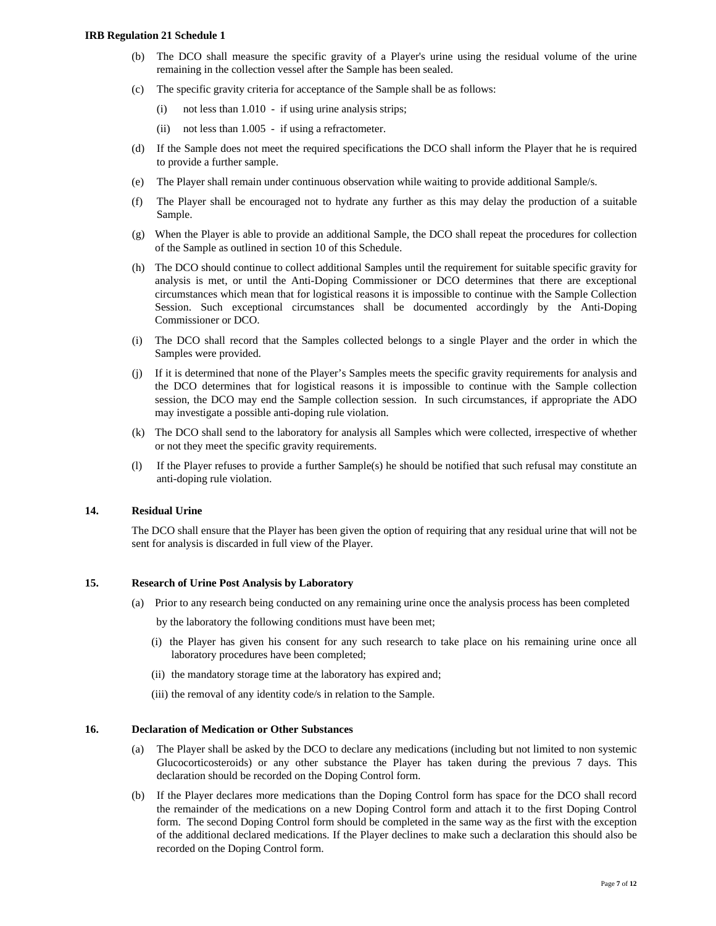- (b) The DCO shall measure the specific gravity of a Player's urine using the residual volume of the urine remaining in the collection vessel after the Sample has been sealed.
- (c) The specific gravity criteria for acceptance of the Sample shall be as follows:
	- (i) not less than 1.010 if using urine analysis strips;
	- (ii) not less than 1.005 if using a refractometer.
- (d) If the Sample does not meet the required specifications the DCO shall inform the Player that he is required to provide a further sample.
- (e) The Player shall remain under continuous observation while waiting to provide additional Sample/s.
- (f) The Player shall be encouraged not to hydrate any further as this may delay the production of a suitable Sample.
- (g) When the Player is able to provide an additional Sample, the DCO shall repeat the procedures for collection of the Sample as outlined in section 10 of this Schedule.
- (h) The DCO should continue to collect additional Samples until the requirement for suitable specific gravity for analysis is met, or until the Anti-Doping Commissioner or DCO determines that there are exceptional circumstances which mean that for logistical reasons it is impossible to continue with the Sample Collection Session. Such exceptional circumstances shall be documented accordingly by the Anti-Doping Commissioner or DCO.
- (i) The DCO shall record that the Samples collected belongs to a single Player and the order in which the Samples were provided.
- (j) If it is determined that none of the Player's Samples meets the specific gravity requirements for analysis and the DCO determines that for logistical reasons it is impossible to continue with the Sample collection session, the DCO may end the Sample collection session. In such circumstances, if appropriate the ADO may investigate a possible anti-doping rule violation.
- (k) The DCO shall send to the laboratory for analysis all Samples which were collected, irrespective of whether or not they meet the specific gravity requirements.
- (l) If the Player refuses to provide a further Sample(s) he should be notified that such refusal may constitute an anti-doping rule violation.

## **14. Residual Urine**

 The DCO shall ensure that the Player has been given the option of requiring that any residual urine that will not be sent for analysis is discarded in full view of the Player.

### **15. Research of Urine Post Analysis by Laboratory**

(a) Prior to any research being conducted on any remaining urine once the analysis process has been completed

by the laboratory the following conditions must have been met;

- (i) the Player has given his consent for any such research to take place on his remaining urine once all laboratory procedures have been completed;
- (ii) the mandatory storage time at the laboratory has expired and;
- (iii) the removal of any identity code/s in relation to the Sample.

#### **16. Declaration of Medication or Other Substances**

- (a) The Player shall be asked by the DCO to declare any medications (including but not limited to non systemic Glucocorticosteroids) or any other substance the Player has taken during the previous 7 days. This declaration should be recorded on the Doping Control form.
- (b) If the Player declares more medications than the Doping Control form has space for the DCO shall record the remainder of the medications on a new Doping Control form and attach it to the first Doping Control form. The second Doping Control form should be completed in the same way as the first with the exception of the additional declared medications. If the Player declines to make such a declaration this should also be recorded on the Doping Control form.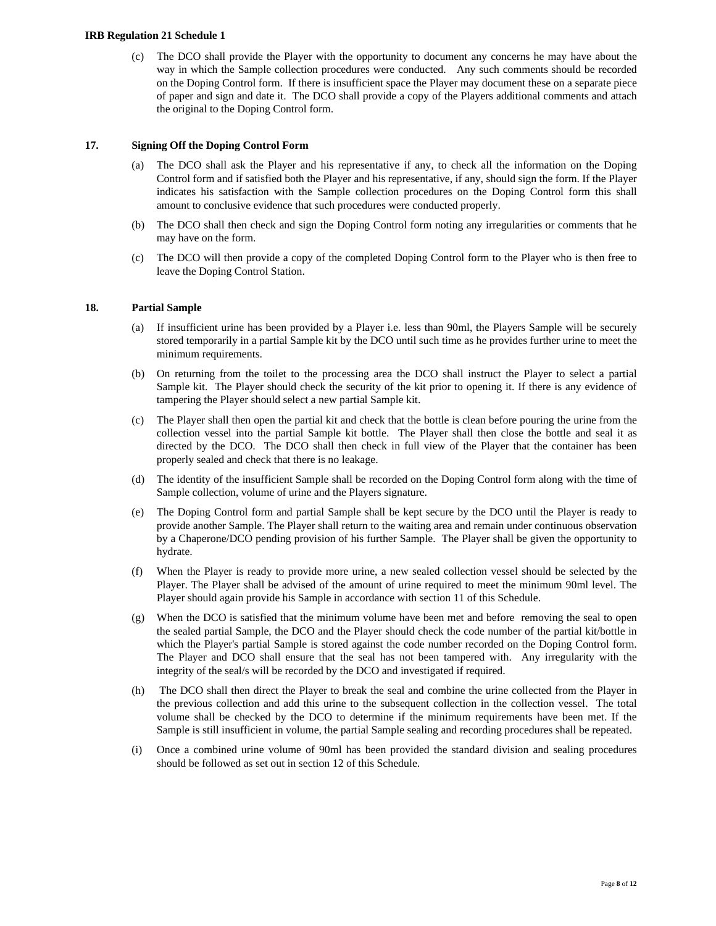(c) The DCO shall provide the Player with the opportunity to document any concerns he may have about the way in which the Sample collection procedures were conducted. Any such comments should be recorded on the Doping Control form. If there is insufficient space the Player may document these on a separate piece of paper and sign and date it. The DCO shall provide a copy of the Players additional comments and attach the original to the Doping Control form.

# **17. Signing Off the Doping Control Form**

- (a) The DCO shall ask the Player and his representative if any, to check all the information on the Doping Control form and if satisfied both the Player and his representative, if any, should sign the form. If the Player indicates his satisfaction with the Sample collection procedures on the Doping Control form this shall amount to conclusive evidence that such procedures were conducted properly.
- (b) The DCO shall then check and sign the Doping Control form noting any irregularities or comments that he may have on the form.
- (c) The DCO will then provide a copy of the completed Doping Control form to the Player who is then free to leave the Doping Control Station.

# **18. Partial Sample**

- (a) If insufficient urine has been provided by a Player i.e. less than 90ml, the Players Sample will be securely stored temporarily in a partial Sample kit by the DCO until such time as he provides further urine to meet the minimum requirements.
- (b) On returning from the toilet to the processing area the DCO shall instruct the Player to select a partial Sample kit. The Player should check the security of the kit prior to opening it. If there is any evidence of tampering the Player should select a new partial Sample kit.
- (c) The Player shall then open the partial kit and check that the bottle is clean before pouring the urine from the collection vessel into the partial Sample kit bottle. The Player shall then close the bottle and seal it as directed by the DCO. The DCO shall then check in full view of the Player that the container has been properly sealed and check that there is no leakage.
- (d) The identity of the insufficient Sample shall be recorded on the Doping Control form along with the time of Sample collection, volume of urine and the Players signature.
- (e) The Doping Control form and partial Sample shall be kept secure by the DCO until the Player is ready to provide another Sample. The Player shall return to the waiting area and remain under continuous observation by a Chaperone/DCO pending provision of his further Sample. The Player shall be given the opportunity to hydrate.
- (f) When the Player is ready to provide more urine, a new sealed collection vessel should be selected by the Player. The Player shall be advised of the amount of urine required to meet the minimum 90ml level. The Player should again provide his Sample in accordance with section 11 of this Schedule.
- (g) When the DCO is satisfied that the minimum volume have been met and before removing the seal to open the sealed partial Sample, the DCO and the Player should check the code number of the partial kit/bottle in which the Player's partial Sample is stored against the code number recorded on the Doping Control form. The Player and DCO shall ensure that the seal has not been tampered with. Any irregularity with the integrity of the seal/s will be recorded by the DCO and investigated if required.
- (h) The DCO shall then direct the Player to break the seal and combine the urine collected from the Player in the previous collection and add this urine to the subsequent collection in the collection vessel. The total volume shall be checked by the DCO to determine if the minimum requirements have been met. If the Sample is still insufficient in volume, the partial Sample sealing and recording procedures shall be repeated.
- (i) Once a combined urine volume of 90ml has been provided the standard division and sealing procedures should be followed as set out in section 12 of this Schedule.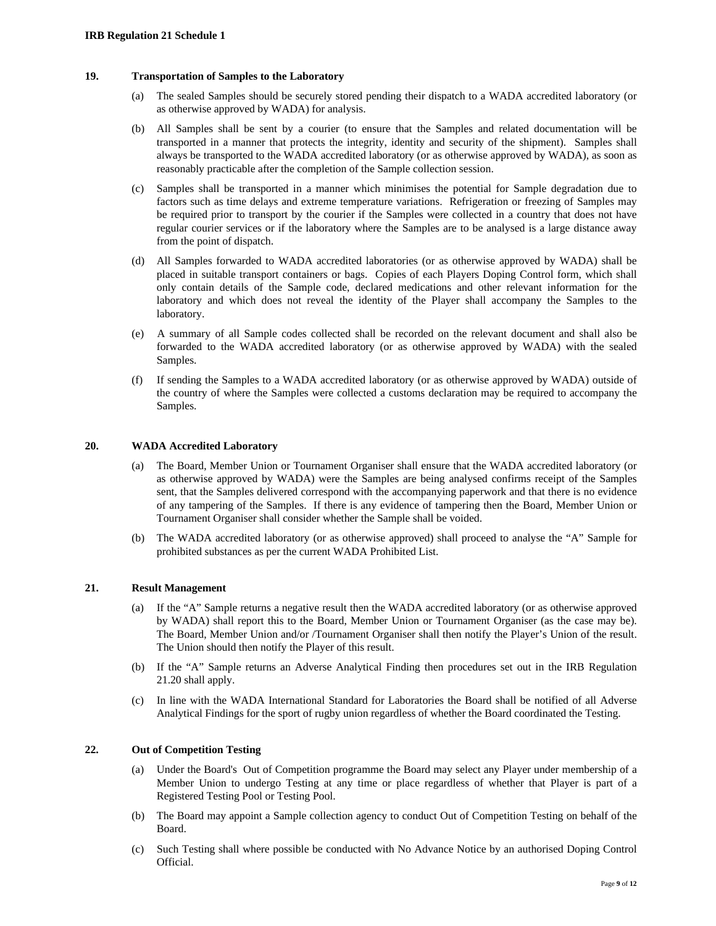### **19. Transportation of Samples to the Laboratory**

- (a) The sealed Samples should be securely stored pending their dispatch to a WADA accredited laboratory (or as otherwise approved by WADA) for analysis.
- (b) All Samples shall be sent by a courier (to ensure that the Samples and related documentation will be transported in a manner that protects the integrity, identity and security of the shipment). Samples shall always be transported to the WADA accredited laboratory (or as otherwise approved by WADA), as soon as reasonably practicable after the completion of the Sample collection session.
- (c) Samples shall be transported in a manner which minimises the potential for Sample degradation due to factors such as time delays and extreme temperature variations. Refrigeration or freezing of Samples may be required prior to transport by the courier if the Samples were collected in a country that does not have regular courier services or if the laboratory where the Samples are to be analysed is a large distance away from the point of dispatch.
- (d) All Samples forwarded to WADA accredited laboratories (or as otherwise approved by WADA) shall be placed in suitable transport containers or bags. Copies of each Players Doping Control form, which shall only contain details of the Sample code, declared medications and other relevant information for the laboratory and which does not reveal the identity of the Player shall accompany the Samples to the laboratory.
- (e) A summary of all Sample codes collected shall be recorded on the relevant document and shall also be forwarded to the WADA accredited laboratory (or as otherwise approved by WADA) with the sealed Samples.
- (f) If sending the Samples to a WADA accredited laboratory (or as otherwise approved by WADA) outside of the country of where the Samples were collected a customs declaration may be required to accompany the Samples.

### **20. WADA Accredited Laboratory**

- (a) The Board, Member Union or Tournament Organiser shall ensure that the WADA accredited laboratory (or as otherwise approved by WADA) were the Samples are being analysed confirms receipt of the Samples sent, that the Samples delivered correspond with the accompanying paperwork and that there is no evidence of any tampering of the Samples. If there is any evidence of tampering then the Board, Member Union or Tournament Organiser shall consider whether the Sample shall be voided.
- (b) The WADA accredited laboratory (or as otherwise approved) shall proceed to analyse the "A" Sample for prohibited substances as per the current WADA Prohibited List.

### **21. Result Management**

- If the "A" Sample returns a negative result then the WADA accredited laboratory (or as otherwise approved by WADA) shall report this to the Board, Member Union or Tournament Organiser (as the case may be). The Board, Member Union and/or /Tournament Organiser shall then notify the Player's Union of the result. The Union should then notify the Player of this result.
- (b) If the "A" Sample returns an Adverse Analytical Finding then procedures set out in the IRB Regulation 21.20 shall apply.
- (c) In line with the WADA International Standard for Laboratories the Board shall be notified of all Adverse Analytical Findings for the sport of rugby union regardless of whether the Board coordinated the Testing.

# **22. Out of Competition Testing**

- (a) Under the Board's Out of Competition programme the Board may select any Player under membership of a Member Union to undergo Testing at any time or place regardless of whether that Player is part of a Registered Testing Pool or Testing Pool.
- (b) The Board may appoint a Sample collection agency to conduct Out of Competition Testing on behalf of the Board.
- (c) Such Testing shall where possible be conducted with No Advance Notice by an authorised Doping Control Official.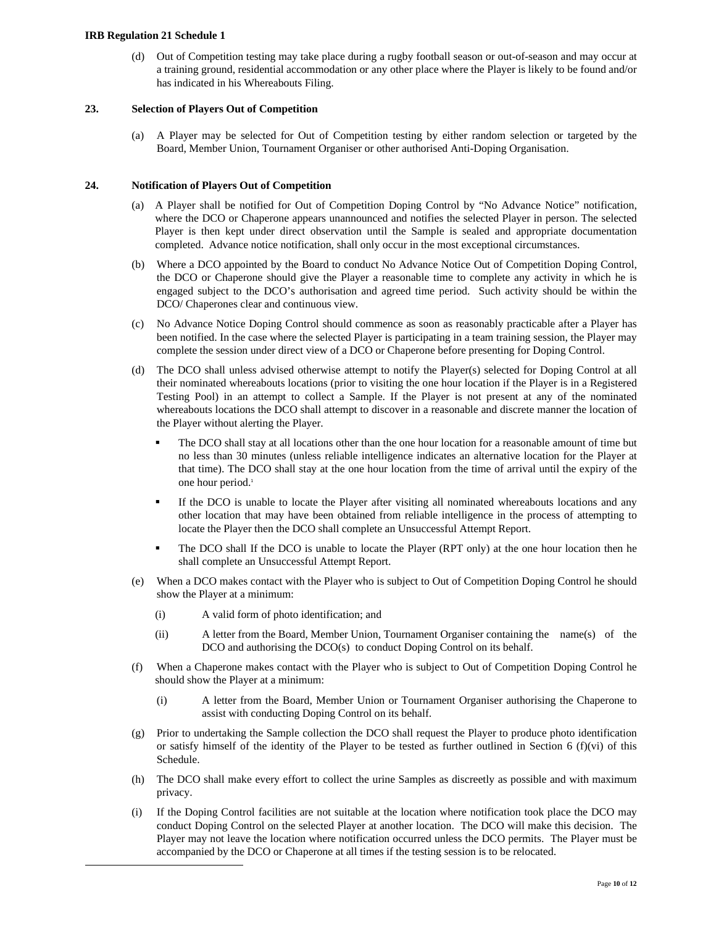(d) Out of Competition testing may take place during a rugby football season or out-of-season and may occur at a training ground, residential accommodation or any other place where the Player is likely to be found and/or has indicated in his Whereabouts Filing.

# **23. Selection of Players Out of Competition**

 (a) A Player may be selected for Out of Competition testing by either random selection or targeted by the Board, Member Union, Tournament Organiser or other authorised Anti-Doping Organisation.

# **24. Notification of Players Out of Competition**

- (a) A Player shall be notified for Out of Competition Doping Control by "No Advance Notice" notification, where the DCO or Chaperone appears unannounced and notifies the selected Player in person. The selected Player is then kept under direct observation until the Sample is sealed and appropriate documentation completed. Advance notice notification, shall only occur in the most exceptional circumstances.
- (b) Where a DCO appointed by the Board to conduct No Advance Notice Out of Competition Doping Control, the DCO or Chaperone should give the Player a reasonable time to complete any activity in which he is engaged subject to the DCO's authorisation and agreed time period. Such activity should be within the DCO/ Chaperones clear and continuous view.
- (c) No Advance Notice Doping Control should commence as soon as reasonably practicable after a Player has been notified. In the case where the selected Player is participating in a team training session, the Player may complete the session under direct view of a DCO or Chaperone before presenting for Doping Control.
- (d) The DCO shall unless advised otherwise attempt to notify the Player(s) selected for Doping Control at all their nominated whereabouts locations (prior to visiting the one hour location if the Player is in a Registered Testing Pool) in an attempt to collect a Sample. If the Player is not present at any of the nominated whereabouts locations the DCO shall attempt to discover in a reasonable and discrete manner the location of the Player without alerting the Player.
	- The DCO shall stay at all locations other than the one hour location for a reasonable amount of time but no less than 30 minutes (unless reliable intelligence indicates an alternative location for the Player at that time). The DCO shall stay at the one hour location from the time of arrival until the expiry of the one hour period.<sup>1</sup>
	- If the DCO is unable to locate the Player after visiting all nominated whereabouts locations and any other location that may have been obtained from reliable intelligence in the process of attempting to locate the Player then the DCO shall complete an Unsuccessful Attempt Report.
	- The DCO shall If the DCO is unable to locate the Player (RPT only) at the one hour location then he shall complete an Unsuccessful Attempt Report.
- (e) When a DCO makes contact with the Player who is subject to Out of Competition Doping Control he should show the Player at a minimum:
	- (i) A valid form of photo identification; and

 $\overline{a}$ 

- (ii) A letter from the Board, Member Union, Tournament Organiser containing the name(s) of the DCO and authorising the DCO(s) to conduct Doping Control on its behalf.
- (f) When a Chaperone makes contact with the Player who is subject to Out of Competition Doping Control he should show the Player at a minimum:
	- (i) A letter from the Board, Member Union or Tournament Organiser authorising the Chaperone to assist with conducting Doping Control on its behalf.
- (g) Prior to undertaking the Sample collection the DCO shall request the Player to produce photo identification or satisfy himself of the identity of the Player to be tested as further outlined in Section 6 (f)(vi) of this Schedule.
- (h) The DCO shall make every effort to collect the urine Samples as discreetly as possible and with maximum privacy.
- (i) If the Doping Control facilities are not suitable at the location where notification took place the DCO may conduct Doping Control on the selected Player at another location. The DCO will make this decision. The Player may not leave the location where notification occurred unless the DCO permits. The Player must be accompanied by the DCO or Chaperone at all times if the testing session is to be relocated.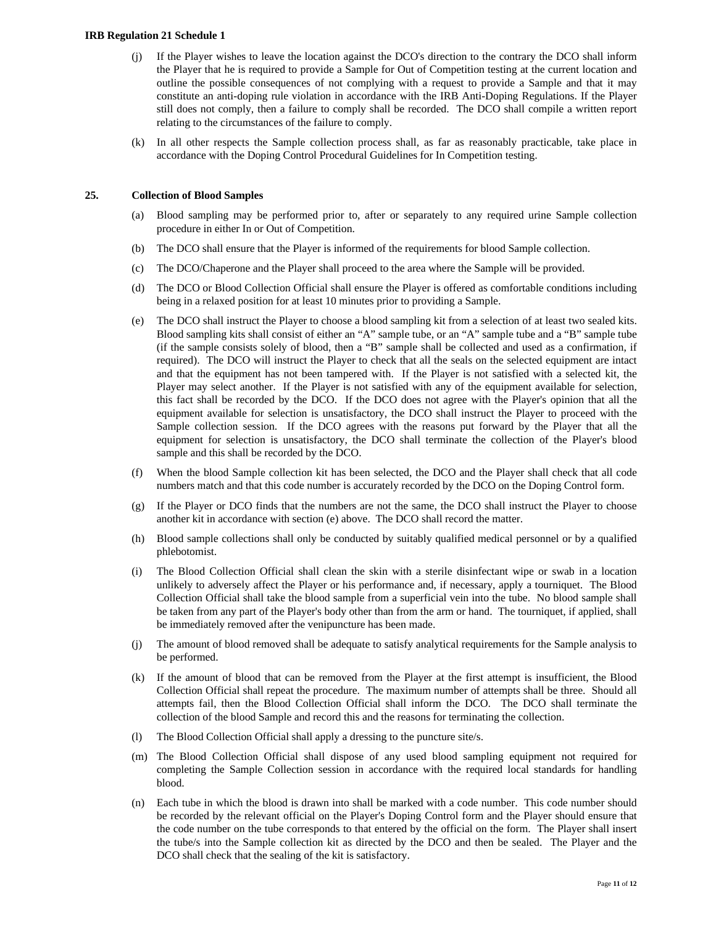- (j) If the Player wishes to leave the location against the DCO's direction to the contrary the DCO shall inform the Player that he is required to provide a Sample for Out of Competition testing at the current location and outline the possible consequences of not complying with a request to provide a Sample and that it may constitute an anti-doping rule violation in accordance with the IRB Anti-Doping Regulations. If the Player still does not comply, then a failure to comply shall be recorded. The DCO shall compile a written report relating to the circumstances of the failure to comply.
- (k) In all other respects the Sample collection process shall, as far as reasonably practicable, take place in accordance with the Doping Control Procedural Guidelines for In Competition testing.

# **25. Collection of Blood Samples**

- (a) Blood sampling may be performed prior to, after or separately to any required urine Sample collection procedure in either In or Out of Competition.
- (b) The DCO shall ensure that the Player is informed of the requirements for blood Sample collection.
- (c) The DCO/Chaperone and the Player shall proceed to the area where the Sample will be provided.
- (d) The DCO or Blood Collection Official shall ensure the Player is offered as comfortable conditions including being in a relaxed position for at least 10 minutes prior to providing a Sample.
- (e) The DCO shall instruct the Player to choose a blood sampling kit from a selection of at least two sealed kits. Blood sampling kits shall consist of either an "A" sample tube, or an "A" sample tube and a "B" sample tube (if the sample consists solely of blood, then a "B" sample shall be collected and used as a confirmation, if required). The DCO will instruct the Player to check that all the seals on the selected equipment are intact and that the equipment has not been tampered with. If the Player is not satisfied with a selected kit, the Player may select another. If the Player is not satisfied with any of the equipment available for selection, this fact shall be recorded by the DCO. If the DCO does not agree with the Player's opinion that all the equipment available for selection is unsatisfactory, the DCO shall instruct the Player to proceed with the Sample collection session. If the DCO agrees with the reasons put forward by the Player that all the equipment for selection is unsatisfactory, the DCO shall terminate the collection of the Player's blood sample and this shall be recorded by the DCO.
- (f) When the blood Sample collection kit has been selected, the DCO and the Player shall check that all code numbers match and that this code number is accurately recorded by the DCO on the Doping Control form.
- (g) If the Player or DCO finds that the numbers are not the same, the DCO shall instruct the Player to choose another kit in accordance with section (e) above. The DCO shall record the matter.
- (h) Blood sample collections shall only be conducted by suitably qualified medical personnel or by a qualified phlebotomist.
- (i) The Blood Collection Official shall clean the skin with a sterile disinfectant wipe or swab in a location unlikely to adversely affect the Player or his performance and, if necessary, apply a tourniquet. The Blood Collection Official shall take the blood sample from a superficial vein into the tube. No blood sample shall be taken from any part of the Player's body other than from the arm or hand. The tourniquet, if applied, shall be immediately removed after the venipuncture has been made.
- (j) The amount of blood removed shall be adequate to satisfy analytical requirements for the Sample analysis to be performed.
- (k) If the amount of blood that can be removed from the Player at the first attempt is insufficient, the Blood Collection Official shall repeat the procedure. The maximum number of attempts shall be three. Should all attempts fail, then the Blood Collection Official shall inform the DCO. The DCO shall terminate the collection of the blood Sample and record this and the reasons for terminating the collection.
- (l) The Blood Collection Official shall apply a dressing to the puncture site/s.
- (m) The Blood Collection Official shall dispose of any used blood sampling equipment not required for completing the Sample Collection session in accordance with the required local standards for handling blood.
- (n) Each tube in which the blood is drawn into shall be marked with a code number. This code number should be recorded by the relevant official on the Player's Doping Control form and the Player should ensure that the code number on the tube corresponds to that entered by the official on the form. The Player shall insert the tube/s into the Sample collection kit as directed by the DCO and then be sealed. The Player and the DCO shall check that the sealing of the kit is satisfactory.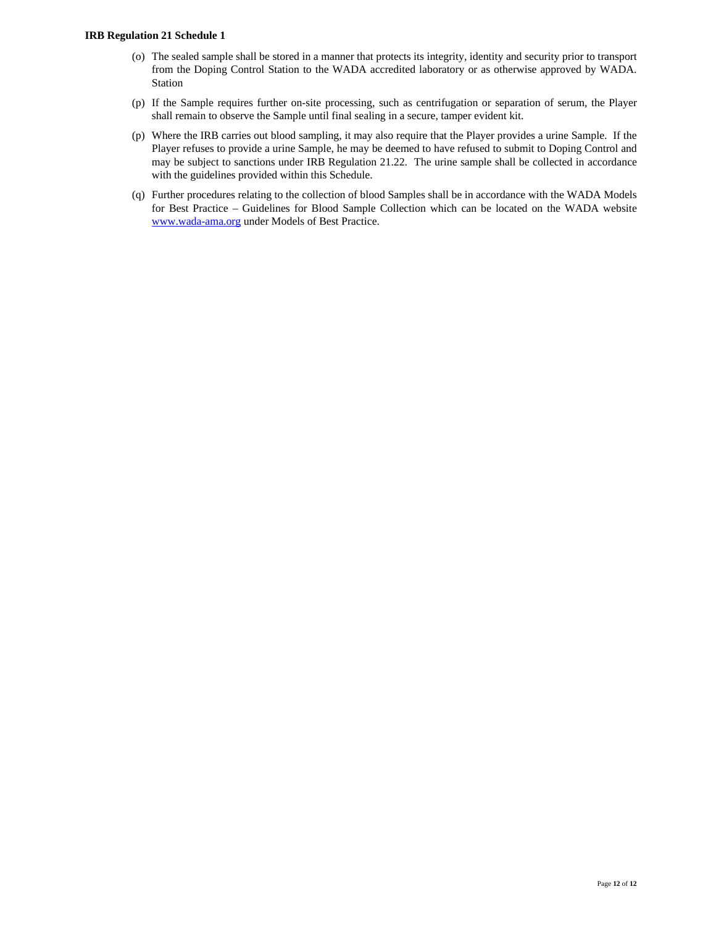- (o) The sealed sample shall be stored in a manner that protects its integrity, identity and security prior to transport from the Doping Control Station to the WADA accredited laboratory or as otherwise approved by WADA. Station
- (p) If the Sample requires further on-site processing, such as centrifugation or separation of serum, the Player shall remain to observe the Sample until final sealing in a secure, tamper evident kit.
- (p) Where the IRB carries out blood sampling, it may also require that the Player provides a urine Sample. If the Player refuses to provide a urine Sample, he may be deemed to have refused to submit to Doping Control and may be subject to sanctions under IRB Regulation 21.22. The urine sample shall be collected in accordance with the guidelines provided within this Schedule.
- (q) Further procedures relating to the collection of blood Samples shall be in accordance with the WADA Models for Best Practice – Guidelines for Blood Sample Collection which can be located on the WADA website www.wada-ama.org under Models of Best Practice.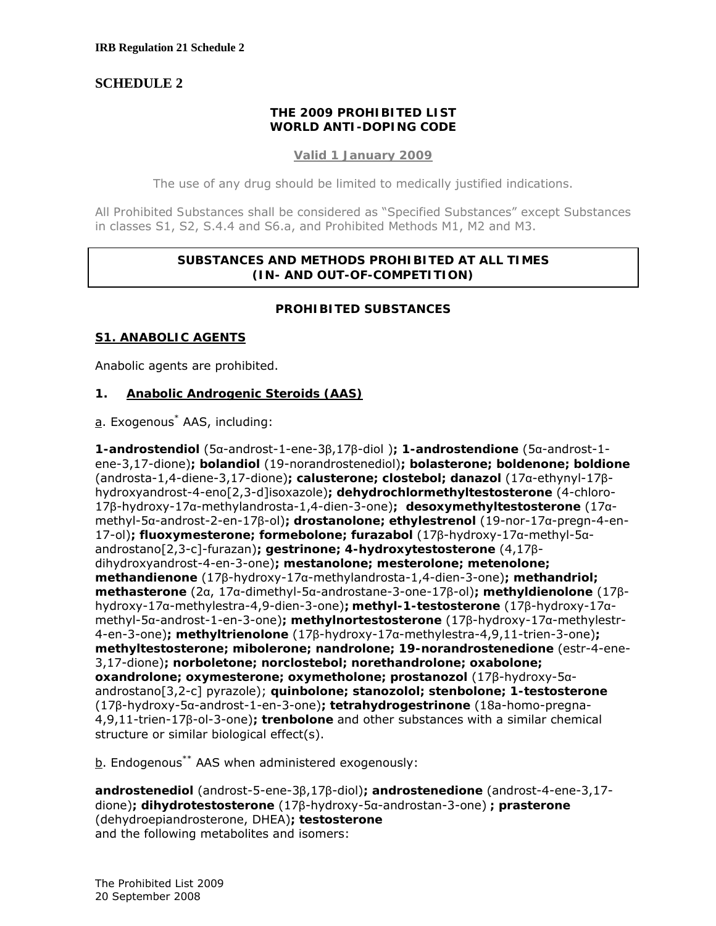# **SCHEDULE 2**

# **THE 2009 PROHIBITED LIST WORLD ANTI-DOPING CODE**

# **Valid 1 January 2009**

The use of any drug should be limited to medically justified indications.

All *Prohibited Substances* shall be considered as "Specified Substances" except Substances in classes S1, S2, S.4.4 and S6.a, and *Prohibited Methods* M1, M2 and M3.

# **SUBSTANCES AND METHODS PROHIBITED AT ALL TIMES (IN- AND OUT-OF-COMPETITION)**

# **PROHIBITED SUBSTANCES**

# **S1. ANABOLIC AGENTS**

Anabolic agents are prohibited.

# **1. Anabolic Androgenic Steroids (AAS)**

a. Exogenous<sup>\*</sup> AAS, including:

**1-androstendiol** (5α-androst-1-ene-3β,17β-diol )**; 1-androstendione** (5α-androst-1 ene-3,17-dione)**; bolandiol** (19-norandrostenediol)**; bolasterone; boldenone; boldione**  (androsta-1,4-diene-3,17-dione)**; calusterone; clostebol; danazol** (17α-ethynyl-17βhydroxyandrost-4-eno[2,3-d]isoxazole)**; dehydrochlormethyltestosterone** (4-chloro-17β-hydroxy-17α-methylandrosta-1,4-dien-3-one)**; desoxymethyltestosterone** (17αmethyl-5α-androst-2-en-17β-ol)**; drostanolone; ethylestrenol** (19-nor-17α-pregn-4-en-17-ol)**; fluoxymesterone; formebolone; furazabol** (17β-hydroxy-17α-methyl-5αandrostano[2,3-c]-furazan)**; gestrinone; 4-hydroxytestosterone** (4,17βdihydroxyandrost-4-en-3-one)**; mestanolone; mesterolone; metenolone; methandienone** (17β-hydroxy-17α-methylandrosta-1,4-dien-3-one)**; methandriol; methasterone** (2α, 17α-dimethyl-5α-androstane-3-one-17β-ol)**; methyldienolone** (17βhydroxy-17α-methylestra-4,9-dien-3-one)**; methyl-1-testosterone** (17β-hydroxy-17αmethyl-5α-androst-1-en-3-one)**; methylnortestosterone** (17β-hydroxy-17α-methylestr-4-en-3-one)**; methyltrienolone** (17β-hydroxy-17α-methylestra-4,9,11-trien-3-one)**; methyltestosterone; mibolerone; nandrolone; 19-norandrostenedione** (estr-4-ene-3,17-dione)**; norboletone; norclostebol; norethandrolone; oxabolone; oxandrolone; oxymesterone; oxymetholone; prostanozol** (17β-hydroxy-5αandrostano[3,2-c] pyrazole); **quinbolone; stanozolol; stenbolone; 1-testosterone**  (17β-hydroxy-5α-androst-1-en-3-one)**; tetrahydrogestrinone** (18a-homo-pregna-4,9,11-trien-17β-ol-3-one)**; trenbolone** and other substances with a similar chemical structure or similar biological effect(s).

b. Endogenous\*\* AAS when administered exogenously:

**androstenediol** (androst-5-ene-3β,17β-diol)**; androstenedione** (androst-4-ene-3,17 dione)**; dihydrotestosterone** (17β-hydroxy-5α-androstan-3-one) **; prasterone**  (dehydroepiandrosterone, DHEA)**; testosterone** and the following metabolites and isomers: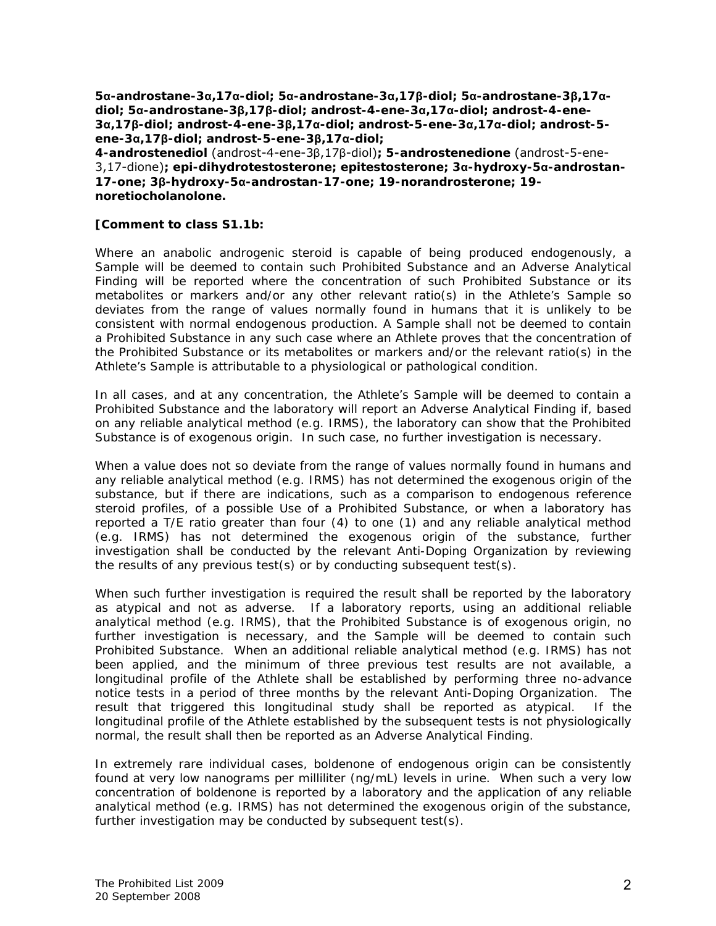**5α-androstane-3α,17α-diol; 5α-androstane-3α,17β-diol; 5α-androstane-3β,17αdiol; 5α-androstane-3β,17β-diol; androst-4-ene-3α,17α-diol; androst-4-ene-3α,17β-diol; androst-4-ene-3β,17α-diol; androst-5-ene-3α,17α-diol; androst-5 ene-3α,17β-diol; androst-5-ene-3β,17α-diol;** 

**4-androstenediol** (androst-4-ene-3β,17β-diol)**; 5-androstenedione** (androst-5-ene-3,17-dione)**; epi-dihydrotestosterone; epitestosterone; 3α-hydroxy-5α-androstan-17-one; 3β-hydroxy-5α-androstan-17-one; 19-norandrosterone; 19 noretiocholanolone.** 

# *[Comment to class S1.1b:*

*Where an anabolic androgenic steroid is capable of being produced endogenously, a Sample will be deemed to contain such Prohibited Substance and an Adverse Analytical Finding will be reported where the concentration of such Prohibited Substance or its metabolites or markers and/or any other relevant ratio(s) in the Athlete's Sample so*  deviates from the range of values normally found in humans that it is unlikely to be *consistent with normal endogenous production. A Sample shall not be deemed to contain a Prohibited Substance in any such case where an Athlete proves that the concentration of the Prohibited Substance or its metabolites or markers and/or the relevant ratio(s) in the Athlete's Sample is attributable to a physiological or pathological condition.* 

*In all cases, and at any concentration, the Athlete's Sample will be deemed to contain a Prohibited Substance and the laboratory will report an Adverse Analytical Finding if, based on any reliable analytical method (e.g. IRMS), the laboratory can show that the Prohibited Substance is of exogenous origin. In such case, no further investigation is necessary.* 

*When a value does not so deviate from the range of values normally found in humans and any reliable analytical method (e.g. IRMS) has not determined the exogenous origin of the substance, but if there are indications, such as a comparison to endogenous reference steroid profiles, of a possible Use of a Prohibited Substance, or when a laboratory has reported a T/E ratio greater than four (4) to one (1) and any reliable analytical method (e.g. IRMS) has not determined the exogenous origin of the substance, further investigation shall be conducted by the relevant Anti-Doping Organization by reviewing the results of any previous test(s) or by conducting subsequent test(s).* 

*When such further investigation is required the result shall be reported by the laboratory as atypical and not as adverse. If a laboratory reports, using an additional reliable analytical method (e.g. IRMS), that the Prohibited Substance is of exogenous origin, no*  further investigation is necessary, and the Sample will be deemed to contain such *Prohibited Substance. When an additional reliable analytical method (e.g. IRMS) has not been applied, and the minimum of three previous test results are not available, a longitudinal profile of the Athlete shall be established by performing three no-advance notice tests in a period of three months by the relevant Anti-Doping Organization. The result that triggered this longitudinal study shall be reported as atypical. If the longitudinal profile of the Athlete established by the subsequent tests is not physiologically normal, the result shall then be reported as an Adverse Analytical Finding.* 

*In extremely rare individual cases, boldenone of endogenous origin can be consistently found at very low nanograms per milliliter (ng/mL) levels in urine. When such a very low concentration of boldenone is reported by a laboratory and the application of any reliable analytical method (e.g. IRMS) has not determined the exogenous origin of the substance, further investigation may be conducted by subsequent test(s).*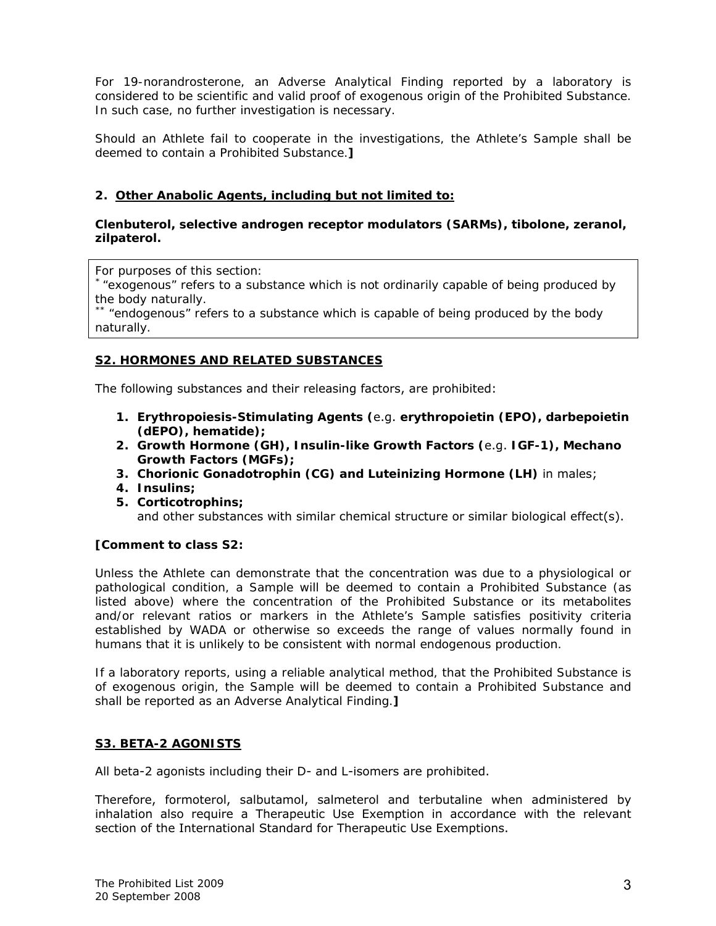*For 19-norandrosterone, an Adverse Analytical Finding reported by a laboratory is considered to be scientific and valid proof of exogenous origin of the Prohibited Substance. In such case, no further investigation is necessary.* 

*Should an Athlete fail to cooperate in the investigations, the Athlete's Sample shall be deemed to contain a Prohibited Substance.]*

# **2. Other Anabolic Agents, including but not limited to:**

# **Clenbuterol, selective androgen receptor modulators (SARMs), tibolone, zeranol, zilpaterol.**

*For purposes of this section:* 

\* *"exogenous" refers to a substance which is not ordinarily capable of being produced by the body naturally.*

\*\* *"endogenous" refers to a substance which is capable of being produced by the body naturally.*

# **S2. HORMONES AND RELATED SUBSTANCES**

The following substances and their releasing factors, are prohibited:

- **1. Erythropoiesis-Stimulating Agents (**e.g. **erythropoietin (EPO), darbepoietin (dEPO), hematide);**
- **2. Growth Hormone (GH), Insulin-like Growth Factors (**e.g. **IGF-1), Mechano Growth Factors (MGFs);**
- **3. Chorionic Gonadotrophin (CG) and Luteinizing Hormone (LH)** in males;
- **4. Insulins;**
- **5. Corticotrophins;**  and other substances with similar chemical structure or similar biological effect(s).

# *[Comment to class S2:*

*Unless the Athlete can demonstrate that the concentration was due to a physiological or pathological condition, a Sample will be deemed to contain a Prohibited Substance (as*  listed above) where the concentration of the Prohibited Substance or its metabolites *and/or relevant ratios or markers in the Athlete's Sample satisfies positivity criteria*  established by WADA or otherwise so exceeds the range of values normally found in *humans that it is unlikely to be consistent with normal endogenous production.* 

*If a laboratory reports, using a reliable analytical method, that the Prohibited Substance is of exogenous origin, the Sample will be deemed to contain a Prohibited Substance and shall be reported as an Adverse Analytical Finding.]*

# **S3. BETA-2 AGONISTS**

All beta-2 agonists including their D- and L-isomers are prohibited.

Therefore, formoterol, salbutamol, salmeterol and terbutaline when administered by inhalation also require a Therapeutic Use Exemption in accordance with the relevant section of the International Standard for Therapeutic Use Exemptions.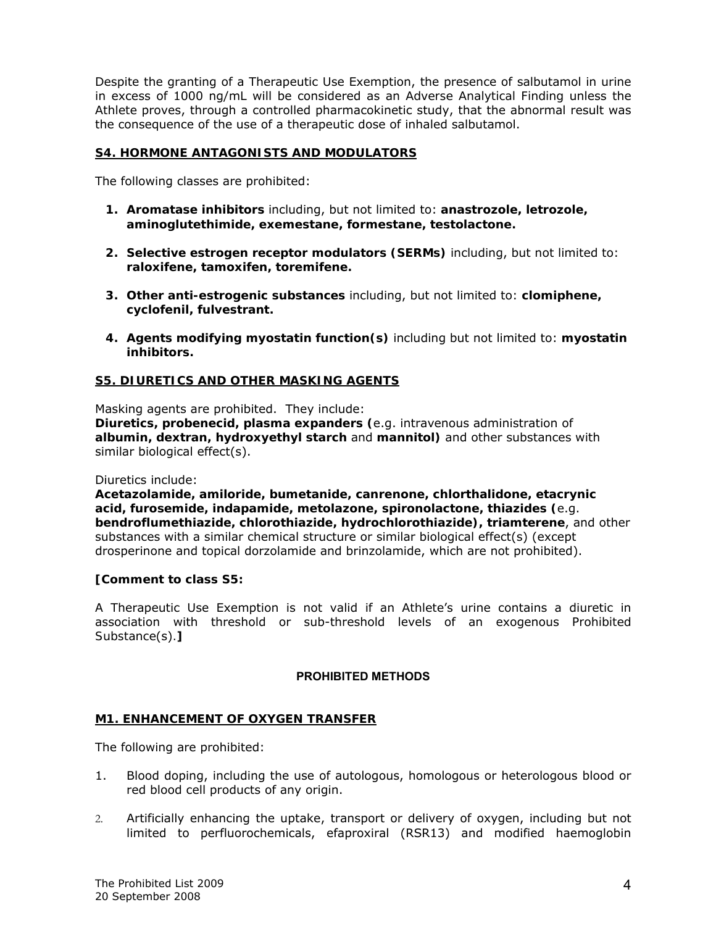Despite the granting of a Therapeutic Use Exemption, the presence of salbutamol in urine in excess of 1000 ng/mL will be considered as an *Adverse Analytical Finding* unless the *Athlete* proves, through a controlled pharmacokinetic study, that the abnormal result was the consequence of the use of a therapeutic dose of inhaled salbutamol.

# **S4. HORMONE ANTAGONISTS AND MODULATORS**

The following classes are prohibited:

- **1. Aromatase inhibitors** including, but not limited to: **anastrozole, letrozole, aminoglutethimide, exemestane, formestane, testolactone.**
- **2. Selective estrogen receptor modulators (SERMs)** including, but not limited to: **raloxifene, tamoxifen, toremifene.**
- **3. Other anti-estrogenic substances** including, but not limited to: **clomiphene, cyclofenil, fulvestrant.**
- **4. Agents modifying myostatin function(s)** including but not limited to: **myostatin inhibitors.**

# **S5. DIURETICS AND OTHER MASKING AGENTS**

Masking agents are prohibited. They include:

**Diuretics, probenecid, plasma expanders (**e.g. intravenous administration of **albumin, dextran, hydroxyethyl starch** and **mannitol)** and other substances with similar biological effect(s).

# Diuretics include:

**Acetazolamide, amiloride, bumetanide, canrenone, chlorthalidone, etacrynic acid, furosemide, indapamide, metolazone, spironolactone, thiazides (**e.g. **bendroflumethiazide, chlorothiazide, hydrochlorothiazide), triamterene**, and other substances with a similar chemical structure or similar biological effect(s) (except drosperinone and topical dorzolamide and brinzolamide, which are not prohibited).

# *[Comment to class S5:*

A Therapeutic Use Exemption is not valid if an *Athlete*'s urine contains a diuretic in association with threshold or sub-threshold levels of an exogenous *Prohibited Substance*(s)*.]*

# **PROHIBITED METHODS**

# **M1. ENHANCEMENT OF OXYGEN TRANSFER**

The following are prohibited:

- 1. Blood doping, including the use of autologous, homologous or heterologous blood or red blood cell products of any origin.
- 2. Artificially enhancing the uptake, transport or delivery of oxygen, including but not limited to perfluorochemicals, efaproxiral (RSR13) and modified haemoglobin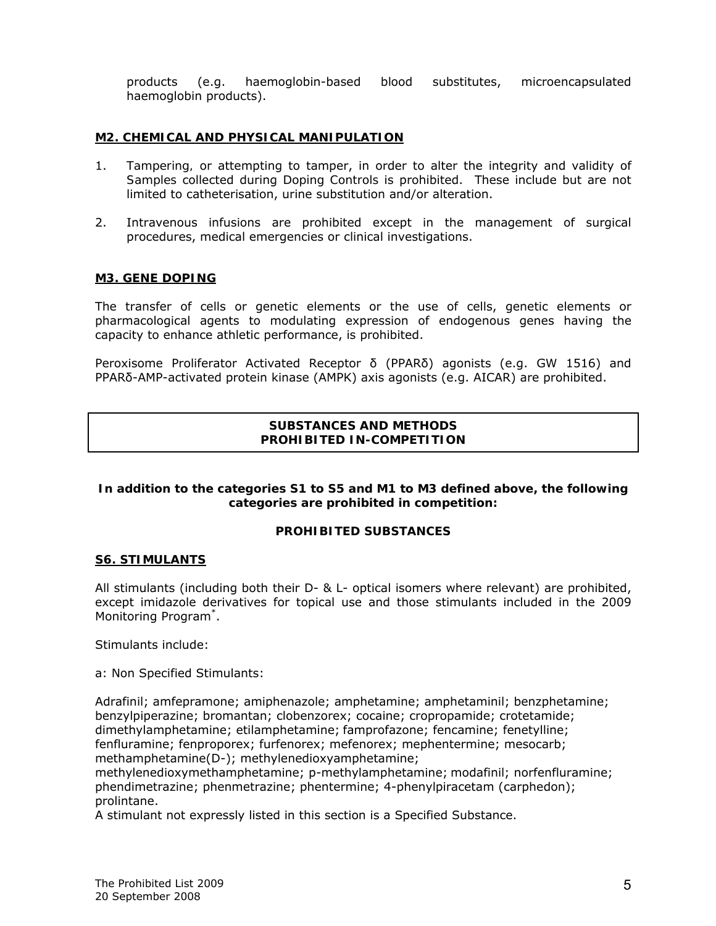products (e.g. haemoglobin-based blood substitutes, microencapsulated haemoglobin products).

# **M2. CHEMICAL AND PHYSICAL MANIPULATION**

- 1. *Tampering,* or attempting to tamper, in order to alter the integrity and validity of *Samples* collected during *Doping Controls* is prohibited. These include but are not limited to catheterisation, urine substitution and/or alteration.
- 2. Intravenous infusions are prohibited except in the management of surgical procedures, medical emergencies or clinical investigations.

# **M3. GENE DOPING**

The transfer of cells or genetic elements or the use of cells, genetic elements or pharmacological agents to modulating expression of endogenous genes having the capacity to enhance athletic performance, is prohibited.

Peroxisome Proliferator Activated Receptor δ (PPARδ) agonists (e.g. GW 1516) and PPARδ-AMP-activated protein kinase (AMPK) axis agonists (e.g. AICAR) are prohibited.

# **SUBSTANCES AND METHODS PROHIBITED IN-COMPETITION**

# **In addition to the categories S1 to S5 and M1 to M3 defined above, the following categories are prohibited in competition:**

# **PROHIBITED SUBSTANCES**

# **S6. STIMULANTS**

All stimulants (including both their D- & L- optical isomers where relevant) are prohibited, except imidazole derivatives for topical use and those stimulants included in the 2009 Monitoring Program\* .

Stimulants include:

a: Non Specified Stimulants:

Adrafinil; amfepramone; amiphenazole; amphetamine; amphetaminil; benzphetamine; benzylpiperazine; bromantan; clobenzorex; cocaine; cropropamide; crotetamide; dimethylamphetamine; etilamphetamine; famprofazone; fencamine; fenetylline; fenfluramine; fenproporex; furfenorex; mefenorex; mephentermine; mesocarb; methamphetamine(D-); methylenedioxyamphetamine;

methylenedioxymethamphetamine; p-methylamphetamine; modafinil; norfenfluramine; phendimetrazine; phenmetrazine; phentermine; 4-phenylpiracetam (carphedon); prolintane.

A stimulant not expressly listed in this section is a Specified Substance.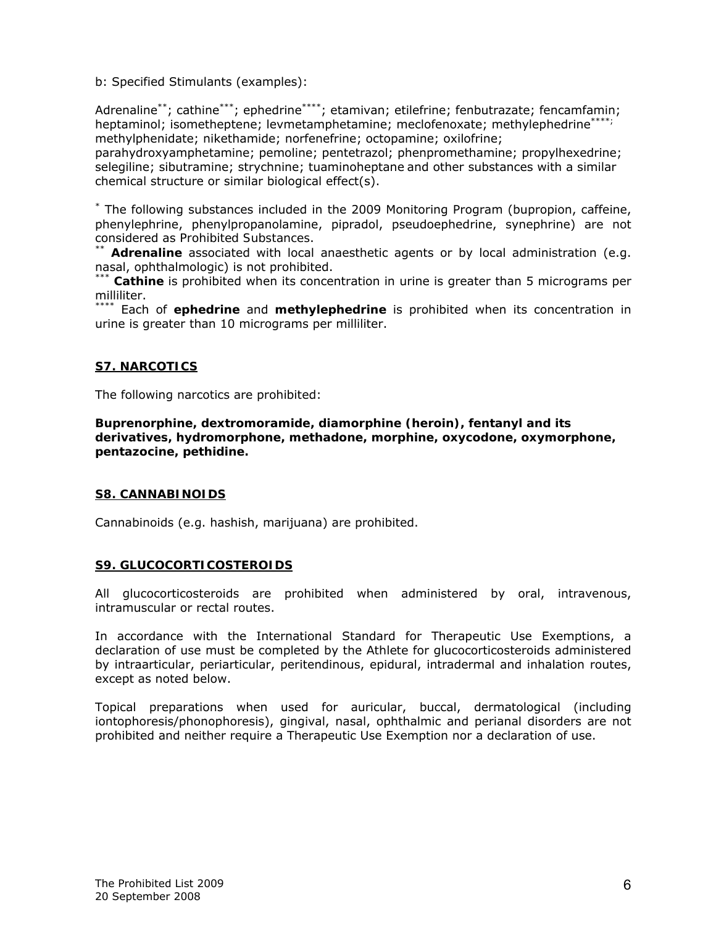b: Specified Stimulants (examples):

Adrenaline\*\*; cathine\*\*\*; ephedrine\*\*\*\*; etamivan; etilefrine; fenbutrazate; fencamfamin; heptaminol; isometheptene; levmetamphetamine; meclofenoxate; methylephedrine<sup>\*\*\*\*;</sup> methylphenidate; nikethamide; norfenefrine; octopamine; oxilofrine;

parahydroxyamphetamine; pemoline; pentetrazol; phenpromethamine; propylhexedrine; selegiline; sibutramine; strychnine; tuaminoheptane and other substances with a similar chemical structure or similar biological effect(s).

\* The following substances included in the 2009 Monitoring Program (bupropion, caffeine, phenylephrine, phenylpropanolamine, pipradol, pseudoephedrine, synephrine) are not considered as *Prohibited Substances*.

Adrenaline associated with local anaesthetic agents or by local administration (e.g. nasal, ophthalmologic) is not prohibited.

\*\*\* **Cathine** is prohibited when its concentration in urine is greater than 5 micrograms per milliliter.

\* Each of ephedrine and methylephedrine is prohibited when its concentration in urine is greater than 10 micrograms per milliliter.

# **S7. NARCOTICS**

The following narcotics are prohibited:

**Buprenorphine, dextromoramide, diamorphine (heroin), fentanyl and its derivatives, hydromorphone, methadone, morphine, oxycodone, oxymorphone, pentazocine, pethidine.** 

# **S8. CANNABINOIDS**

Cannabinoids (e.g. hashish, marijuana) are prohibited.

# **S9. GLUCOCORTICOSTEROIDS**

All glucocorticosteroids are prohibited when administered by oral, intravenous, intramuscular or rectal routes.

In accordance with the International Standard for Therapeutic Use Exemptions, a declaration of use must be completed by the *Athlete* for glucocorticosteroids administered by intraarticular, periarticular, peritendinous, epidural, intradermal and inhalation routes, except as noted below.

Topical preparations when used for auricular, buccal, dermatological (including iontophoresis/phonophoresis), gingival, nasal, ophthalmic and perianal disorders are not prohibited and neither require a Therapeutic Use Exemption nor a declaration of use.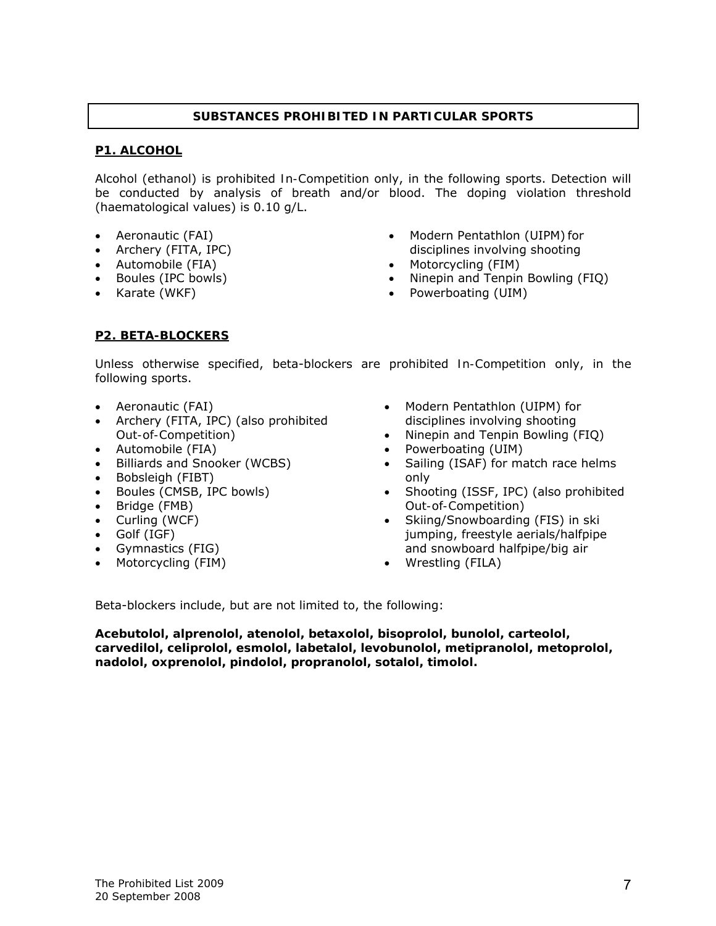# **SUBSTANCES PROHIBITED IN PARTICULAR SPORTS**

# **P1. ALCOHOL**

Alcohol (ethanol) is prohibited *In-Competition* only, in the following sports. Detection will be conducted by analysis of breath and/or blood. The doping violation threshold (haematological values) is 0.10 g/L.

- Aeronautic (FAI)
- Archery (FITA, IPC)
- Automobile (FIA)
- Boules (IPC bowls)
- Karate (WKF)
- Modern Pentathlon (UIPM) for disciplines involving shooting
- Motorcycling (FIM)
- Ninepin and Tenpin Bowling (FIQ)
- Powerboating (UIM)

# **P2. BETA-BLOCKERS**

Unless otherwise specified, beta-blockers are prohibited *In-Competition* only, in the following sports.

- Aeronautic (FAI)
- Archery (FITA, IPC) (also prohibited *Out-of-Competition*)
- Automobile (FIA)
- Billiards and Snooker (WCBS)
- Bobsleigh (FIBT)
- Boules (CMSB, IPC bowls)
- Bridge (FMB)
- Curling (WCF)
- Golf (IGF)
- Gymnastics (FIG)
- Motorcycling (FIM)
- Modern Pentathlon (UIPM) for disciplines involving shooting
- Ninepin and Tenpin Bowling (FIQ)
- Powerboating (UIM)
- Sailing (ISAF) for match race helms only
- Shooting (ISSF, IPC) (also prohibited *Out-of-Competition*)
- Skiing/Snowboarding (FIS) in ski jumping, freestyle aerials/halfpipe and snowboard halfpipe/big air
- Wrestling (FILA)

Beta-blockers include, but are not limited to, the following:

**Acebutolol, alprenolol, atenolol, betaxolol, bisoprolol, bunolol, carteolol, carvedilol, celiprolol, esmolol, labetalol, levobunolol, metipranolol, metoprolol, nadolol, oxprenolol, pindolol, propranolol, sotalol, timolol.**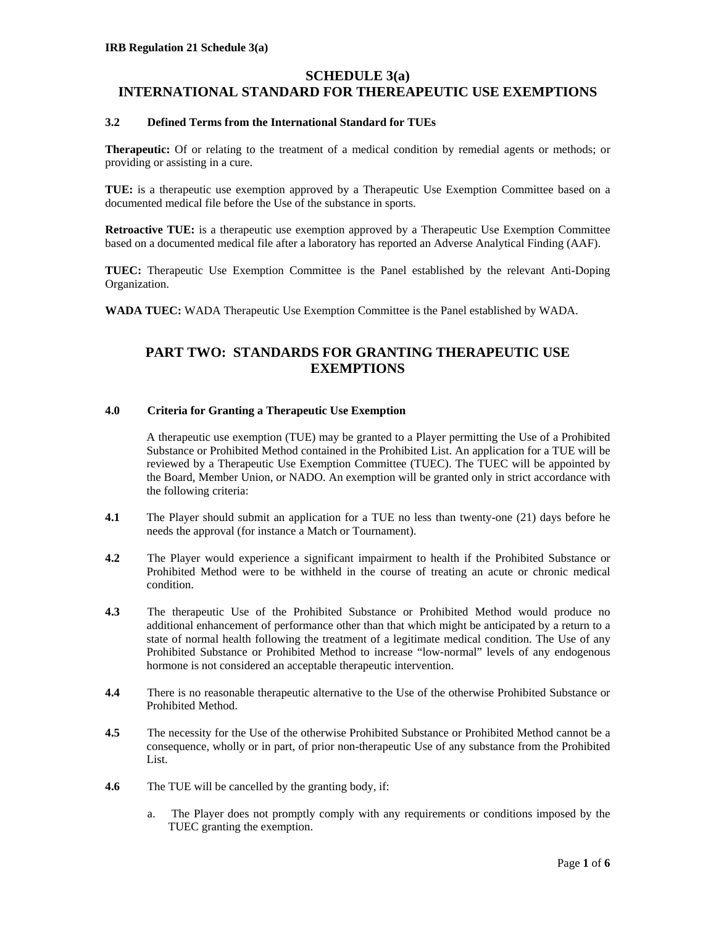# **SCHEDULE 3(a) INTERNATIONAL STANDARD FOR THEREAPEUTIC USE EXEMPTIONS**

# **3.2 Defined Terms from the International Standard for TUEs**

**Therapeutic:** Of or relating to the treatment of a medical condition by remedial agents or methods; or providing or assisting in a cure.

**TUE:** is a therapeutic use exemption approved by a Therapeutic Use Exemption Committee based on a documented medical file before the Use of the substance in sports.

**Retroactive TUE:** is a therapeutic use exemption approved by a Therapeutic Use Exemption Committee based on a documented medical file after a laboratory has reported an Adverse Analytical Finding (AAF).

**TUEC:** Therapeutic Use Exemption Committee is the Panel established by the relevant Anti-Doping Organization.

**WADA TUEC:** WADA Therapeutic Use Exemption Committee is the Panel established by WADA.

# **PART TWO: STANDARDS FOR GRANTING THERAPEUTIC USE EXEMPTIONS**

# **4.0 Criteria for Granting a Therapeutic Use Exemption**

 A therapeutic use exemption (TUE) may be granted to a Player permitting the Use of a Prohibited Substance or Prohibited Method contained in the Prohibited List. An application for a TUE will be reviewed by a Therapeutic Use Exemption Committee (TUEC). The TUEC will be appointed by the Board, Member Union, or NADO. An exemption will be granted only in strict accordance with the following criteria:

- **4.1** The Player should submit an application for a TUE no less than twenty-one (21) days before he needs the approval (for instance a Match or Tournament).
- **4.2** The Player would experience a significant impairment to health if the Prohibited Substance or Prohibited Method were to be withheld in the course of treating an acute or chronic medical condition.
- **4.3** The therapeutic Use of the Prohibited Substance or Prohibited Method would produce no additional enhancement of performance other than that which might be anticipated by a return to a state of normal health following the treatment of a legitimate medical condition. The Use of any Prohibited Substance or Prohibited Method to increase "low-normal" levels of any endogenous hormone is not considered an acceptable therapeutic intervention.
- **4.4** There is no reasonable therapeutic alternative to the Use of the otherwise Prohibited Substance or Prohibited Method.
- **4.5** The necessity for the Use of the otherwise Prohibited Substance or Prohibited Method cannot be a consequence, wholly or in part, of prior non-therapeutic Use of any substance from the Prohibited List.
- **4.6** The TUE will be cancelled by the granting body, if:
	- a. The Player does not promptly comply with any requirements or conditions imposed by the TUEC granting the exemption.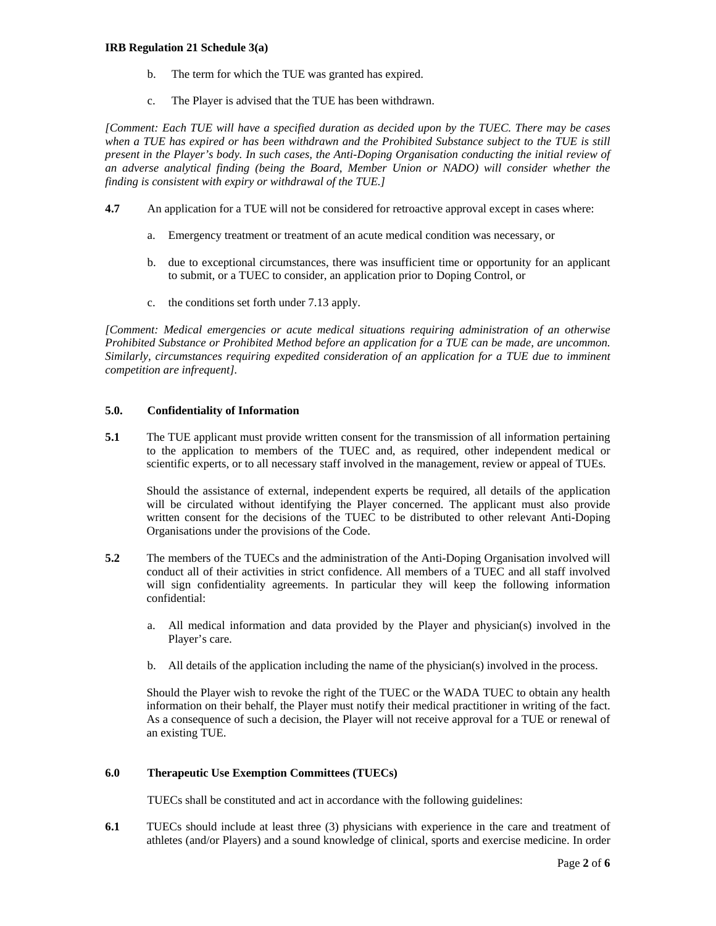- b. The term for which the TUE was granted has expired.
- c. The Player is advised that the TUE has been withdrawn.

*[Comment: Each TUE will have a specified duration as decided upon by the TUEC. There may be cases when a TUE has expired or has been withdrawn and the Prohibited Substance subject to the TUE is still present in the Player's body. In such cases, the Anti-Doping Organisation conducting the initial review of an adverse analytical finding (being the Board, Member Union or NADO) will consider whether the finding is consistent with expiry or withdrawal of the TUE.]* 

- **4.7** An application for a TUE will not be considered for retroactive approval except in cases where:
	- a. Emergency treatment or treatment of an acute medical condition was necessary, or
	- b. due to exceptional circumstances, there was insufficient time or opportunity for an applicant to submit, or a TUEC to consider, an application prior to Doping Control, or
	- c. the conditions set forth under 7.13 apply.

*[Comment: Medical emergencies or acute medical situations requiring administration of an otherwise Prohibited Substance or Prohibited Method before an application for a TUE can be made, are uncommon. Similarly, circumstances requiring expedited consideration of an application for a TUE due to imminent competition are infrequent].* 

# **5.0. Confidentiality of Information**

**5.1** The TUE applicant must provide written consent for the transmission of all information pertaining to the application to members of the TUEC and, as required, other independent medical or scientific experts, or to all necessary staff involved in the management, review or appeal of TUEs.

 Should the assistance of external, independent experts be required, all details of the application will be circulated without identifying the Player concerned. The applicant must also provide written consent for the decisions of the TUEC to be distributed to other relevant Anti-Doping Organisations under the provisions of the Code.

- **5.2** The members of the TUECs and the administration of the Anti-Doping Organisation involved will conduct all of their activities in strict confidence. All members of a TUEC and all staff involved will sign confidentiality agreements. In particular they will keep the following information confidential:
	- a. All medical information and data provided by the Player and physician(s) involved in the Player's care.
	- b. All details of the application including the name of the physician(s) involved in the process.

Should the Player wish to revoke the right of the TUEC or the WADA TUEC to obtain any health information on their behalf, the Player must notify their medical practitioner in writing of the fact. As a consequence of such a decision, the Player will not receive approval for a TUE or renewal of an existing TUE.

# **6.0 Therapeutic Use Exemption Committees (TUECs)**

TUECs shall be constituted and act in accordance with the following guidelines:

**6.1** TUECs should include at least three (3) physicians with experience in the care and treatment of athletes (and/or Players) and a sound knowledge of clinical, sports and exercise medicine. In order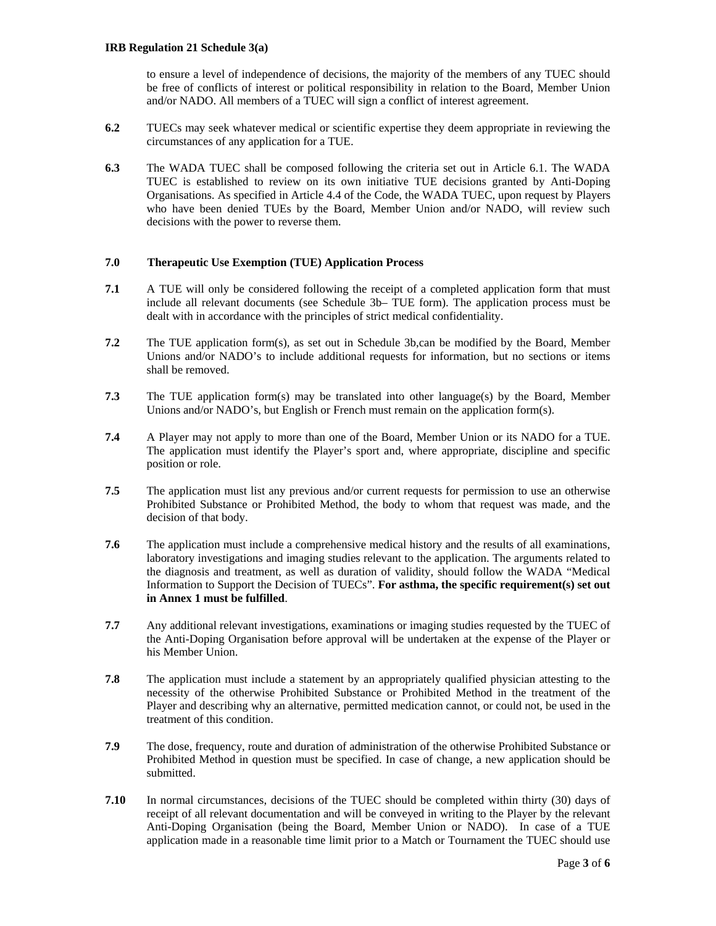to ensure a level of independence of decisions, the majority of the members of any TUEC should be free of conflicts of interest or political responsibility in relation to the Board, Member Union and/or NADO. All members of a TUEC will sign a conflict of interest agreement.

- **6.2** TUECs may seek whatever medical or scientific expertise they deem appropriate in reviewing the circumstances of any application for a TUE.
- **6.3** The WADA TUEC shall be composed following the criteria set out in Article 6.1. The WADA TUEC is established to review on its own initiative TUE decisions granted by Anti-Doping Organisations. As specified in Article 4.4 of the Code, the WADA TUEC, upon request by Players who have been denied TUEs by the Board, Member Union and/or NADO, will review such decisions with the power to reverse them.

# **7.0 Therapeutic Use Exemption (TUE) Application Process**

- **7.1** A TUE will only be considered following the receipt of a completed application form that must include all relevant documents (see Schedule 3b– TUE form). The application process must be dealt with in accordance with the principles of strict medical confidentiality.
- **7.2** The TUE application form(s), as set out in Schedule 3b,can be modified by the Board, Member Unions and/or NADO's to include additional requests for information, but no sections or items shall be removed.
- **7.3** The TUE application form(s) may be translated into other language(s) by the Board, Member Unions and/or NADO's, but English or French must remain on the application form(s).
- **7.4** A Player may not apply to more than one of the Board, Member Union or its NADO for a TUE. The application must identify the Player's sport and, where appropriate, discipline and specific position or role.
- **7.5** The application must list any previous and/or current requests for permission to use an otherwise Prohibited Substance or Prohibited Method, the body to whom that request was made, and the decision of that body.
- **7.6** The application must include a comprehensive medical history and the results of all examinations, laboratory investigations and imaging studies relevant to the application. The arguments related to the diagnosis and treatment, as well as duration of validity, should follow the WADA "Medical Information to Support the Decision of TUECs". **For asthma, the specific requirement(s) set out in Annex 1 must be fulfilled**.
- **7.7** Any additional relevant investigations, examinations or imaging studies requested by the TUEC of the Anti-Doping Organisation before approval will be undertaken at the expense of the Player or his Member Union.
- **7.8** The application must include a statement by an appropriately qualified physician attesting to the necessity of the otherwise Prohibited Substance or Prohibited Method in the treatment of the Player and describing why an alternative, permitted medication cannot, or could not, be used in the treatment of this condition.
- **7.9** The dose, frequency, route and duration of administration of the otherwise Prohibited Substance or Prohibited Method in question must be specified. In case of change, a new application should be submitted.
- **7.10** In normal circumstances, decisions of the TUEC should be completed within thirty (30) days of receipt of all relevant documentation and will be conveyed in writing to the Player by the relevant Anti-Doping Organisation (being the Board, Member Union or NADO). In case of a TUE application made in a reasonable time limit prior to a Match or Tournament the TUEC should use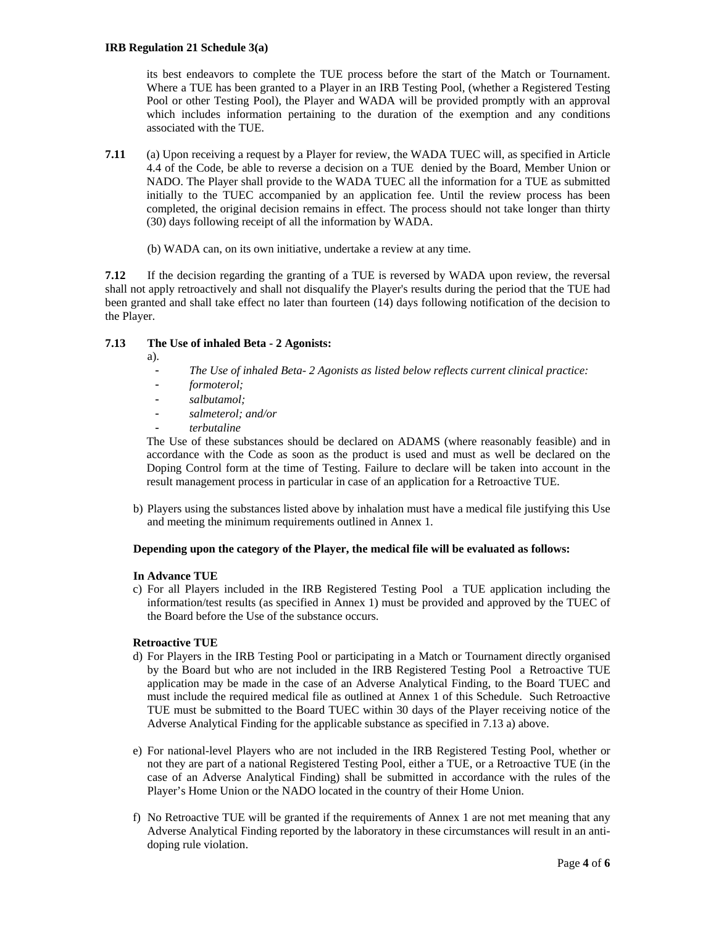its best endeavors to complete the TUE process before the start of the Match or Tournament. Where a TUE has been granted to a Player in an IRB Testing Pool, (whether a Registered Testing Pool or other Testing Pool), the Player and WADA will be provided promptly with an approval which includes information pertaining to the duration of the exemption and any conditions associated with the TUE.

- **7.11** (a) Upon receiving a request by a Player for review, the WADA TUEC will, as specified in Article 4.4 of the Code, be able to reverse a decision on a TUE denied by the Board, Member Union or NADO. The Player shall provide to the WADA TUEC all the information for a TUE as submitted initially to the TUEC accompanied by an application fee. Until the review process has been completed, the original decision remains in effect. The process should not take longer than thirty (30) days following receipt of all the information by WADA.
	- (b) WADA can, on its own initiative, undertake a review at any time.

**7.12** If the decision regarding the granting of a TUE is reversed by WADA upon review, the reversal shall not apply retroactively and shall not disqualify the Player's results during the period that the TUE had been granted and shall take effect no later than fourteen (14) days following notification of the decision to the Player.

# **7.13 The Use of inhaled Beta - 2 Agonists:**

- a).
	- *The Use of inhaled Beta- 2 Agonists as listed below reflects current clinical practice:*
- *formoterol;*
- *salbutamol;*
- *salmeterol; and/or*
- *terbutaline*

The Use of these substances should be declared on ADAMS (where reasonably feasible) and in accordance with the Code as soon as the product is used and must as well be declared on the Doping Control form at the time of Testing. Failure to declare will be taken into account in the result management process in particular in case of an application for a Retroactive TUE.

b) Players using the substances listed above by inhalation must have a medical file justifying this Use and meeting the minimum requirements outlined in Annex 1.

# **Depending upon the category of the Player, the medical file will be evaluated as follows:**

# **In Advance TUE**

c) For all Players included in the IRB Registered Testing Pool a TUE application including the information/test results (as specified in Annex 1) must be provided and approved by the TUEC of the Board before the Use of the substance occurs.

# **Retroactive TUE**

- d) For Players in the IRB Testing Pool or participating in a Match or Tournament directly organised by the Board but who are not included in the IRB Registered Testing Pool a Retroactive TUE application may be made in the case of an Adverse Analytical Finding, to the Board TUEC and must include the required medical file as outlined at Annex 1 of this Schedule. Such Retroactive TUE must be submitted to the Board TUEC within 30 days of the Player receiving notice of the Adverse Analytical Finding for the applicable substance as specified in 7.13 a) above.
- e) For national-level Players who are not included in the IRB Registered Testing Pool, whether or not they are part of a national Registered Testing Pool, either a TUE, or a Retroactive TUE (in the case of an Adverse Analytical Finding) shall be submitted in accordance with the rules of the Player's Home Union or the NADO located in the country of their Home Union.
- f) No Retroactive TUE will be granted if the requirements of Annex 1 are not met meaning that any Adverse Analytical Finding reported by the laboratory in these circumstances will result in an antidoping rule violation.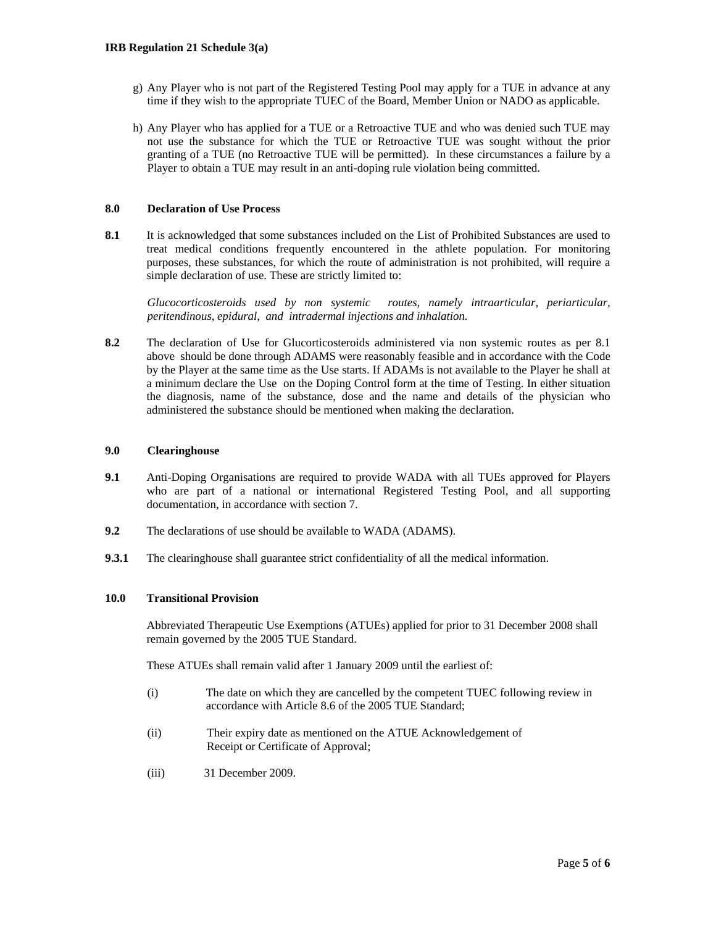- g) Any Player who is not part of the Registered Testing Pool may apply for a TUE in advance at any time if they wish to the appropriate TUEC of the Board, Member Union or NADO as applicable.
- h) Any Player who has applied for a TUE or a Retroactive TUE and who was denied such TUE may not use the substance for which the TUE or Retroactive TUE was sought without the prior granting of a TUE (no Retroactive TUE will be permitted). In these circumstances a failure by a Player to obtain a TUE may result in an anti-doping rule violation being committed.

# **8.0 Declaration of Use Process**

**8.1** It is acknowledged that some substances included on the List of Prohibited Substances are used to treat medical conditions frequently encountered in the athlete population. For monitoring purposes, these substances, for which the route of administration is not prohibited, will require a simple declaration of use. These are strictly limited to:

*Glucocorticosteroids used by non systemic routes, namely intraarticular, periarticular, peritendinous, epidural, and intradermal injections and inhalation.* 

**8.2** The declaration of Use for Glucorticosteroids administered via non systemic routes as per 8.1 above should be done through ADAMS were reasonably feasible and in accordance with the Code by the Player at the same time as the Use starts. If ADAMs is not available to the Player he shall at a minimum declare the Use on the Doping Control form at the time of Testing. In either situation the diagnosis, name of the substance, dose and the name and details of the physician who administered the substance should be mentioned when making the declaration.

# **9.0 Clearinghouse**

- **9.1** Anti-Doping Organisations are required to provide WADA with all TUEs approved for Players who are part of a national or international Registered Testing Pool, and all supporting documentation, in accordance with section 7.
- **9.2** The declarations of use should be available to WADA (ADAMS).
- **9.3.1** The clearinghouse shall guarantee strict confidentiality of all the medical information.

# **10.0 Transitional Provision**

 Abbreviated Therapeutic Use Exemptions (ATUEs) applied for prior to 31 December 2008 shall remain governed by the 2005 TUE Standard.

These ATUEs shall remain valid after 1 January 2009 until the earliest of:

- (i) The date on which they are cancelled by the competent TUEC following review in accordance with Article 8.6 of the 2005 TUE Standard;
- (ii) Their expiry date as mentioned on the ATUE Acknowledgement of Receipt or Certificate of Approval;
- (iii) 31 December 2009.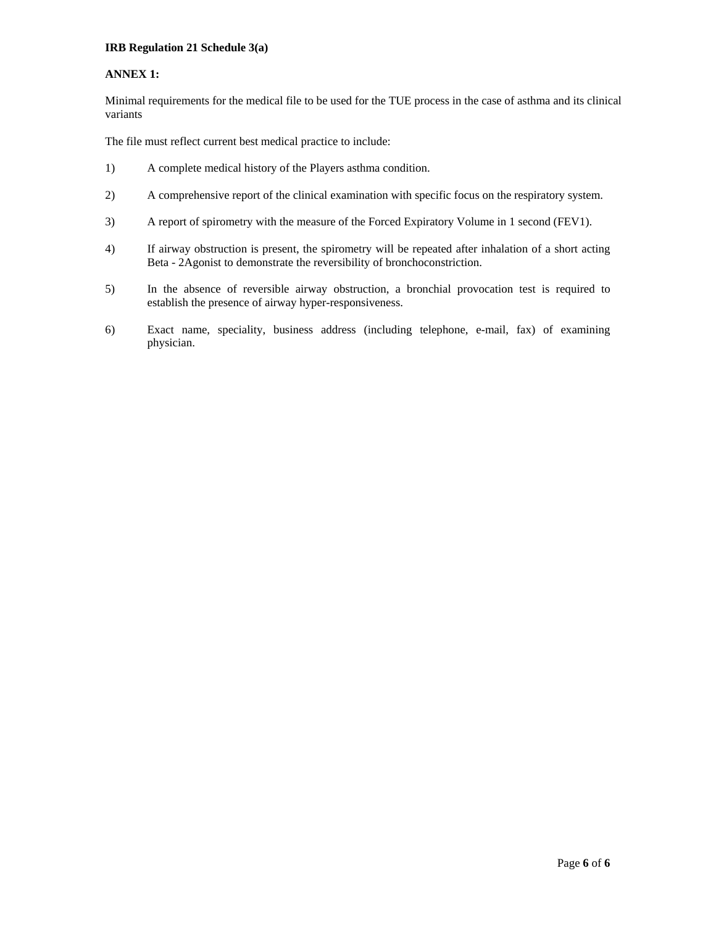# **ANNEX 1:**

Minimal requirements for the medical file to be used for the TUE process in the case of asthma and its clinical variants

The file must reflect current best medical practice to include:

- 1) A complete medical history of the Players asthma condition.
- 2) A comprehensive report of the clinical examination with specific focus on the respiratory system.
- 3) A report of spirometry with the measure of the Forced Expiratory Volume in 1 second (FEV1).
- 4) If airway obstruction is present, the spirometry will be repeated after inhalation of a short acting Beta - 2Agonist to demonstrate the reversibility of bronchoconstriction.
- 5) In the absence of reversible airway obstruction, a bronchial provocation test is required to establish the presence of airway hyper-responsiveness.
- 6) Exact name, speciality, business address (including telephone, e-mail, fax) of examining physician.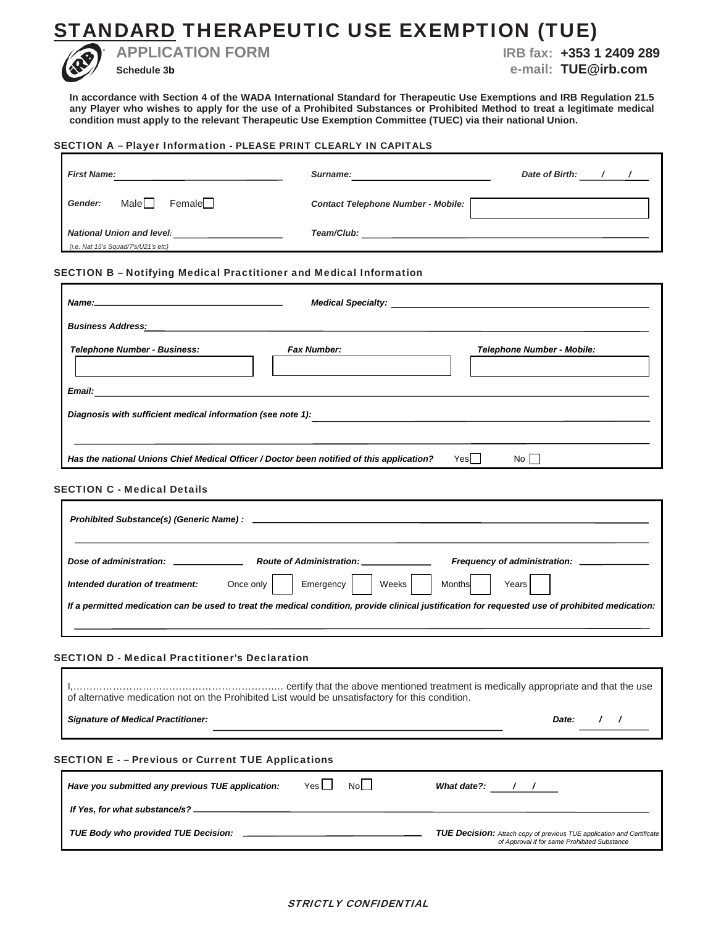# **STANDARD THERAPEUTIC USE EXEMPTION (TUE)**



**APPLICATION FORM IRB fax: +353 1 2409 289 Schedule 3b e-mail: TUE@irb.com**

*of Approval if for same Prohibited Substance*

**In accordance with Section 4 of the WADA International Standard for Therapeutic Use Exemptions and IRB Regulation 21.5 any Player who wishes to apply for the use of a Prohibited Substances or Prohibited Method to treat a legitimate medical condition must apply to the relevant Therapeutic Use Exemption Committee (TUEC) via their national Union.**

#### SECTION A – Player Information - PLEASE PRINT CLEARLY IN CAPITALS

| <b>First Name:</b>                         | Surname:                                  | Date of Birth: |
|--------------------------------------------|-------------------------------------------|----------------|
| Male $\Box$<br>$F$ emale $\Box$<br>Gender: | <b>Contact Telephone Number - Mobile:</b> |                |
| <b>National Union and level:</b>           | Team/Club:                                |                |
| (i.e. Nat 15's Squad/7's/U21's etc)        |                                           |                |

### SECTION B – Notifying Medical Practitioner and Medical Information

| Name:________________                                                                                             | Medical Specialty: New York Changes and Specialty: |                            |
|-------------------------------------------------------------------------------------------------------------------|----------------------------------------------------|----------------------------|
| <b>Business Address:</b>                                                                                          |                                                    |                            |
| <b>Telephone Number - Business:</b>                                                                               | <b>Fax Number:</b>                                 | Telephone Number - Mobile: |
| Email:<br>Diagnosis with sufficient medical information (see note 1):                                             |                                                    |                            |
|                                                                                                                   |                                                    |                            |
| Has the national Unions Chief Medical Officer / Doctor been notified of this application?<br>Yesl<br>$No$ $\vert$ |                                                    |                            |

### SECTION C - Medical Details

Г

| Dose of administration:         | <b>Route of Administration:</b>        |                                                                                                                                                  |
|---------------------------------|----------------------------------------|--------------------------------------------------------------------------------------------------------------------------------------------------|
| Intended duration of treatment: | Once only Emergency Weeks Months Years |                                                                                                                                                  |
|                                 |                                        | If a permitted medication can be used to treat the medical condition, provide clinical justification for requested use of prohibited medication: |

#### SECTION D - Medical Practitioner's Declaration

| of alternative medication not on the Prohibited List would be unsatisfactory for this condition. |                    |  |                                                                              |
|--------------------------------------------------------------------------------------------------|--------------------|--|------------------------------------------------------------------------------|
| <b>Signature of Medical Practitioner:</b>                                                        |                    |  | Date:                                                                        |
| <b>SECTION E - - Previous or Current TUE Applications</b>                                        |                    |  |                                                                              |
| Have you submitted any previous TUE application:                                                 | $Yes \Box No \Box$ |  | What date?: / /                                                              |
|                                                                                                  |                    |  |                                                                              |
| TUE Body who provided TUE Decision: ___________                                                  |                    |  | <b>TUE Decision:</b> Attach copy of previous TUE application and Certificate |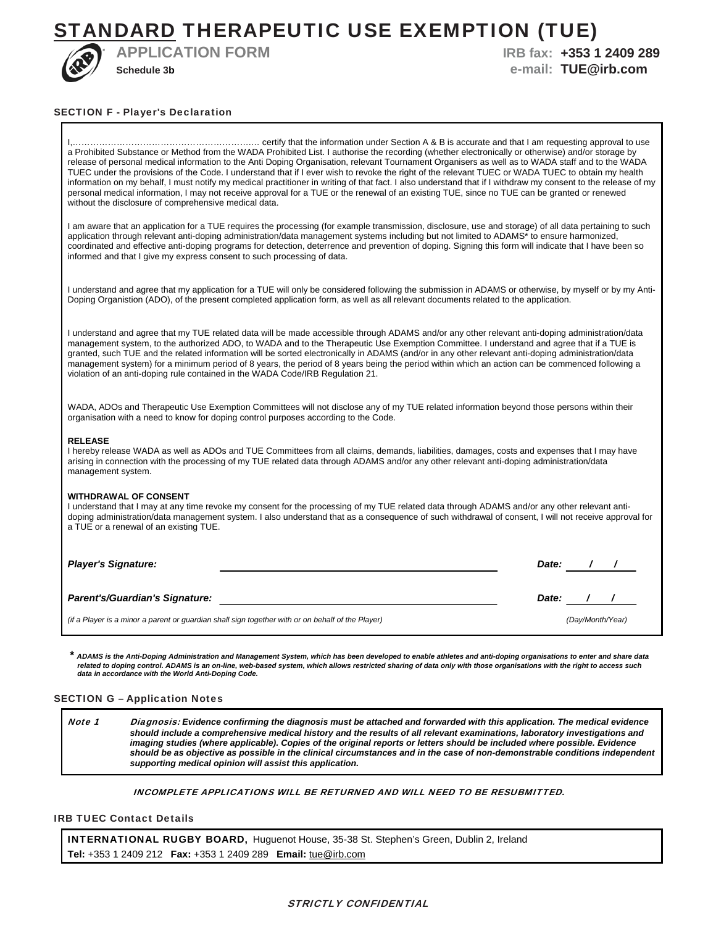TANDARD THERAPEUTIC USE EXEMPTION (TUE)



**APPLICATION FORM IRB fax: +353 1 2409 289 Schedule 3b e-mail: TUE@irb.com**

### SECTION F - Player's Declaration

I,…………………………………………………….… certify that the information under Section A & B is accurate and that I am requesting approval to use a Prohibited Substance or Method from the WADA Prohibited List. I authorise the recording (whether electronically or otherwise) and/or storage by release of personal medical information to the Anti Doping Organisation, relevant Tournament Organisers as well as to WADA staff and to the WADA TUEC under the provisions of the Code. I understand that if I ever wish to revoke the right of the relevant TUEC or WADA TUEC to obtain my health information on my behalf, I must notify my medical practitioner in writing of that fact. I also understand that if I withdraw my consent to the release of my personal medical information, I may not receive approval for a TUE or the renewal of an existing TUE, since no TUE can be granted or renewed without the disclosure of comprehensive medical data. I am aware that an application for a TUE requires the processing (for example transmission, disclosure, use and storage) of all data pertaining to such application through relevant anti-doping administration/data management systems including but not limited to ADAMS\* to ensure harmonized, coordinated and effective anti-doping programs for detection, deterrence and prevention of doping. Signing this form will indicate that I have been so informed and that I give my express consent to such processing of data. I understand and agree that my application for a TUE will only be considered following the submission in ADAMS or otherwise, by myself or by my Anti-Doping Organistion (ADO), of the present completed application form, as well as all relevant documents related to the application. I understand and agree that my TUE related data will be made accessible through ADAMS and/or any other relevant anti-doping administration/data management system, to the authorized ADO, to WADA and to the Therapeutic Use Exemption Committee. I understand and agree that if a TUE is granted, such TUE and the related information will be sorted electronically in ADAMS (and/or in any other relevant anti-doping administration/data management system) for a minimum period of 8 years, the period of 8 years being the period within which an action can be commenced following a violation of an anti-doping rule contained in the WADA Code/IRB Regulation 21. WADA, ADOs and Therapeutic Use Exemption Committees will not disclose any of my TUE related information beyond those persons within their organisation with a need to know for doping control purposes according to the Code. **RELEASE**  I hereby release WADA as well as ADOs and TUE Committees from all claims, demands, liabilities, damages, costs and expenses that I may have arising in connection with the processing of my TUE related data through ADAMS and/or any other relevant anti-doping administration/data management system. **WITHDRAWAL OF CONSENT**  I understand that I may at any time revoke my consent for the processing of my TUE related data through ADAMS and/or any other relevant antidoping administration/data management system. I also understand that as a consequence of such withdrawal of consent, I will not receive approval for a TUE or a renewal of an existing TUE. Player's Signature: **Date:** *Allenger's Signature: Player's Signature: Player's Signature: Player's Signature: Allenger's Signature: Allenger's Signature: Allenger's Signature: Allenger's Signature: Allenge Parent's/Guardian's Signature: Date: / / (if a Player is a minor a parent or guardian shall sign together with or on behalf of the Player) (Day/Month/Year)* 

*\* ADAMS is the Anti-Doping Administration and Management System, which has been developed to enable athletes and anti-doping organisations to enter and share data*  related to doping control. ADAMS is an on-line, web-based system, which allows restricted sharing of data only with those organisations with the right to access such<br>data in accordance with the World Anti-Doping Code.

#### SECTION G – Application Notes

Note 1 Diagnosis: *Evidence confirming the diagnosis must be attached and forwarded with this application. The medical evidence should include a comprehensive medical history and the results of all relevant examinations, laboratory investigations and imaging studies (where applicable). Copies of the original reports or letters should be included where possible. Evidence should be as objective as possible in the clinical circumstances and in the case of non-demonstrable conditions independent supporting medical opinion will assist this application.* 

#### INCOMPLETE APPLICATIONS WILL BE RETURNED AND WILL NEED TO BE RESUBMITTED.

#### IRB TUEC Contact Details

INTERNATIONAL RUGBY BOARD**,** Huguenot House, 35-38 St. Stephen's Green, Dublin 2, Ireland **Tel:** +353 1 2409 212 **Fax:** +353 1 2409 289 **Email:** tue@irb.com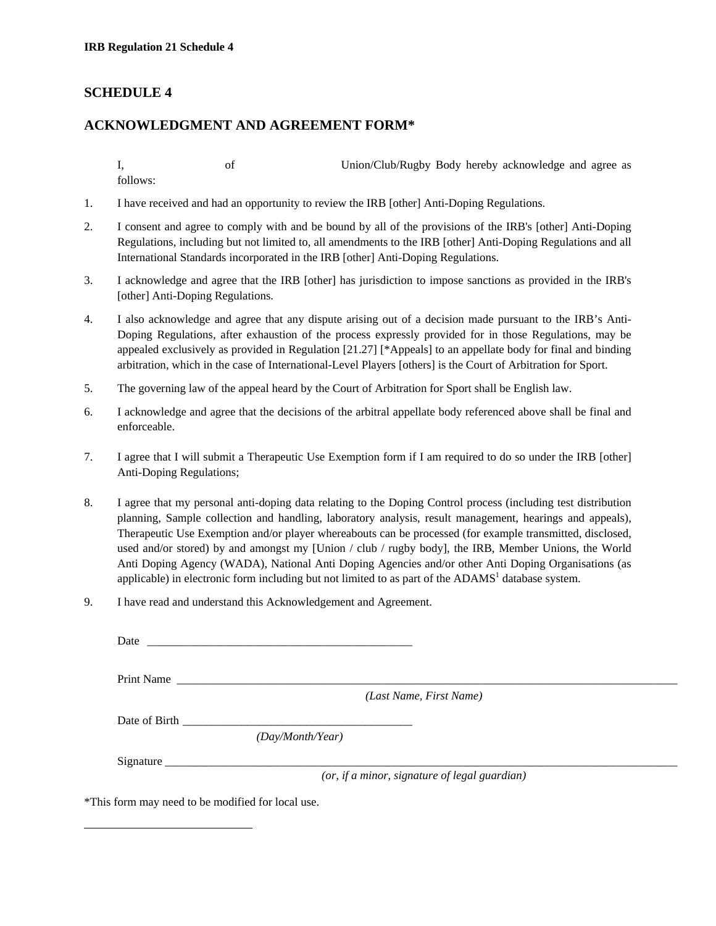# **SCHEDULE 4**

# **ACKNOWLEDGMENT AND AGREEMENT FORM\***

I, of Union/Club/Rugby Body hereby acknowledge and agree as follows:

- 1. I have received and had an opportunity to review the IRB [other] Anti-Doping Regulations.
- 2. I consent and agree to comply with and be bound by all of the provisions of the IRB's [other] Anti-Doping Regulations, including but not limited to, all amendments to the IRB [other] Anti-Doping Regulations and all International Standards incorporated in the IRB [other] Anti-Doping Regulations.
- 3. I acknowledge and agree that the IRB [other] has jurisdiction to impose sanctions as provided in the IRB's [other] Anti-Doping Regulations.
- 4. I also acknowledge and agree that any dispute arising out of a decision made pursuant to the IRB's Anti-Doping Regulations, after exhaustion of the process expressly provided for in those Regulations, may be appealed exclusively as provided in Regulation [21.27] [\*Appeals] to an appellate body for final and binding arbitration, which in the case of International-Level Players [others] is the Court of Arbitration for Sport.
- 5. The governing law of the appeal heard by the Court of Arbitration for Sport shall be English law.
- 6. I acknowledge and agree that the decisions of the arbitral appellate body referenced above shall be final and enforceable.
- 7. I agree that I will submit a Therapeutic Use Exemption form if I am required to do so under the IRB [other] Anti-Doping Regulations;
- 8. I agree that my personal anti-doping data relating to the Doping Control process (including test distribution planning, Sample collection and handling, laboratory analysis, result management, hearings and appeals), Therapeutic Use Exemption and/or player whereabouts can be processed (for example transmitted, disclosed, used and/or stored) by and amongst my [Union / club / rugby body], the IRB, Member Unions, the World Anti Doping Agency (WADA), National Anti Doping Agencies and/or other Anti Doping Organisations (as applicable) in electronic form including but not limited to as part of the  $ADAMS<sup>1</sup>$  database system.
- 9. I have read and understand this Acknowledgement and Agreement.

Date \_\_\_\_\_\_\_\_\_\_\_\_\_\_\_\_\_\_\_\_\_\_\_\_\_\_\_\_\_\_\_\_\_\_\_\_\_\_\_\_\_\_\_\_\_

Print Name

 *(Last Name, First Name)* 

Date of Birth \_\_\_\_\_\_\_\_\_\_\_\_\_\_\_\_\_\_\_\_\_\_\_\_\_\_\_\_\_\_\_\_\_\_\_\_\_\_\_

 *(Day/Month/Year)* 

 $Signature \_\_\_\_\_\_$ 

 *(or, if a minor, signature of legal guardian)* 

\*This form may need to be modified for local use.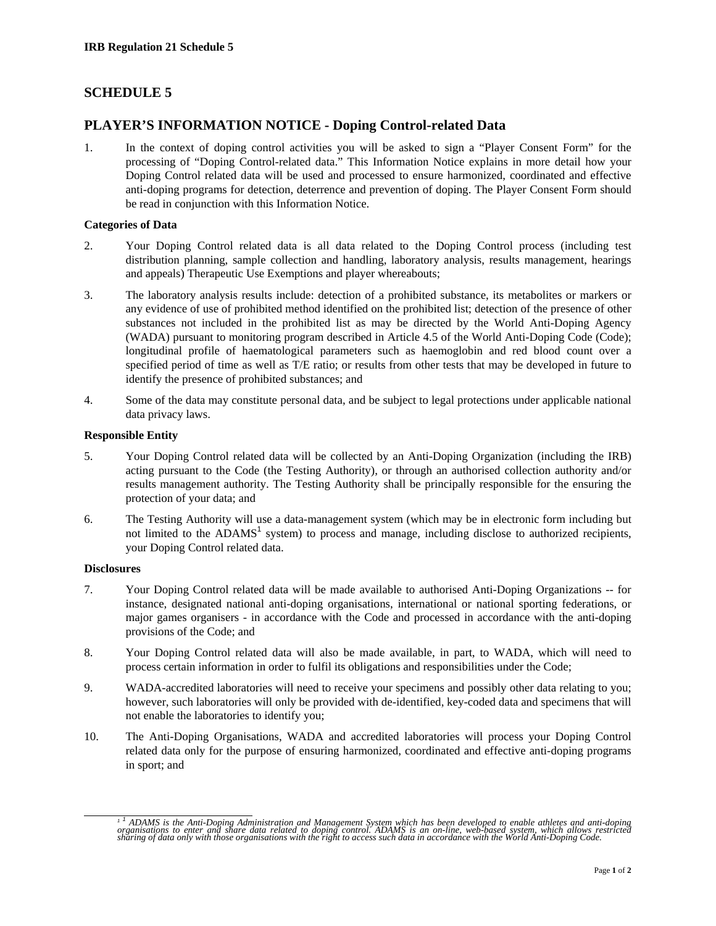# **SCHEDULE 5**

# **PLAYER'S INFORMATION NOTICE - Doping Control-related Data**

1. In the context of doping control activities you will be asked to sign a "Player Consent Form" for the processing of "Doping Control-related data." This Information Notice explains in more detail how your Doping Control related data will be used and processed to ensure harmonized, coordinated and effective anti-doping programs for detection, deterrence and prevention of doping. The Player Consent Form should be read in conjunction with this Information Notice.

# **Categories of Data**

- 2. Your Doping Control related data is all data related to the Doping Control process (including test distribution planning, sample collection and handling, laboratory analysis, results management, hearings and appeals) Therapeutic Use Exemptions and player whereabouts;
- 3. The laboratory analysis results include: detection of a prohibited substance, its metabolites or markers or any evidence of use of prohibited method identified on the prohibited list; detection of the presence of other substances not included in the prohibited list as may be directed by the World Anti-Doping Agency (WADA) pursuant to monitoring program described in Article 4.5 of the World Anti-Doping Code (Code); longitudinal profile of haematological parameters such as haemoglobin and red blood count over a specified period of time as well as T/E ratio; or results from other tests that may be developed in future to identify the presence of prohibited substances; and
- 4. Some of the data may constitute personal data, and be subject to legal protections under applicable national data privacy laws.

# **Responsible Entity**

- 5. Your Doping Control related data will be collected by an Anti-Doping Organization (including the IRB) acting pursuant to the Code (the Testing Authority), or through an authorised collection authority and/or results management authority. The Testing Authority shall be principally responsible for the ensuring the protection of your data; and
- 6. The Testing Authority will use a data-management system (which may be in electronic form including but not limited to the ADAMS<sup>1</sup> system) to process and manage, including disclose to authorized recipients, your Doping Control related data.

# **Disclosures**

- 7. Your Doping Control related data will be made available to authorised Anti-Doping Organizations -- for instance, designated national anti-doping organisations, international or national sporting federations, or major games organisers - in accordance with the Code and processed in accordance with the anti-doping provisions of the Code; and
- 8. Your Doping Control related data will also be made available, in part, to WADA, which will need to process certain information in order to fulfil its obligations and responsibilities under the Code;
- 9. WADA-accredited laboratories will need to receive your specimens and possibly other data relating to you; however, such laboratories will only be provided with de-identified, key-coded data and specimens that will not enable the laboratories to identify you;
- 10. The Anti-Doping Organisations, WADA and accredited laboratories will process your Doping Control related data only for the purpose of ensuring harmonized, coordinated and effective anti-doping programs in sport; and

<sup>&</sup>lt;sup>1</sup> ADAMS is the Anti-Doping Administration and Management System which has been developed to enable athletes and anti-doping<br>organisations to enter and share data related to doping control. ADAMS is an on-line, web-based